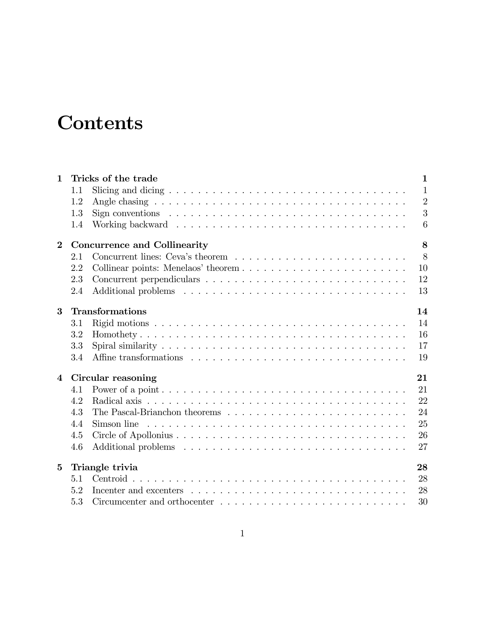# **Contents**

| $\mathbf{1}$    |                                          | Tricks of the trade<br>$\mathbf{1}$                                                                     |  |  |  |  |  |  |  |  |
|-----------------|------------------------------------------|---------------------------------------------------------------------------------------------------------|--|--|--|--|--|--|--|--|
|                 | 1.1                                      | $\mathbf{1}$                                                                                            |  |  |  |  |  |  |  |  |
|                 | 1.2                                      | $\overline{2}$                                                                                          |  |  |  |  |  |  |  |  |
|                 | 1.3                                      | 3<br>Sign conventions $\ldots \ldots \ldots \ldots \ldots \ldots \ldots \ldots \ldots \ldots \ldots$    |  |  |  |  |  |  |  |  |
|                 | 1.4                                      | 6                                                                                                       |  |  |  |  |  |  |  |  |
| $\bf{2}$        | 8<br><b>Concurrence and Collinearity</b> |                                                                                                         |  |  |  |  |  |  |  |  |
|                 | 2.1                                      | 8                                                                                                       |  |  |  |  |  |  |  |  |
|                 | 2.2                                      | 10                                                                                                      |  |  |  |  |  |  |  |  |
|                 | 2.3                                      | 12                                                                                                      |  |  |  |  |  |  |  |  |
|                 | 2.4                                      | 13                                                                                                      |  |  |  |  |  |  |  |  |
| 3               |                                          | Transformations<br>14                                                                                   |  |  |  |  |  |  |  |  |
|                 | 3.1                                      | 14                                                                                                      |  |  |  |  |  |  |  |  |
|                 | 3.2                                      | 16                                                                                                      |  |  |  |  |  |  |  |  |
|                 | 3.3                                      | 17                                                                                                      |  |  |  |  |  |  |  |  |
|                 | 3.4                                      | 19                                                                                                      |  |  |  |  |  |  |  |  |
| $\overline{4}$  |                                          | 21<br>Circular reasoning                                                                                |  |  |  |  |  |  |  |  |
|                 | 4.1                                      | 21                                                                                                      |  |  |  |  |  |  |  |  |
|                 | 4.2                                      | 22                                                                                                      |  |  |  |  |  |  |  |  |
|                 | 4.3                                      | 24                                                                                                      |  |  |  |  |  |  |  |  |
|                 | 4.4                                      | 25<br>Simson line $\ldots \ldots \ldots \ldots \ldots \ldots \ldots \ldots \ldots \ldots \ldots \ldots$ |  |  |  |  |  |  |  |  |
|                 | 4.5                                      | 26                                                                                                      |  |  |  |  |  |  |  |  |
|                 | 4.6                                      | 27                                                                                                      |  |  |  |  |  |  |  |  |
| $5\phantom{.0}$ |                                          | 28<br>Triangle trivia                                                                                   |  |  |  |  |  |  |  |  |
|                 | 5.1                                      | 28                                                                                                      |  |  |  |  |  |  |  |  |
|                 | 5.2                                      | 28                                                                                                      |  |  |  |  |  |  |  |  |
|                 | 5.3                                      | 30                                                                                                      |  |  |  |  |  |  |  |  |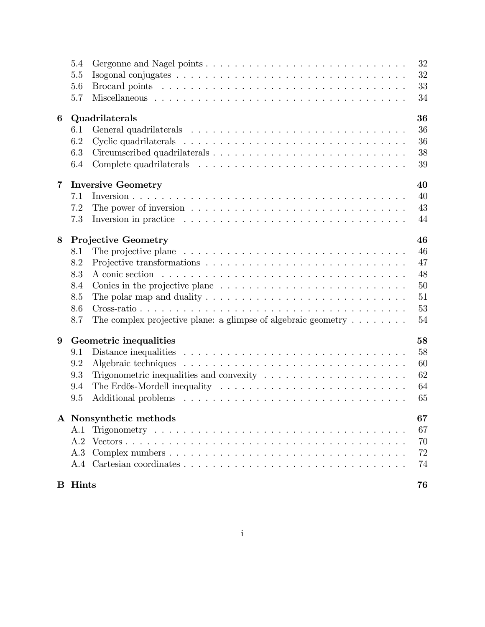|                | 5.4                          |                                                                                                                | 32 |  |  |  |  |  |  |
|----------------|------------------------------|----------------------------------------------------------------------------------------------------------------|----|--|--|--|--|--|--|
|                | 5.5                          |                                                                                                                | 32 |  |  |  |  |  |  |
|                | 5.6                          |                                                                                                                | 33 |  |  |  |  |  |  |
|                | 5.7                          |                                                                                                                | 34 |  |  |  |  |  |  |
| 6              | 36<br>Quadrilaterals         |                                                                                                                |    |  |  |  |  |  |  |
|                | 6.1                          |                                                                                                                | 36 |  |  |  |  |  |  |
|                | 6.2                          |                                                                                                                | 36 |  |  |  |  |  |  |
|                | 6.3                          |                                                                                                                | 38 |  |  |  |  |  |  |
|                | 6.4                          |                                                                                                                | 39 |  |  |  |  |  |  |
| $\overline{7}$ |                              | <b>Inversive Geometry</b><br>40                                                                                |    |  |  |  |  |  |  |
|                | 7.1                          |                                                                                                                | 40 |  |  |  |  |  |  |
|                | 7.2                          | The power of inversion $\dots \dots \dots \dots \dots \dots \dots \dots \dots \dots \dots$                     | 43 |  |  |  |  |  |  |
|                | 7.3                          | Inversion in practice $\ldots \ldots \ldots \ldots \ldots \ldots \ldots \ldots \ldots \ldots$                  | 44 |  |  |  |  |  |  |
| 8              |                              | <b>Projective Geometry</b>                                                                                     | 46 |  |  |  |  |  |  |
|                | 8.1                          | The projective plane $\ldots \ldots \ldots \ldots \ldots \ldots \ldots \ldots \ldots \ldots \ldots$            | 46 |  |  |  |  |  |  |
|                | 8.2                          | Projective transformations $\dots \dots \dots \dots \dots \dots \dots \dots \dots \dots \dots$                 | 47 |  |  |  |  |  |  |
|                | 8.3                          |                                                                                                                | 48 |  |  |  |  |  |  |
|                | 8.4                          | Conics in the projective plane $\ldots \ldots \ldots \ldots \ldots \ldots \ldots \ldots \ldots$                | 50 |  |  |  |  |  |  |
|                | 8.5                          | The polar map and duality $\dots \dots \dots \dots \dots \dots \dots \dots \dots \dots \dots$                  | 51 |  |  |  |  |  |  |
|                | 8.6                          | $Cross\text{-}ratio \dots \dots \dots \dots \dots \dots \dots \dots \dots \dots \dots \dots \dots \dots \dots$ | 53 |  |  |  |  |  |  |
|                | 8.7                          | The complex projective plane: a glimpse of algebraic geometry $\dots \dots$                                    | 54 |  |  |  |  |  |  |
|                |                              |                                                                                                                | 58 |  |  |  |  |  |  |
| 9              | 9.1                          | Geometric inequalities                                                                                         | 58 |  |  |  |  |  |  |
|                | 9.2                          |                                                                                                                | 60 |  |  |  |  |  |  |
|                | 9.3                          |                                                                                                                | 62 |  |  |  |  |  |  |
|                |                              | Trigonometric inequalities and convexity $\ldots \ldots \ldots \ldots \ldots \ldots \ldots$                    | 64 |  |  |  |  |  |  |
|                | 9.4<br>9.5                   |                                                                                                                | 65 |  |  |  |  |  |  |
|                |                              |                                                                                                                |    |  |  |  |  |  |  |
|                | A Nonsynthetic methods<br>67 |                                                                                                                |    |  |  |  |  |  |  |
|                | A.1                          |                                                                                                                | 67 |  |  |  |  |  |  |
|                | A.2                          |                                                                                                                | 70 |  |  |  |  |  |  |
|                | A.3                          |                                                                                                                | 72 |  |  |  |  |  |  |
|                |                              |                                                                                                                | 74 |  |  |  |  |  |  |
|                | <b>B</b> Hints               |                                                                                                                | 76 |  |  |  |  |  |  |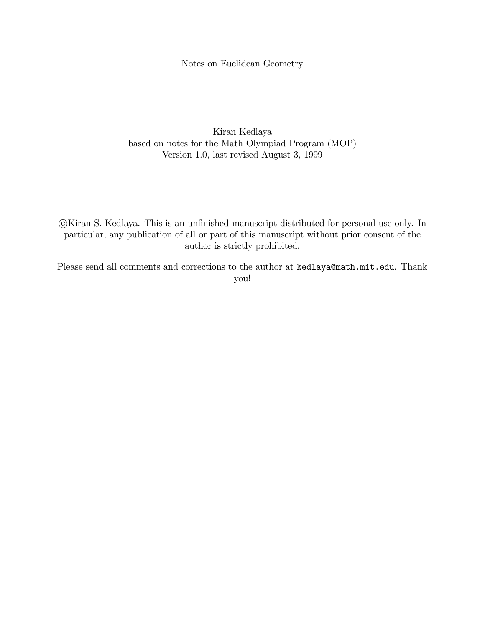Notes on Euclidean Geometry

Kiran Kedlaya based on notes for the Math Olympiad Program (MOP) Version 1.0, last revised August 3, 1999

CKiran S. Kedlaya. This is an unfinished manuscript distributed for personal use only. In particular, any publication of all or part of this manuscript without prior consent of the author is strictly prohibited.

Please send all comments and corrections to the author at kedlaya@math.mit.edu. Thank you!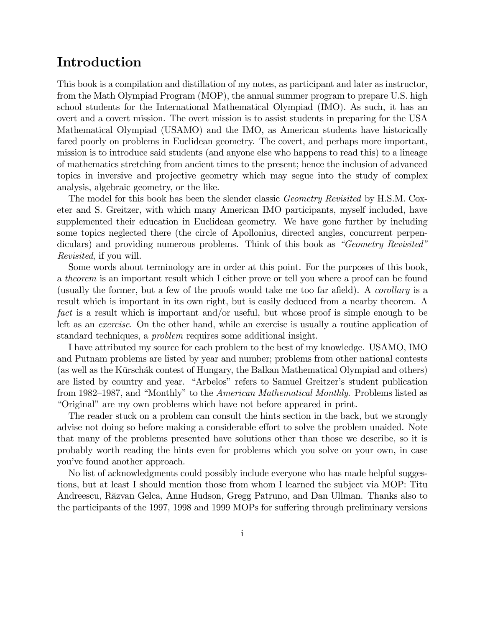### Introduction

This book is a compilation and distillation of my notes, as participant and later as instructor, from the Math Olympiad Program (MOP), the annual summer program to prepare U.S. high school students for the International Mathematical Olympiad (IMO). As such, it has an overt and a covert mission. The overt mission is to assist students in preparing for the USA Mathematical Olympiad (USAMO) and the IMO, as American students have historically fared poorly on problems in Euclidean geometry. The covert, and perhaps more important, mission is to introduce said students (and anyone else who happens to read this) to a lineage of mathematics stretching from ancient times to the present; hence the inclusion of advanced topics in inversive and projective geometry which may segue into the study of complex analysis, algebraic geometry, or the like.

The model for this book has been the slender classic *Geometry Revisited* by H.S.M. Coxeter and S. Greitzer, with which many American IMO participants, myself included, have supplemented their education in Euclidean geometry. We have gone further by including some topics neglected there (the circle of Apollonius, directed angles, concurrent perpendiculars) and providing numerous problems. Think of this book as "Geometry Revisited" Revisited, if you will.

Some words about terminology are in order at this point. For the purposes of this book, a theorem is an important result which I either prove or tell you where a proof can be found (usually the former, but a few of the proofs would take me too far afield). A *corollary* is a result which is important in its own right, but is easily deduced from a nearby theorem. A fact is a result which is important and/or useful, but whose proof is simple enough to be left as an exercise. On the other hand, while an exercise is usually a routine application of standard techniques, a problem requires some additional insight.

I have attributed my source for each problem to the best of my knowledge. USAMO, IMO and Putnam problems are listed by year and number; problems from other national contests (as well as the Kürschák contest of Hungary, the Balkan Mathematical Olympiad and others) are listed by country and year. "Arbelos" refers to Samuel Greitzer's student publication from 1982–1987, and "Monthly" to the American Mathematical Monthly. Problems listed as ìOriginalîare my own problems which have not before appeared in print.

The reader stuck on a problem can consult the hints section in the back, but we strongly advise not doing so before making a considerable effort to solve the problem unaided. Note that many of the problems presented have solutions other than those we describe, so it is probably worth reading the hints even for problems which you solve on your own, in case youíve found another approach.

No list of acknowledgments could possibly include everyone who has made helpful suggestions, but at least I should mention those from whom I learned the subject via MOP: Titu Andreescu, Răzvan Gelca, Anne Hudson, Gregg Patruno, and Dan Ullman. Thanks also to the participants of the 1997, 1998 and 1999 MOPs for suffering through preliminary versions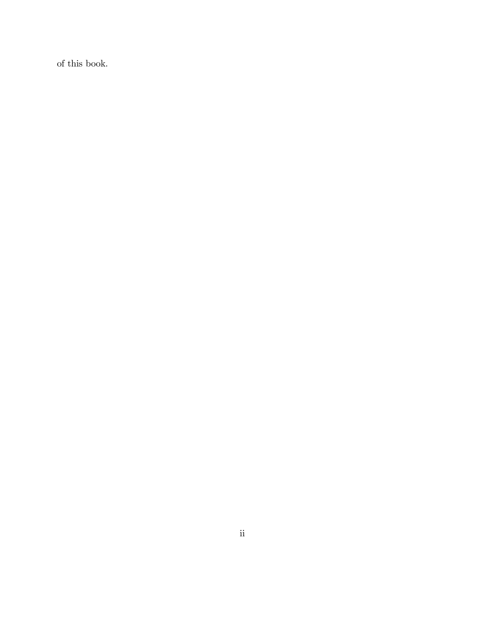of this book.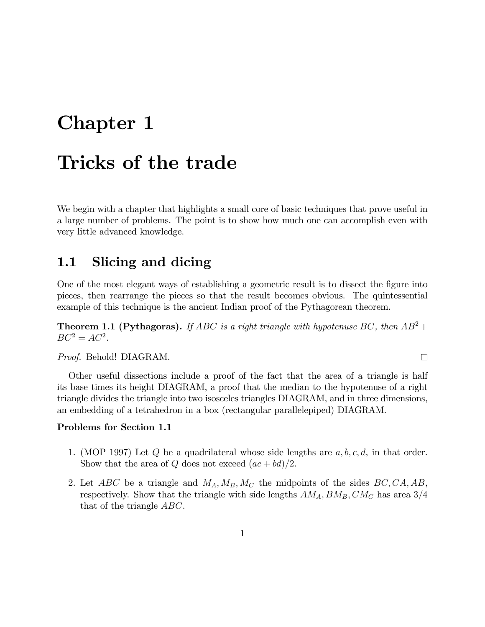# Chapter 1

## Tricks of the trade

We begin with a chapter that highlights a small core of basic techniques that prove useful in a large number of problems. The point is to show how much one can accomplish even with very little advanced knowledge.

## 1.1 Slicing and dicing

One of the most elegant ways of establishing a geometric result is to dissect the figure into pieces, then rearrange the pieces so that the result becomes obvious. The quintessential example of this technique is the ancient Indian proof of the Pythagorean theorem.

**Theorem 1.1 (Pythagoras).** If ABC is a right triangle with hypotenuse BC, then  $AB^2$  +  $BC^2 = AC^2$ .

 $\Box$ 

#### Proof. Behold! DIAGRAM.

Other useful dissections include a proof of the fact that the area of a triangle is half its base times its height DIAGRAM, a proof that the median to the hypotenuse of a right triangle divides the triangle into two isosceles triangles DIAGRAM, and in three dimensions, an embedding of a tetrahedron in a box (rectangular parallelepiped) DIAGRAM.

#### Problems for Section 1.1

- 1. (MOP 1997) Let  $Q$  be a quadrilateral whose side lengths are  $a, b, c, d$ , in that order. Show that the area of Q does not exceed  $(ac + bd)/2$ .
- 2. Let ABC be a triangle and  $M_A, M_B, M_C$  the midpoints of the sides BC, CA, AB, respectively. Show that the triangle with side lengths  $AM_A$ ,  $BM_B$ ,  $CM_C$  has area 3/4 that of the triangle ABC.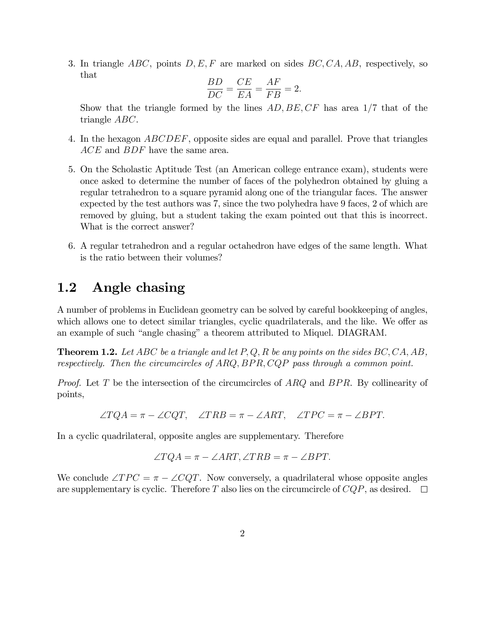3. In triangle ABC, points  $D, E, F$  are marked on sides  $BC, CA, AB$ , respectively, so that

$$
\frac{BD}{DC} = \frac{CE}{EA} = \frac{AF}{FB} = 2.
$$

Show that the triangle formed by the lines  $AD, BE, CF$  has area  $1/7$  that of the triangle ABC.

- 4. In the hexagon ABCDEF, opposite sides are equal and parallel. Prove that triangles ACE and BDF have the same area.
- 5. On the Scholastic Aptitude Test (an American college entrance exam), students were once asked to determine the number of faces of the polyhedron obtained by gluing a regular tetrahedron to a square pyramid along one of the triangular faces. The answer expected by the test authors was 7, since the two polyhedra have 9 faces, 2 of which are removed by gluing, but a student taking the exam pointed out that this is incorrect. What is the correct answer?
- 6. A regular tetrahedron and a regular octahedron have edges of the same length. What is the ratio between their volumes?

## 1.2 Angle chasing

A number of problems in Euclidean geometry can be solved by careful bookkeeping of angles, which allows one to detect similar triangles, cyclic quadrilaterals, and the like. We offer as an example of such "angle chasing" a theorem attributed to Miquel. DIAGRAM.

**Theorem 1.2.** Let ABC be a triangle and let  $P, Q, R$  be any points on the sides BC, CA, AB, respectively. Then the circumcircles of  $ARQ, BPR, CQP$  pass through a common point.

*Proof.* Let T be the intersection of the circumcircles of  $ARQ$  and  $BPR$ . By collinearity of points,

$$
\angle TQA = \pi - \angle CQT, \quad \angle TRB = \pi - \angle ART, \quad \angle TPC = \pi - \angle BPT.
$$

In a cyclic quadrilateral, opposite angles are supplementary. Therefore

$$
\angle TQA = \pi - \angle ART, \angle TRB = \pi - \angle BPT.
$$

We conclude  $\angle TPC = \pi - \angle CQT$ . Now conversely, a quadrilateral whose opposite angles are supplementary is cyclic. Therefore T also lies on the circumcircle of  $CQP$ , as desired.  $\square$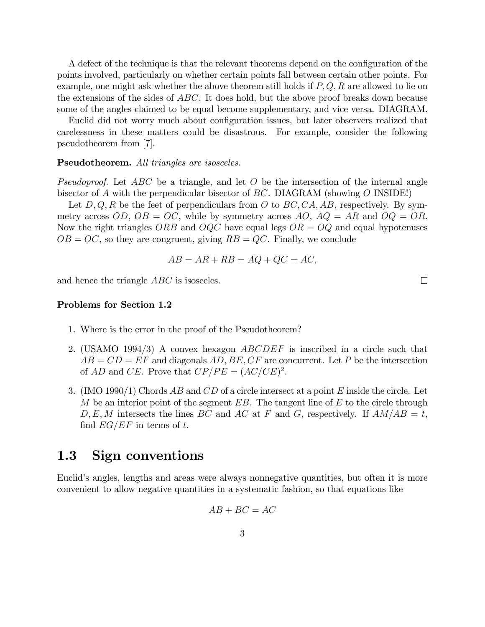A defect of the technique is that the relevant theorems depend on the configuration of the points involved, particularly on whether certain points fall between certain other points. For example, one might ask whether the above theorem still holds if  $P, Q, R$  are allowed to lie on the extensions of the sides of ABC. It does hold, but the above proof breaks down because some of the angles claimed to be equal become supplementary, and vice versa. DIAGRAM.

Euclid did not worry much about configuration issues, but later observers realized that carelessness in these matters could be disastrous. For example, consider the following pseudotheorem from [7].

#### Pseudotheorem. All triangles are isosceles.

*Pseudoproof.* Let  $ABC$  be a triangle, and let O be the intersection of the internal angle bisector of A with the perpendicular bisector of  $BC$ . DIAGRAM (showing O INSIDE!)

Let  $D, Q, R$  be the feet of perpendiculars from O to  $BC, CA, AB$ , respectively. By symmetry across  $OD$ ,  $OB = OC$ , while by symmetry across  $AO$ ,  $AQ = AR$  and  $OQ = OR$ . Now the right triangles ORB and OQC have equal legs  $OR = OQ$  and equal hypotenuses  $OB = OC$ , so they are congruent, giving  $RB = QC$ . Finally, we conclude

$$
AB = AR + RB = AQ + QC = AC,
$$

and hence the triangle ABC is isosceles.

#### Problems for Section 1.2

- 1. Where is the error in the proof of the Pseudotheorem?
- 2. (USAMO 1994/3) A convex hexagon ABCDEF is inscribed in a circle such that  $AB = CD = EF$  and diagonals  $AD, BE, CF$  are concurrent. Let P be the intersection of AD and CE. Prove that  $CP/PE = (AC/CE)^2$ .
- 3. (IMO 1990/1) Chords AB and CD of a circle intersect at a point E inside the circle. Let M be an interior point of the segment  $EB$ . The tangent line of E to the circle through D, E, M intersects the lines BC and AC at F and G, respectively. If  $AM/AB = t$ , find  $EG/EF$  in terms of t.

### 1.3 Sign conventions

Euclid's angles, lengths and areas were always nonnegative quantities, but often it is more convenient to allow negative quantities in a systematic fashion, so that equations like

$$
AB + BC = AC
$$

 $\Box$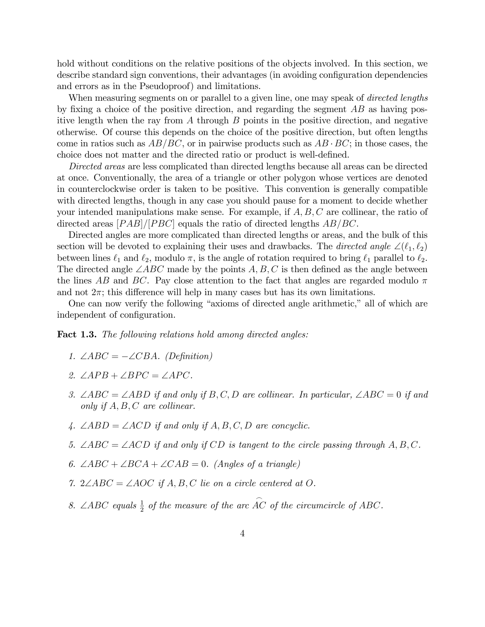hold without conditions on the relative positions of the objects involved. In this section, we describe standard sign conventions, their advantages (in avoiding configuration dependencies and errors as in the Pseudoproof) and limitations.

When measuring segments on or parallel to a given line, one may speak of *directed lengths* by fixing a choice of the positive direction, and regarding the segment  $AB$  as having positive length when the ray from A through B points in the positive direction, and negative otherwise. Of course this depends on the choice of the positive direction, but often lengths come in ratios such as  $AB/BC$ , or in pairwise products such as  $AB \cdot BC$ ; in those cases, the choice does not matter and the directed ratio or product is well-defined.

Directed areas are less complicated than directed lengths because all areas can be directed at once. Conventionally, the area of a triangle or other polygon whose vertices are denoted in counterclockwise order is taken to be positive. This convention is generally compatible with directed lengths, though in any case you should pause for a moment to decide whether your intended manipulations make sense. For example, if  $A, B, C$  are collinear, the ratio of directed areas  $|PAB|/|PBC|$  equals the ratio of directed lengths  $AB/BC$ .

Directed angles are more complicated than directed lengths or areas, and the bulk of this section will be devoted to explaining their uses and drawbacks. The *directed angle*  $\angle(\ell_1, \ell_2)$ between lines  $\ell_1$  and  $\ell_2$ , modulo  $\pi$ , is the angle of rotation required to bring  $\ell_1$  parallel to  $\ell_2$ . The directed angle  $\angle ABC$  made by the points A, B, C is then defined as the angle between the lines AB and BC. Pay close attention to the fact that angles are regarded modulo  $\pi$ and not  $2\pi$ ; this difference will help in many cases but has its own limitations.

One can now verify the following "axioms of directed angle arithmetic," all of which are independent of configuration.

Fact 1.3. The following relations hold among directed angles:

- 1.  $\angle ABC = -\angle CBA$ . (Definition)
- 2.  $\angle APB + \angle BPC = \angle APC$ .
- 3.  $\angle ABC = \angle ABD$  if and only if B, C, D are collinear. In particular,  $\angle ABC = 0$  if and only if  $A, B, C$  are collinear.
- 4.  $\angle ABD = \angle ACD$  if and only if A, B, C, D are concyclic.
- 5.  $\angle ABC = \angle ACD$  if and only if CD is tangent to the circle passing through A, B, C.
- 6.  $\angle ABC + \angle BCA + \angle CAB = 0$ . (Angles of a triangle)
- 7. 2 $\angle ABC = \angle AOC$  if A, B, C lie on a circle centered at O.
- 8.  $\angle ABC$  equals  $\frac{1}{2}$  of the measure of the arc  $\stackrel{\frown}{AC}$  of the circumcircle of ABC.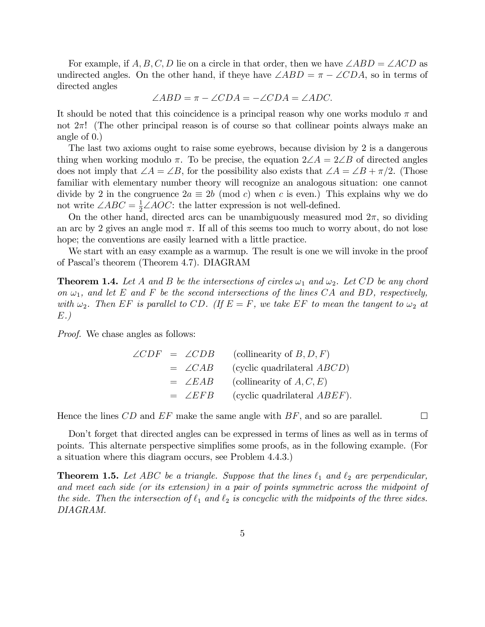For example, if A, B, C, D lie on a circle in that order, then we have  $\angle ABD = \angle ACD$  as undirected angles. On the other hand, if theye have  $\angle ABD = \pi - \angle CDA$ , so in terms of directed angles

$$
\angle ABD = \pi - \angle CDA = -\angle CDA = \angle ADC.
$$

It should be noted that this coincidence is a principal reason why one works modulo  $\pi$  and not  $2\pi$ ! (The other principal reason is of course so that collinear points always make an angle of 0.)

The last two axioms ought to raise some eyebrows, because division by 2 is a dangerous thing when working modulo  $\pi$ . To be precise, the equation  $2\angle A = 2\angle B$  of directed angles does not imply that  $\angle A = \angle B$ , for the possibility also exists that  $\angle A = \angle B + \pi/2$ . (Those familiar with elementary number theory will recognize an analogous situation: one cannot divide by 2 in the congruence  $2a \equiv 2b \pmod{c}$  when c is even.) This explains why we do not write  $\angle ABC = \frac{1}{2}\angle AOC$ : the latter expression is not well-defined.

On the other hand, directed arcs can be unambiguously measured mod  $2\pi$ , so dividing an arc by 2 gives an angle mod  $\pi$ . If all of this seems too much to worry about, do not lose hope; the conventions are easily learned with a little practice.

We start with an easy example as a warmup. The result is one we will invoke in the proof of Pascal's theorem (Theorem 4.7). DIAGRAM

**Theorem 1.4.** Let A and B be the intersections of circles  $\omega_1$  and  $\omega_2$ . Let CD be any chord on  $\omega_1$ , and let E and F be the second intersections of the lines CA and BD, respectively, with  $\omega_2$ . Then EF is parallel to CD. (If  $E = F$ , we take EF to mean the tangent to  $\omega_2$  at E.)

Proof. We chase angles as follows:

|  | $\angle CDF = \angle CDB$ | (collinearity of $B, D, F$ )    |
|--|---------------------------|---------------------------------|
|  | $= \angle CAB$            | (cyclic quadrilateral $ABCD$ )  |
|  | $= \angle EAB$            | (collinearity of $A, C, E$ )    |
|  | $=$ /EFB                  | (cyclic quadrilateral $ABEF$ ). |

 $\Box$ 

Hence the lines  $CD$  and  $EF$  make the same angle with  $BF$ , and so are parallel.

Don't forget that directed angles can be expressed in terms of lines as well as in terms of points. This alternate perspective simplifies some proofs, as in the following example. (For a situation where this diagram occurs, see Problem 4.4.3.)

**Theorem 1.5.** Let ABC be a triangle. Suppose that the lines  $\ell_1$  and  $\ell_2$  are perpendicular, and meet each side (or its extension) in a pair of points symmetric across the midpoint of the side. Then the intersection of  $\ell_1$  and  $\ell_2$  is concyclic with the midpoints of the three sides. DIAGRAM.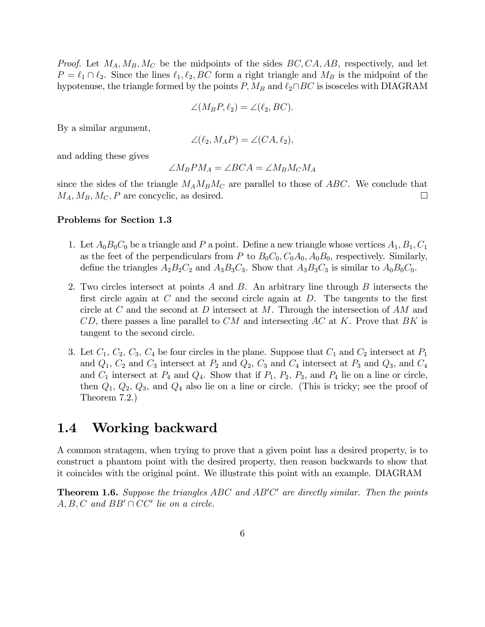*Proof.* Let  $M_A$ ,  $M_B$ ,  $M_C$  be the midpoints of the sides  $BC, CA$ ,  $AB$ , respectively, and let  $P = \ell_1 \cap \ell_2$ . Since the lines  $\ell_1, \ell_2, BC$  form a right triangle and  $M_B$  is the midpoint of the hypotenuse, the triangle formed by the points  $P$ ,  $M_B$  and  $\ell_2 \cap BC$  is isosceles with DIAGRAM

$$
\angle(M_B P, \ell_2) = \angle(\ell_2, BC).
$$

By a similar argument,

$$
\angle(\ell_2, M_A P) = \angle(CA, \ell_2),
$$

and adding these gives

$$
\angle M_B P M_A = \angle B C A = \angle M_B M_C M_A
$$

since the sides of the triangle  $M_A M_B M_C$  are parallel to those of ABC. We conclude that  $M_A, M_B, M_C, P$  are concyclic, as desired.  $\Box$ 

#### Problems for Section 1.3

- 1. Let  $A_0B_0C_0$  be a triangle and P a point. Define a new triangle whose vertices  $A_1, B_1, C_1$ as the feet of the perpendiculars from P to  $B_0C_0$ ,  $C_0A_0$ ,  $A_0B_0$ , respectively. Similarly, define the triangles  $A_2B_2C_2$  and  $A_3B_3C_3$ . Show that  $A_3B_3C_3$  is similar to  $A_0B_0C_0$ .
- 2. Two circles intersect at points A and B. An arbitrary line through B intersects the first circle again at  $C$  and the second circle again at  $D$ . The tangents to the first circle at  $C$  and the second at  $D$  intersect at  $M$ . Through the intersection of  $AM$  and  $CD$ , there passes a line parallel to CM and intersecting AC at K. Prove that BK is tangent to the second circle.
- 3. Let  $C_1$ ,  $C_2$ ,  $C_3$ ,  $C_4$  be four circles in the plane. Suppose that  $C_1$  and  $C_2$  intersect at  $P_1$ and  $Q_1$ ,  $C_2$  and  $C_3$  intersect at  $P_2$  and  $Q_2$ ,  $C_3$  and  $C_4$  intersect at  $P_3$  and  $Q_3$ , and  $C_4$ and  $C_1$  intersect at  $P_4$  and  $Q_4$ . Show that if  $P_1$ ,  $P_2$ ,  $P_3$ , and  $P_4$  lie on a line or circle, then  $Q_1, Q_2, Q_3$ , and  $Q_4$  also lie on a line or circle. (This is tricky; see the proof of Theorem 7.2.)

## 1.4 Working backward

A common stratagem, when trying to prove that a given point has a desired property, is to construct a phantom point with the desired property, then reason backwards to show that it coincides with the original point. We illustrate this point with an example. DIAGRAM

**Theorem 1.6.** Suppose the triangles ABC and AB'C' are directly similar. Then the points  $A, B, C$  and  $BB' \cap CC'$  lie on a circle.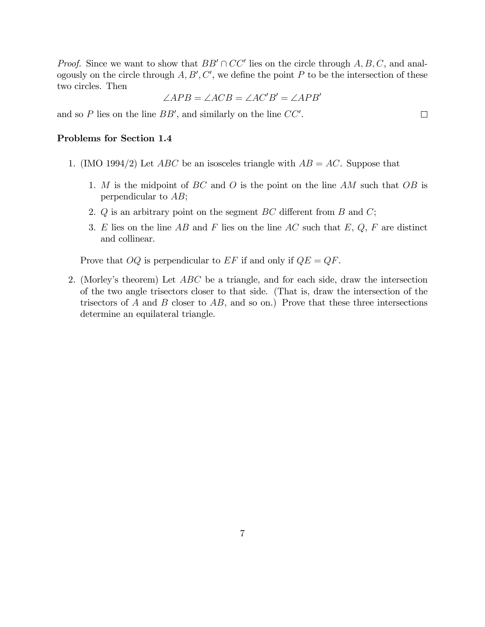*Proof.* Since we want to show that  $BB' \cap CC'$  lies on the circle through  $A, B, C$ , and analogously on the circle through  $A, B', C'$ , we define the point P to be the intersection of these two circles. Then

$$
\angle APB = \angle ACB = \angle AC'B' = \angle APB'
$$

and so  $P$  lies on the line  $BB'$ , and similarly on the line  $CC'$ .

#### Problems for Section 1.4

- 1. (IMO 1994/2) Let ABC be an isosceles triangle with  $AB = AC$ . Suppose that
	- 1. M is the midpoint of  $BC$  and O is the point on the line AM such that  $OB$  is perpendicular to AB;
	- 2.  $Q$  is an arbitrary point on the segment  $BC$  different from  $B$  and  $C$ ;
	- 3. E lies on the line  $AB$  and F lies on the line AC such that E, Q, F are distinct and collinear.

Prove that  $OQ$  is perpendicular to EF if and only if  $QE = QF$ .

2. (Morley's theorem) Let ABC be a triangle, and for each side, draw the intersection of the two angle trisectors closer to that side. (That is, draw the intersection of the trisectors of  $A$  and  $B$  closer to  $AB$ , and so on.) Prove that these three intersections determine an equilateral triangle.

 $\Box$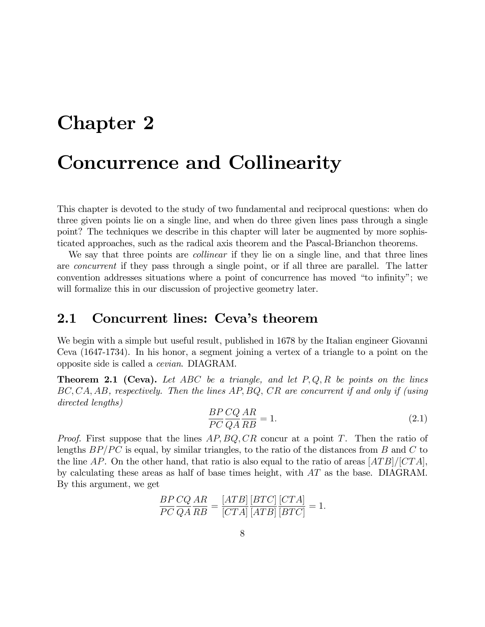## Chapter 2

## Concurrence and Collinearity

This chapter is devoted to the study of two fundamental and reciprocal questions: when do three given points lie on a single line, and when do three given lines pass through a single point? The techniques we describe in this chapter will later be augmented by more sophisticated approaches, such as the radical axis theorem and the Pascal-Brianchon theorems.

We say that three points are *collinear* if they lie on a single line, and that three lines are concurrent if they pass through a single point, or if all three are parallel. The latter convention addresses situations where a point of concurrence has moved "to infinity"; we will formalize this in our discussion of projective geometry later.

### 2.1 Concurrent lines: Ceva's theorem

We begin with a simple but useful result, published in 1678 by the Italian engineer Giovanni Ceva (1647-1734). In his honor, a segment joining a vertex of a triangle to a point on the opposite side is called a cevian. DIAGRAM.

**Theorem 2.1 (Ceva).** Let ABC be a triangle, and let  $P, Q, R$  be points on the lines  $BC, CA, AB$ , respectively. Then the lines  $AP, BQ, CR$  are concurrent if and only if (using directed lengths)

$$
\frac{BP}{PC}\frac{CQ}{QA}\frac{AR}{RB} = 1.\tag{2.1}
$$

*Proof.* First suppose that the lines  $AP, BQ, CR$  concur at a point T. Then the ratio of lengths  $BP/PC$  is equal, by similar triangles, to the ratio of the distances from B and C to the line AP. On the other hand, that ratio is also equal to the ratio of areas  $[ATB]/[CTA]$ , by calculating these areas as half of base times height, with AT as the base. DIAGRAM. By this argument, we get

$$
\frac{BP\ CQ\ AR}{PC\ QA\ RB} = \frac{[ATB] [BTC] [CTA]}{[CTA] [ATB] [BTC]} = 1.
$$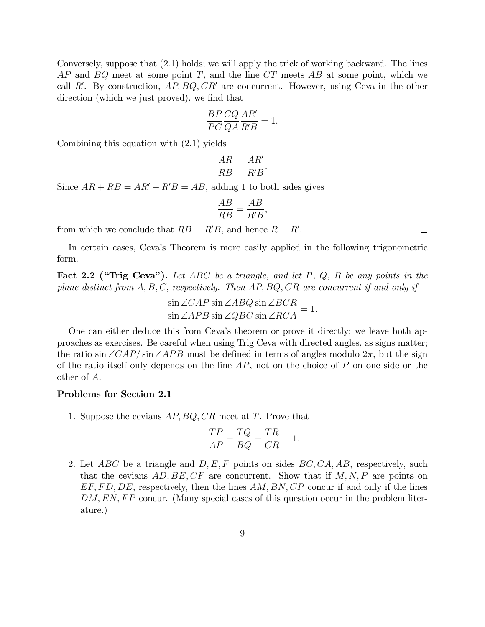Conversely, suppose that (2.1) holds; we will apply the trick of working backward. The lines  $AP$  and  $BQ$  meet at some point T, and the line  $CT$  meets  $AB$  at some point, which we call R'. By construction,  $AP, BQ, CR'$  are concurrent. However, using Ceva in the other direction (which we just proved), we find that

$$
\frac{BP}{PC}\frac{CQ}{QA}\frac{AR'}{R'B} = 1.
$$

Combining this equation with (2.1) yields

$$
\frac{AR}{RB} = \frac{AR'}{R'B}
$$

:

Since  $AR + RB = AR' + R'B = AB$ , adding 1 to both sides gives

$$
\frac{AB}{RB} = \frac{AB}{R'B},
$$

from which we conclude that  $RB = R'B$ , and hence  $R = R'$ .

In certain cases, Cevaís Theorem is more easily applied in the following trigonometric form.

**Fact 2.2** ("Trig Ceva"). Let ABC be a triangle, and let P, Q, R be any points in the plane distinct from  $A, B, C$ , respectively. Then  $AP, BQ, CR$  are concurrent if and only if

$$
\frac{\sin \angle CAP}{\sin \angle APB} \frac{\sin \angle ABQ}{\sin \angle APB} \frac{\sin \angle BCR}{\sin \angle RCA} = 1.
$$

One can either deduce this from Ceva's theorem or prove it directly; we leave both approaches as exercises. Be careful when using Trig Ceva with directed angles, as signs matter; the ratio sin  $\angle CAP$  sin  $\angle APB$  must be defined in terms of angles modulo  $2\pi$ , but the sign of the ratio itself only depends on the line  $AP$ , not on the choice of P on one side or the other of A.

#### Problems for Section 2.1

1. Suppose the cevians  $AP, BQ, CR$  meet at T. Prove that

$$
\frac{TP}{AP} + \frac{TQ}{BQ} + \frac{TR}{CR} = 1.
$$

2. Let ABC be a triangle and  $D, E, F$  points on sides  $BC, CA, AB$ , respectively, such that the cevians  $AD, BE, CF$  are concurrent. Show that if  $M, N, P$  are points on  $EF, FD, DE$ , respectively, then the lines  $AM, BN, CP$  concur if and only if the lines  $DM, EN, FP$  concur. (Many special cases of this question occur in the problem literature.)

 $\Box$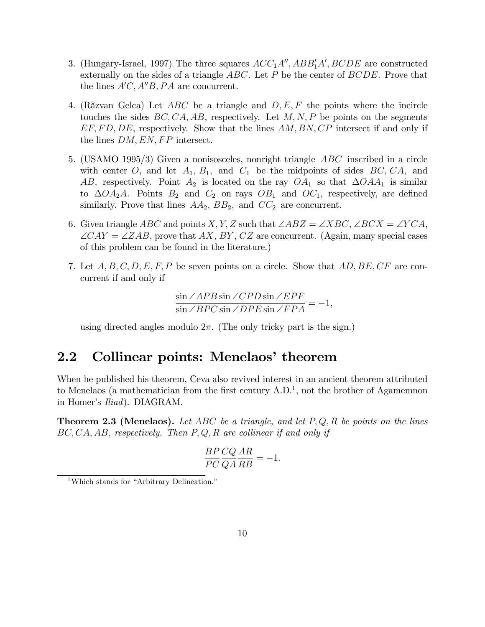- 3. (Hungary-Israel, 1997) The three squares  $ACC<sub>1</sub>A''$ ,  $ABB'_{1}A'$ ,  $BCDE$  are constructed externally on the sides of a triangle  $ABC$ . Let P be the center of  $BCDE$ . Prove that the lines  $A'C$ ,  $A''B$ ,  $PA$  are concurrent.
- 4. (Răzvan Gelca) Let  $ABC$  be a triangle and  $D, E, F$  the points where the incircle touches the sides  $BC, CA, AB$ , respectively. Let  $M, N, P$  be points on the segments  $EF, FD, DE$ , respectively. Show that the lines  $AM, BN, CP$  intersect if and only if the lines  $DM, EN, FP$  intersect.
- 5. (USAMO 1995/3) Given a nonisosceles, nonright triangle ABC inscribed in a circle with center O, and let  $A_1$ ,  $B_1$ , and  $C_1$  be the midpoints of sides  $BC$ ,  $CA$ , and AB, respectively. Point  $A_2$  is located on the ray  $OA_1$  so that  $\Delta OAA_1$  is similar to  $\Delta OA_2A$ . Points  $B_2$  and  $C_2$  on rays  $OB_1$  and  $OC_1$ , respectively, are defined similarly. Prove that lines  $AA_2$ ,  $BB_2$ , and  $CC_2$  are concurrent.
- 6. Given triangle ABC and points X, Y, Z such that  $\angle ABZ = \angle XBC$ ,  $\angle BCX = \angle YCA$ ,  $\angle CAY = \angle ZAB$ , prove that AX, BY, CZ are concurrent. (Again, many special cases of this problem can be found in the literature.)
- 7. Let  $A, B, C, D, E, F, P$  be seven points on a circle. Show that  $AD, BE, CF$  are concurrent if and only if

 $\sin \angle APB \sin \angle CPD \sin \angle EPF$  $\frac{\sin \ln P \sin \ln P \sin \ln P \sin \ln P}{\sin \ln \ln P \sin \ln P \sin \ln P} = -1,$ 

using directed angles modulo  $2\pi$ . (The only tricky part is the sign.)

## 2.2 Collinear points: Menelaos' theorem

When he published his theorem, Ceva also revived interest in an ancient theorem attributed to Menelaos (a mathematician from the first century A.D.<sup>1</sup>, not the brother of Agamemnon in Homer's *Iliad*). DIAGRAM.

**Theorem 2.3 (Menelaos).** Let ABC be a triangle, and let  $P, Q, R$  be points on the lines  $BC, CA, AB$ , respectively. Then  $P, Q, R$  are collinear if and only if

$$
\frac{BP\,CQ\,AR}{PC\,QA\,RB} = -1.
$$

<sup>&</sup>lt;sup>1</sup>Which stands for "Arbitrary Delineation."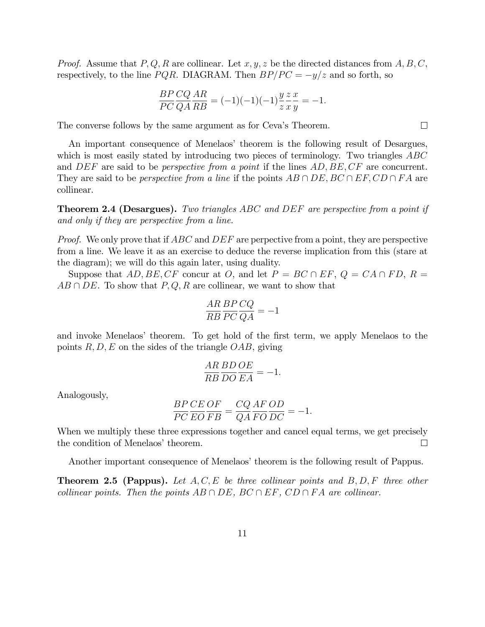*Proof.* Assume that P; Q; R are collinear. Let x, y, z be the directed distances from A, B, C, respectively, to the line PQR. DIAGRAM. Then  $BP/PC = -y/z$  and so forth, so

$$
\frac{BP}{PC}\frac{CQ}{QA}\frac{AR}{RB} = (-1)(-1)(-1)\frac{y}{z}\frac{z}{x}\frac{x}{y} = -1.
$$

The converse follows by the same argument as for Ceva's Theorem.

An important consequence of Menelaos' theorem is the following result of Desargues, which is most easily stated by introducing two pieces of terminology. Two triangles ABC and DEF are said to be *perspective from a point* if the lines  $AD, BE, CF$  are concurrent. They are said to be *perspective from a line* if the points  $AB \cap DE$ ,  $BC \cap EF$ ,  $CD \cap FA$  are collinear.

**Theorem 2.4 (Desargues).** Two triangles ABC and DEF are perspective from a point if and only if they are perspective from a line.

Proof. We only prove that if ABC and DEF are perpective from a point, they are perspective from a line. We leave it as an exercise to deduce the reverse implication from this (stare at the diagram); we will do this again later, using duality.

Suppose that AD, BE, CF concur at O, and let  $P = BC \cap EF$ ,  $Q = CA \cap FD$ ,  $R =$  $AB \cap DE$ . To show that P, Q, R are collinear, we want to show that

$$
\frac{AR}{RB}\frac{BP}{PC}\frac{CQ}{QA} = -1
$$

and invoke Menelaos' theorem. To get hold of the first term, we apply Menelaos to the points  $R, D, E$  on the sides of the triangle  $OAB$ , giving

$$
\frac{AR}{RB}\frac{BD}{DO}\frac{OE}{EA} = -1.
$$

Analogously,

$$
\frac{BP \, CE \, OF}{PC \, EO \, FB} = \frac{CQ}{QA \, FO} \frac{AF \, OD}{FO \, DC} = -1.
$$

When we multiply these three expressions together and cancel equal terms, we get precisely the condition of Menelaos' theorem.  $\Box$ 

Another important consequence of Menelaos' theorem is the following result of Pappus.

**Theorem 2.5 (Pappus).** Let  $A, C, E$  be three collinear points and  $B, D, F$  three other collinear points. Then the points  $AB \cap DE$ ,  $BC \cap EF$ ,  $CD \cap FA$  are collinear.

 $\Box$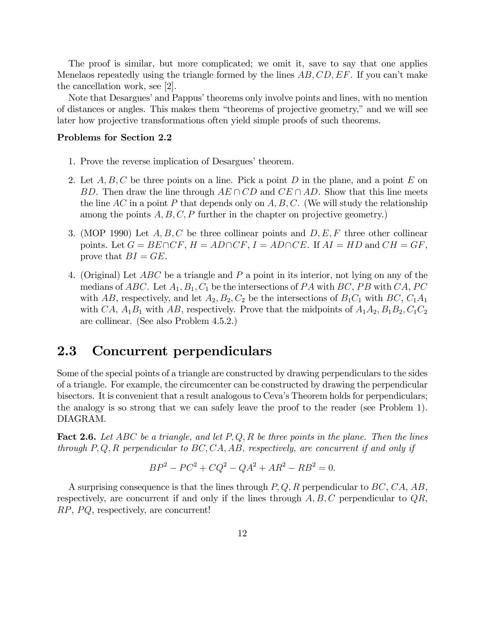The proof is similar, but more complicated; we omit it, save to say that one applies Menelaos repeatedly using the triangle formed by the lines  $AB, CD, EF$ . If you can't make the cancellation work, see [2].

Note that Desargues' and Pappus' theorems only involve points and lines, with no mention of distances or angles. This makes them "theorems of projective geometry," and we will see later how projective transformations often yield simple proofs of such theorems.

#### Problems for Section 2.2

- 1. Prove the reverse implication of Desargues' theorem.
- 2. Let  $A, B, C$  be three points on a line. Pick a point D in the plane, and a point E on BD. Then draw the line through  $AE \cap CD$  and  $CE \cap AD$ . Show that this line meets the line AC in a point P that depends only on  $A, B, C$ . (We will study the relationship among the points  $A, B, C, P$  further in the chapter on projective geometry.)
- 3. (MOP 1990) Let  $A, B, C$  be three collinear points and  $D, E, F$  three other collinear points. Let  $G = BE \cap CF$ ,  $H = AD \cap CF$ ,  $I = AD \cap CE$ . If  $AI = HD$  and  $CH = GF$ , prove that  $BI = GE$ .
- 4. (Original) Let ABC be a triangle and P a point in its interior, not lying on any of the medians of ABC. Let  $A_1, B_1, C_1$  be the intersections of PA with BC, PB with CA, PC with AB, respectively, and let  $A_2, B_2, C_2$  be the intersections of  $B_1C_1$  with  $BC, C_1A_1$ with  $CA$ ,  $A_1B_1$  with  $AB$ , respectively. Prove that the midpoints of  $A_1A_2, B_1B_2, C_1C_2$ are collinear. (See also Problem 4.5.2.)

## 2.3 Concurrent perpendiculars

Some of the special points of a triangle are constructed by drawing perpendiculars to the sides of a triangle. For example, the circumcenter can be constructed by drawing the perpendicular bisectors. It is convenient that a result analogous to Cevaís Theorem holds for perpendiculars; the analogy is so strong that we can safely leave the proof to the reader (see Problem 1). DIAGRAM.

**Fact 2.6.** Let ABC be a triangle, and let  $P, Q, R$  be three points in the plane. Then the lines through  $P, Q, R$  perpendicular to  $BC, CA, AB$ , respectively, are concurrent if and only if

$$
BP^2 - PC^2 + CQ^2 - QA^2 + AR^2 - RB^2 = 0.
$$

A surprising consequence is that the lines through  $P, Q, R$  perpendicular to  $BC, CA, AB$ , respectively, are concurrent if and only if the lines through  $A, B, C$  perpendicular to  $QR$ ,  $RP$ ,  $PQ$ , respectively, are concurrent!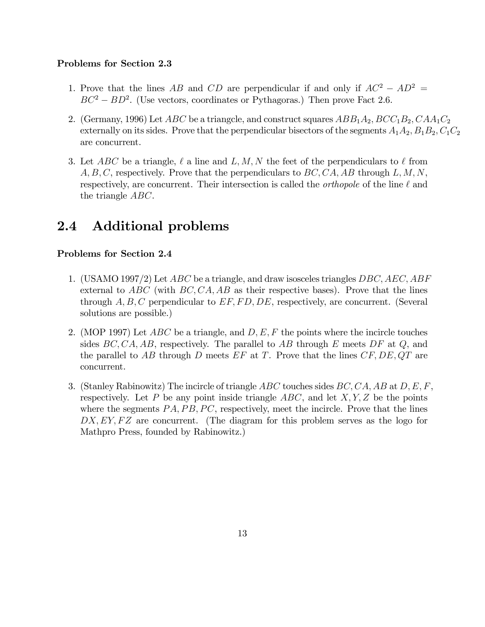#### Problems for Section 2.3

- 1. Prove that the lines AB and CD are perpendicular if and only if  $AC^2 AD^2 =$  $BC^2 - BD^2$ . (Use vectors, coordinates or Pythagoras.) Then prove Fact 2.6.
- 2. (Germany, 1996) Let  $ABC$  be a triangcle, and construct squares  $ABB<sub>1</sub>A<sub>2</sub>, BCC<sub>1</sub>B<sub>2</sub>, CAA<sub>1</sub>C<sub>2</sub>$ externally on its sides. Prove that the perpendicular bisectors of the segments  $A_1A_2, B_1B_2, C_1C_2$ are concurrent.
- 3. Let ABC be a triangle,  $\ell$  a line and L, M, N the feet of the perpendiculars to  $\ell$  from  $A, B, C$ , respectively. Prove that the perpendiculars to  $BC, CA, AB$  through  $L, M, N$ , respectively, are concurrent. Their intersection is called the *orthopole* of the line  $\ell$  and the triangle ABC.

## 2.4 Additional problems

#### Problems for Section 2.4

- 1. (USAMO 1997/2) Let ABC be a triangle, and draw isosceles triangles DBC, AEC, ABF external to  $ABC$  (with  $BC, CA, AB$  as their respective bases). Prove that the lines through  $A, B, C$  perpendicular to  $EF, FD, DE$ , respectively, are concurrent. (Several solutions are possible.)
- 2. (MOP 1997) Let  $ABC$  be a triangle, and D, E, F the points where the incircle touches sides  $BC, CA, AB$ , respectively. The parallel to AB through E meets DF at Q, and the parallel to  $AB$  through D meets  $EF$  at T. Prove that the lines  $CF, DE, QT$  are concurrent.
- 3. (Stanley Rabinowitz) The incircle of triangle  $ABC$  touches sides  $BC, CA, AB$  at  $D, E, F$ , respectively. Let P be any point inside triangle  $ABC$ , and let  $X, Y, Z$  be the points where the segments  $PA, PB, PC$ , respectively, meet the incircle. Prove that the lines  $DX, EY, FZ$  are concurrent. (The diagram for this problem serves as the logo for Mathpro Press, founded by Rabinowitz.)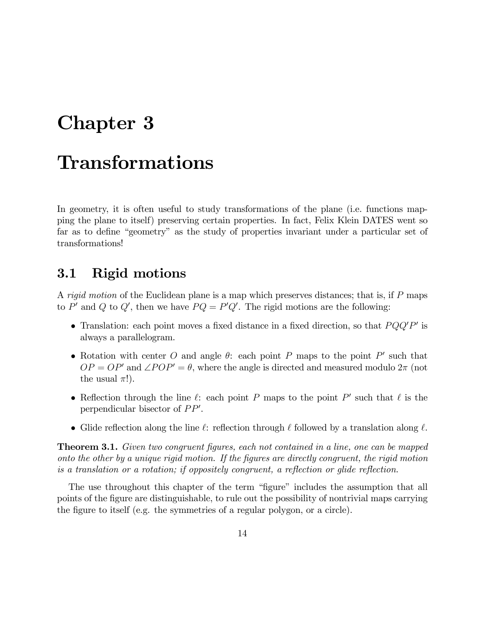## Chapter 3

## Transformations

In geometry, it is often useful to study transformations of the plane (i.e. functions mapping the plane to itself) preserving certain properties. In fact, Felix Klein DATES went so far as to define "geometry" as the study of properties invariant under a particular set of transformations!

## 3.1 Rigid motions

A *rigid motion* of the Euclidean plane is a map which preserves distances; that is, if P maps to P' and Q to Q', then we have  $PQ = P'Q'$ . The rigid motions are the following:

- Translation: each point moves a fixed distance in a fixed direction, so that  $PQQ'P'$  is always a parallelogram.
- Rotation with center O and angle  $\theta$ : each point P maps to the point P' such that  $OP = OP'$  and  $\angle POP' = \theta$ , where the angle is directed and measured modulo  $2\pi$  (not the usual  $\pi$ !).
- Reflection through the line  $\ell$ : each point P maps to the point P' such that  $\ell$  is the perpendicular bisector of  $PP'$ .
- Glide reflection along the line  $\ell$ : reflection through  $\ell$  followed by a translation along  $\ell$ .

**Theorem 3.1.** Given two congruent figures, each not contained in a line, one can be mapped onto the other by a unique rigid motion. If the Ögures are directly congruent, the rigid motion is a translation or a rotation; if oppositely congruent, a reflection or glide reflection.

The use throughout this chapter of the term "figure" includes the assumption that all points of the Ögure are distinguishable, to rule out the possibility of nontrivial maps carrying the figure to itself (e.g. the symmetries of a regular polygon, or a circle).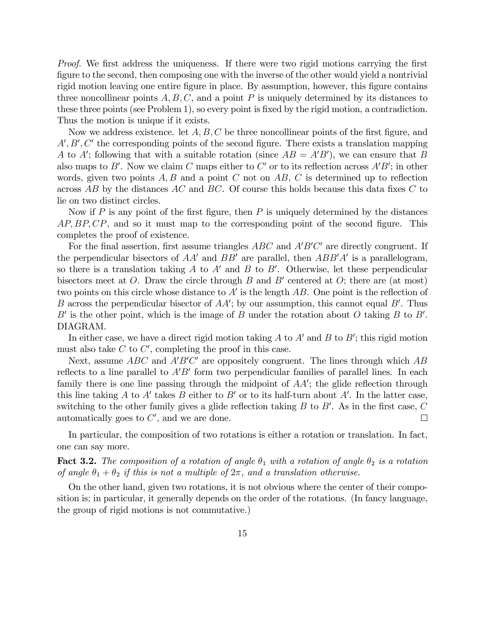Proof. We first address the uniqueness. If there were two rigid motions carrying the first figure to the second, then composing one with the inverse of the other would yield a nontrivial rigid motion leaving one entire figure in place. By assumption, however, this figure contains three noncollinear points  $A, B, C$ , and a point P is uniquely determined by its distances to these three points (see Problem 1), so every point is fixed by the rigid motion, a contradiction. Thus the motion is unique if it exists.

Now we address existence. let  $A, B, C$  be three noncollinear points of the first figure, and  $A', B', C'$  the corresponding points of the second figure. There exists a translation mapping A to A'; following that with a suitable rotation (since  $AB = A'B'$ ), we can ensure that B also maps to B'. Now we claim C maps either to C' or to its reflection across  $A'B'$ ; in other words, given two points  $A, B$  and a point C not on  $AB, C$  is determined up to reflection across  $AB$  by the distances  $AC$  and  $BC$ . Of course this holds because this data fixes C to lie on two distinct circles.

Now if  $P$  is any point of the first figure, then  $P$  is uniquely determined by the distances  $AP, BP, CP$ , and so it must map to the corresponding point of the second figure. This completes the proof of existence.

For the final assertion, first assume triangles  $ABC$  and  $A'B'C'$  are directly congruent. If the perpendicular bisectors of  $AA'$  and  $BB'$  are parallel, then  $ABB'A'$  is a parallelogram, so there is a translation taking A to A' and B to B'. Otherwise, let these perpendicular bisectors meet at O. Draw the circle through  $B$  and  $B'$  centered at  $O$ ; there are (at most) two points on this circle whose distance to  $A'$  is the length  $AB$ . One point is the reflection of B across the perpendicular bisector of  $AA'$ ; by our assumption, this cannot equal B'. Thus B' is the other point, which is the image of B under the rotation about O taking B to B'. DIAGRAM.

In either case, we have a direct rigid motion taking  $A$  to  $A'$  and  $B$  to  $B'$ ; this rigid motion must also take  $C$  to  $C'$ , completing the proof in this case.

Next, assume  $ABC$  and  $A'B'C'$  are oppositely congruent. The lines through which  $AB$ reflects to a line parallel to  $A'B'$  form two perpendicular families of parallel lines. In each family there is one line passing through the midpoint of  $AA'$ ; the glide reflection through this line taking A to A' takes B either to B' or to its half-turn about A'. In the latter case, switching to the other family gives a glide reflection taking  $B$  to  $B'$ . As in the first case,  $C$ automatically goes to  $C'$ , and we are done.  $\Box$ 

In particular, the composition of two rotations is either a rotation or translation. In fact, one can say more.

**Fact 3.2.** The composition of a rotation of angle  $\theta_1$  with a rotation of angle  $\theta_2$  is a rotation of angle  $\theta_1 + \theta_2$  if this is not a multiple of  $2\pi$ , and a translation otherwise.

On the other hand, given two rotations, it is not obvious where the center of their composition is; in particular, it generally depends on the order of the rotations. (In fancy language, the group of rigid motions is not commutative.)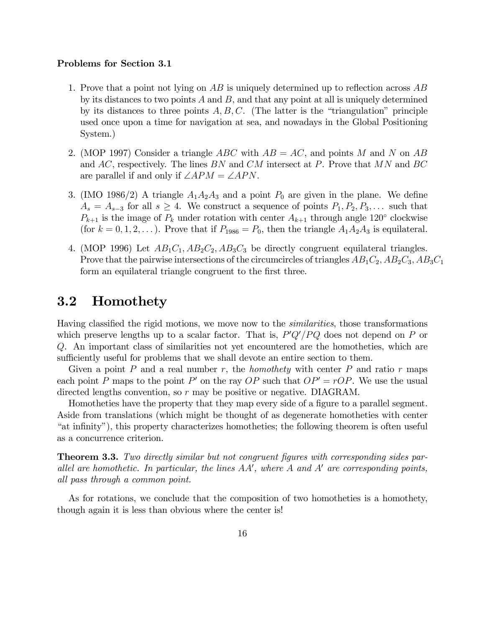#### Problems for Section 3.1

- 1. Prove that a point not lying on  $AB$  is uniquely determined up to reflection across  $AB$ by its distances to two points  $A$  and  $B$ , and that any point at all is uniquely determined by its distances to three points  $A, B, C$ . (The latter is the "triangulation" principle used once upon a time for navigation at sea, and nowadays in the Global Positioning System.)
- 2. (MOP 1997) Consider a triangle  $ABC$  with  $AB = AC$ , and points M and N on AB and  $AC$ , respectively. The lines BN and CM intersect at P. Prove that MN and BC are parallel if and only if  $\angle APM = \angle APN$ .
- 3. (IMO 1986/2) A triangle  $A_1A_2A_3$  and a point  $P_0$  are given in the plane. We define  $A_s = A_{s-3}$  for all  $s \geq 4$ . We construct a sequence of points  $P_1, P_2, P_3, \ldots$  such that  $P_{k+1}$  is the image of  $P_k$  under rotation with center  $A_{k+1}$  through angle 120<sup>°</sup> clockwise (for  $k = 0, 1, 2, \ldots$ ). Prove that if  $P_{1986} = P_0$ , then the triangle  $A_1A_2A_3$  is equilateral.
- 4. (MOP 1996) Let  $AB_1C_1$ ,  $AB_2C_2$ ,  $AB_3C_3$  be directly congruent equilateral triangles. Prove that the pairwise intersections of the circumcircles of triangles  $AB_1C_2$ ,  $AB_2C_3$ ,  $AB_3C_1$ form an equilateral triangle congruent to the first three.

### 3.2 Homothety

Having classified the rigid motions, we move now to the *similarities*, those transformations which preserve lengths up to a scalar factor. That is,  $P'Q'/PQ$  does not depend on P or Q. An important class of similarities not yet encountered are the homotheties, which are sufficiently useful for problems that we shall devote an entire section to them.

Given a point P and a real number r, the *homothety* with center P and ratio r maps each point P maps to the point P' on the ray OP such that  $OP' = rOP$ . We use the usual directed lengths convention, so r may be positive or negative. DIAGRAM.

Homotheties have the property that they map every side of a figure to a parallel segment. Aside from translations (which might be thought of as degenerate homotheties with center ìat inÖnityî), this property characterizes homotheties; the following theorem is often useful as a concurrence criterion.

**Theorem 3.3.** Two directly similar but not congruent figures with corresponding sides parallel are homothetic. In particular, the lines  $AA'$ , where  $A$  and  $A'$  are corresponding points, all pass through a common point.

As for rotations, we conclude that the composition of two homotheties is a homothety, though again it is less than obvious where the center is!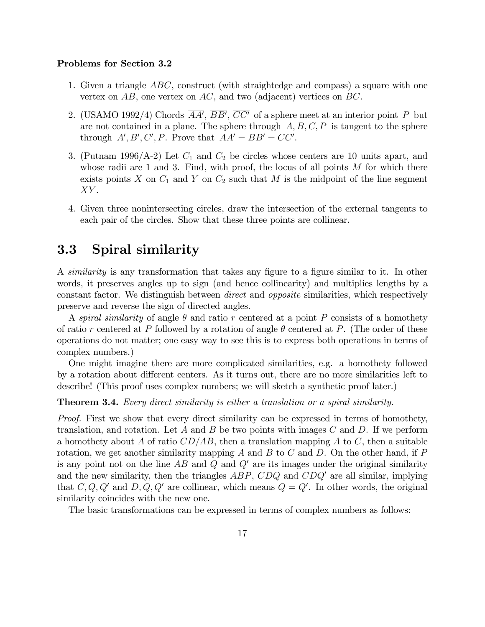#### Problems for Section 3.2

- 1. Given a triangle ABC, construct (with straightedge and compass) a square with one vertex on  $AB$ , one vertex on  $AC$ , and two (adjacent) vertices on  $BC$ .
- 2. (USAMO 1992/4) Chords  $AA'$ ,  $BB'$ ,  $CC'$  of a sphere meet at an interior point  $P$  but are not contained in a plane. The sphere through  $A, B, C, P$  is tangent to the sphere through  $A', B', C', P$ . Prove that  $AA' = BB' = CC'.$
- 3. (Putnam 1996/A-2) Let  $C_1$  and  $C_2$  be circles whose centers are 10 units apart, and whose radii are 1 and 3. Find, with proof, the locus of all points  $M$  for which there exists points X on  $C_1$  and Y on  $C_2$  such that M is the midpoint of the line segment  $XY$ .
- 4. Given three nonintersecting circles, draw the intersection of the external tangents to each pair of the circles. Show that these three points are collinear.

## 3.3 Spiral similarity

A *similarity* is any transformation that takes any figure to a figure similar to it. In other words, it preserves angles up to sign (and hence collinearity) and multiplies lengths by a constant factor. We distinguish between direct and opposite similarities, which respectively preserve and reverse the sign of directed angles.

A spiral similarity of angle  $\theta$  and ratio r centered at a point P consists of a homothety of ratio r centered at P followed by a rotation of angle  $\theta$  centered at P. (The order of these operations do not matter; one easy way to see this is to express both operations in terms of complex numbers.)

One might imagine there are more complicated similarities, e.g. a homothety followed by a rotation about different centers. As it turns out, there are no more similarities left to describe! (This proof uses complex numbers; we will sketch a synthetic proof later.)

**Theorem 3.4.** Every direct similarity is either a translation or a spiral similarity.

Proof. First we show that every direct similarity can be expressed in terms of homothety, translation, and rotation. Let A and B be two points with images  $C$  and  $D$ . If we perform a homothety about A of ratio  $CD/AB$ , then a translation mapping A to C, then a suitable rotation, we get another similarity mapping  $A$  and  $B$  to  $C$  and  $D$ . On the other hand, if  $P$ is any point not on the line  $AB$  and  $Q$  and  $Q'$  are its images under the original similarity and the new similarity, then the triangles  $ABP$ ,  $CDQ$  and  $CDQ'$  are all similar, implying that  $C, Q, Q'$  and  $D, Q, Q'$  are collinear, which means  $Q = Q'$ . In other words, the original similarity coincides with the new one.

The basic transformations can be expressed in terms of complex numbers as follows: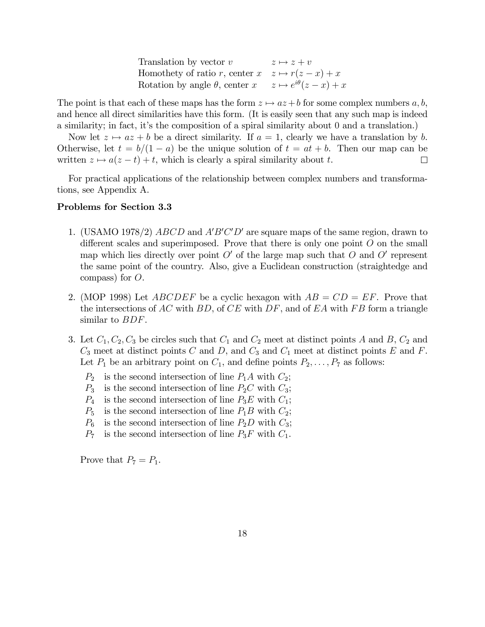| Translation by vector $v$                                                              | $z \mapsto z + v$ |
|----------------------------------------------------------------------------------------|-------------------|
| Homothety of ratio r, center $x \to z \mapsto r(z-x) + x$                              |                   |
| Rotation by angle $\theta$ , center $x \rightharpoonup z \mapsto e^{i\theta}(z-x) + x$ |                   |

The point is that each of these maps has the form  $z \mapsto az +b$  for some complex numbers a, b, and hence all direct similarities have this form. (It is easily seen that any such map is indeed a similarity; in fact, it's the composition of a spiral similarity about 0 and a translation.)

Now let  $z \mapsto az + b$  be a direct similarity. If  $a = 1$ , clearly we have a translation by b. Otherwise, let  $t = b/(1 - a)$  be the unique solution of  $t = at + b$ . Then our map can be written  $z \mapsto a(z - t) + t$ , which is clearly a spiral similarity about  $t$ . written  $z \mapsto a(z - t) + t$ , which is clearly a spiral similarity about t.

For practical applications of the relationship between complex numbers and transformations, see Appendix A.

#### Problems for Section 3.3

- 1. (USAMO 1978/2)  $ABCD$  and  $A'B'C'D'$  are square maps of the same region, drawn to different scales and superimposed. Prove that there is only one point  $O$  on the small map which lies directly over point  $O'$  of the large map such that  $O$  and  $O'$  represent the same point of the country. Also, give a Euclidean construction (straightedge and compass) for  $O$ .
- 2. (MOP 1998) Let *ABCDEF* be a cyclic hexagon with  $AB = CD = EF$ . Prove that the intersections of  $AC$  with  $BD$ , of  $CE$  with  $DF$ , and of  $EA$  with  $FB$  form a triangle similar to *BDF*.
- 3. Let  $C_1, C_2, C_3$  be circles such that  $C_1$  and  $C_2$  meet at distinct points A and B,  $C_2$  and  $C_3$  meet at distinct points C and D, and  $C_3$  and  $C_1$  meet at distinct points E and F. Let  $P_1$  be an arbitrary point on  $C_1$ , and define points  $P_2, \ldots, P_7$  as follows:
	- $P_2$  is the second intersection of line  $P_1A$  with  $C_2$ ;
	- $P_3$  is the second intersection of line  $P_2C$  with  $C_3$ ;
	- $P_4$  is the second intersection of line  $P_3E$  with  $C_1$ ;
	- $P_5$  is the second intersection of line  $P_1B$  with  $C_2$ ;
	- $P_6$  is the second intersection of line  $P_2D$  with  $C_3$ ;
	- $P_7$  is the second intersection of line  $P_3F$  with  $C_1$ .

Prove that  $P_7 = P_1$ .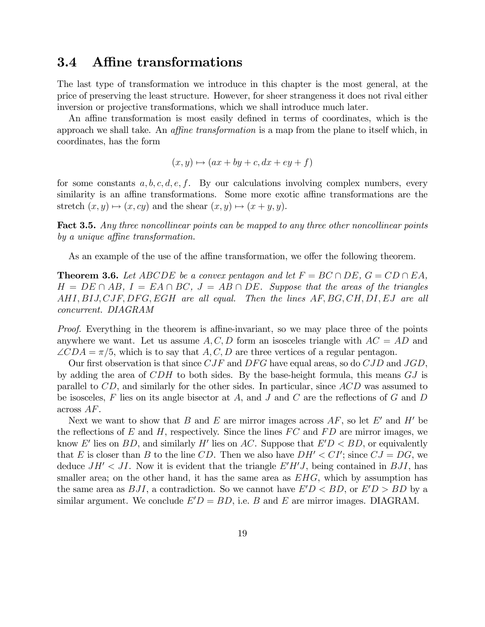### 3.4 Affine transformations

The last type of transformation we introduce in this chapter is the most general, at the price of preserving the least structure. However, for sheer strangeness it does not rival either inversion or projective transformations, which we shall introduce much later.

An affine transformation is most easily defined in terms of coordinates, which is the approach we shall take. An *affine transformation* is a map from the plane to itself which, in coordinates, has the form

$$
(x, y) \mapsto (ax + by + c, dx + ey + f)
$$

for some constants  $a, b, c, d, e, f$ . By our calculations involving complex numbers, every similarity is an affine transformations. Some more exotic affine transformations are the stretch  $(x, y) \mapsto (x, cy)$  and the shear  $(x, y) \mapsto (x + y, y)$ .

Fact 3.5. Any three noncollinear points can be mapped to any three other noncollinear points by a unique affine transformation.

As an example of the use of the affine transformation, we offer the following theorem.

**Theorem 3.6.** Let ABCDE be a convex pentagon and let  $F = BC \cap DE$ ,  $G = CD \cap EA$ ,  $H = DE \cap AB$ ,  $I = EA \cap BC$ ,  $J = AB \cap DE$ . Suppose that the areas of the triangles  $AHI, BIJ, CJF, DFG, EGH$  are all equal. Then the lines  $AF, BG, CH, DI, EJ$  are all concurrent. DIAGRAM

*Proof.* Everything in the theorem is affine-invariant, so we may place three of the points anywhere we want. Let us assume  $A, C, D$  form an isosceles triangle with  $AC = AD$  and  $\angle CDA = \pi/5$ , which is to say that A, C, D are three vertices of a regular pentagon.

Our first observation is that since  $CJF$  and  $DFG$  have equal areas, so do  $CJD$  and  $JGD$ , by adding the area of  $CDH$  to both sides. By the base-height formula, this means  $GJ$  is parallel to CD, and similarly for the other sides. In particular, since ACD was assumed to be isosceles, F lies on its angle bisector at A, and J and C are the reflections of G and D across AF.

Next we want to show that B and E are mirror images across  $AF$ , so let E' and H' be the reflections of E and H, respectively. Since the lines  $FC$  and  $FD$  are mirror images, we know E' lies on BD, and similarly H' lies on AC. Suppose that  $E'D < BD$ , or equivalently that E is closer than B to the line CD. Then we also have  $DH' < CI'$ ; since  $CJ = DG$ , we deduce  $JH' < JI$ . Now it is evident that the triangle  $E'H'J$ , being contained in  $BJI$ , has smaller area; on the other hand, it has the same area as  $EHG$ , which by assumption has the same area as  $BJI$ , a contradiction. So we cannot have  $E'D < BD$ , or  $E'D > BD$  by a similar argument. We conclude  $E'D = BD$ , i.e. B and E are mirror images. DIAGRAM.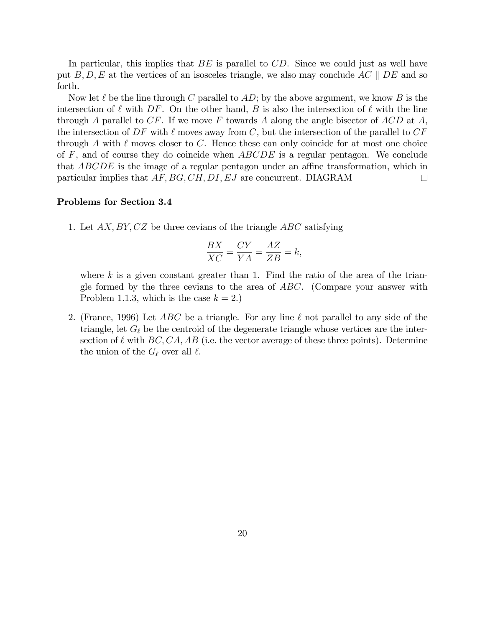In particular, this implies that  $BE$  is parallel to  $CD$ . Since we could just as well have put B, D, E at the vertices of an isosceles triangle, we also may conclude AC  $\parallel$  DE and so forth.

Now let  $\ell$  be the line through C parallel to  $AD$ ; by the above argument, we know B is the intersection of  $\ell$  with DF. On the other hand, B is also the intersection of  $\ell$  with the line through A parallel to  $CF$ . If we move F towards A along the angle bisector of  $ACD$  at A, the intersection of DF with  $\ell$  moves away from C, but the intersection of the parallel to  $CF$ through A with  $\ell$  moves closer to C. Hence these can only coincide for at most one choice of  $F$ , and of course they do coincide when  $ABCDE$  is a regular pentagon. We conclude that  $ABCDE$  is the image of a regular pentagon under an affine transformation, which in particular implies that  $AF, BG, CH, DI, EJ$  are concurrent. DIAGRAM  $\Box$ 

#### Problems for Section 3.4

1. Let  $AX, BY, CZ$  be three cevians of the triangle  $ABC$  satisfying

$$
\frac{BX}{XC} = \frac{CY}{YA} = \frac{AZ}{ZB} = k,
$$

where  $k$  is a given constant greater than 1. Find the ratio of the area of the triangle formed by the three cevians to the area of ABC. (Compare your answer with Problem 1.1.3, which is the case  $k = 2$ .)

2. (France, 1996) Let ABC be a triangle. For any line  $\ell$  not parallel to any side of the triangle, let  $G_{\ell}$  be the centroid of the degenerate triangle whose vertices are the intersection of  $\ell$  with BC, CA, AB (i.e. the vector average of these three points). Determine the union of the  $G_{\ell}$  over all  $\ell$ .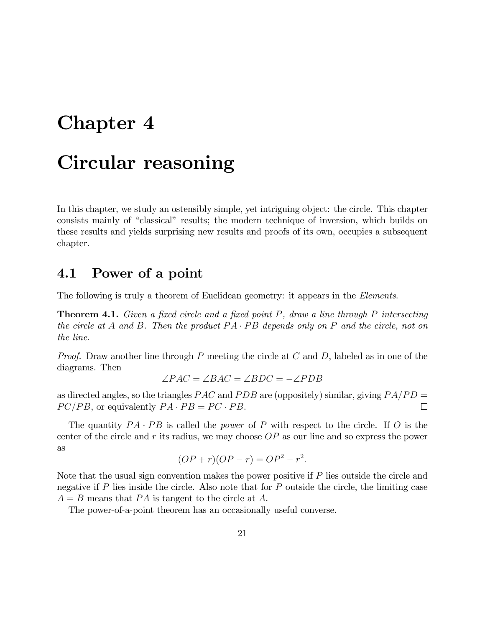## Chapter 4

## Circular reasoning

In this chapter, we study an ostensibly simple, yet intriguing object: the circle. This chapter consists mainly of "classical" results; the modern technique of inversion, which builds on these results and yields surprising new results and proofs of its own, occupies a subsequent chapter.

### 4.1 Power of a point

The following is truly a theorem of Euclidean geometry: it appears in the Elements.

**Theorem 4.1.** Given a fixed circle and a fixed point P, draw a line through P intersecting the circle at A and B. Then the product  $PA \cdot PB$  depends only on P and the circle, not on the line.

*Proof.* Draw another line through P meeting the circle at C and D, labeled as in one of the diagrams. Then

$$
\angle PAC = \angle BAC = \angle BDC = -\angle PDB
$$

as directed angles, so the triangles PAC and PDB are (oppositely) similar, giving  $PA/PD =$  $PC/PB$ , or equivalently  $PA \cdot PB = PC \cdot PB$ .  $\Box$ 

The quantity  $PA \cdot PB$  is called the *power* of P with respect to the circle. If O is the center of the circle and  $r$  its radius, we may choose  $OP$  as our line and so express the power as

$$
(OP + r)(OP - r) = OP2 - r2.
$$

Note that the usual sign convention makes the power positive if P lies outside the circle and negative if  $P$  lies inside the circle. Also note that for  $P$  outside the circle, the limiting case  $A = B$  means that PA is tangent to the circle at A.

The power-of-a-point theorem has an occasionally useful converse.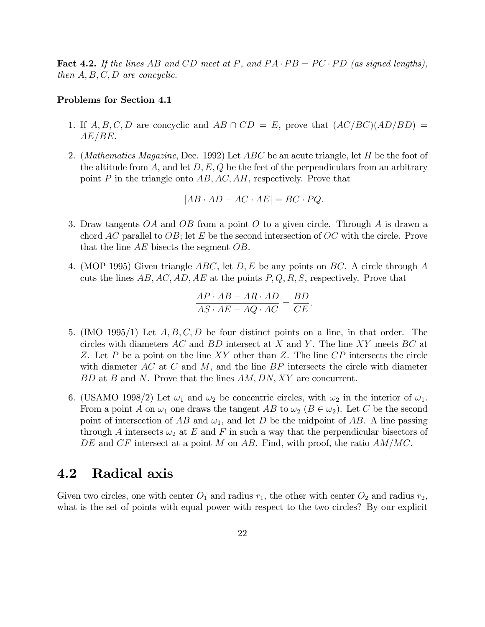**Fact 4.2.** If the lines AB and CD meet at P, and  $PA \cdot PB = PC \cdot PD$  (as signed lengths), then  $A, B, C, D$  are concyclic.

#### Problems for Section 4.1

- 1. If A, B, C, D are concyclic and AB  $\cap$  CD = E, prove that  $(AC/BC)(AD/BD)$  =  $AE/BE.$
- 2. (Mathematics Magazine, Dec. 1992) Let ABC be an acute triangle, let H be the foot of the altitude from A, and let  $D, E, Q$  be the feet of the perpendiculars from an arbitrary point P in the triangle onto  $AB, AC, AH$ , respectively. Prove that

$$
|AB \cdot AD - AC \cdot AE| = BC \cdot PQ.
$$

- 3. Draw tangents OA and OB from a point O to a given circle. Through A is drawn a chord  $AC$  parallel to  $OB$ ; let E be the second intersection of OC with the circle. Prove that the line AE bisects the segment OB.
- 4. (MOP 1995) Given triangle  $ABC$ , let  $D, E$  be any points on  $BC$ . A circle through A cuts the lines  $AB, AC, AD, AE$  at the points  $P, Q, R, S$ , respectively. Prove that

$$
\frac{AP \cdot AB - AR \cdot AD}{AS \cdot AE - AQ \cdot AC} = \frac{BD}{CE}.
$$

- 5. (IMO 1995/1) Let  $A, B, C, D$  be four distinct points on a line, in that order. The circles with diameters  $AC$  and  $BD$  intersect at X and Y. The line XY meets  $BC$  at Z. Let P be a point on the line XY other than Z. The line CP intersects the circle with diameter  $AC$  at C and M, and the line  $BP$  intersects the circle with diameter  $BD$  at B and N. Prove that the lines  $AM, DN, XY$  are concurrent.
- 6. (USAMO 1998/2) Let  $\omega_1$  and  $\omega_2$  be concentric circles, with  $\omega_2$  in the interior of  $\omega_1$ . From a point A on  $\omega_1$  one draws the tangent AB to  $\omega_2$  ( $B \in \omega_2$ ). Let C be the second point of intersection of AB and  $\omega_1$ , and let D be the midpoint of AB. A line passing through A intersects  $\omega_2$  at E and F in such a way that the perpendicular bisectors of DE and CF intersect at a point M on AB. Find, with proof, the ratio  $AM/MC$ .

## 4.2 Radical axis

Given two circles, one with center  $O_1$  and radius  $r_1$ , the other with center  $O_2$  and radius  $r_2$ , what is the set of points with equal power with respect to the two circles? By our explicit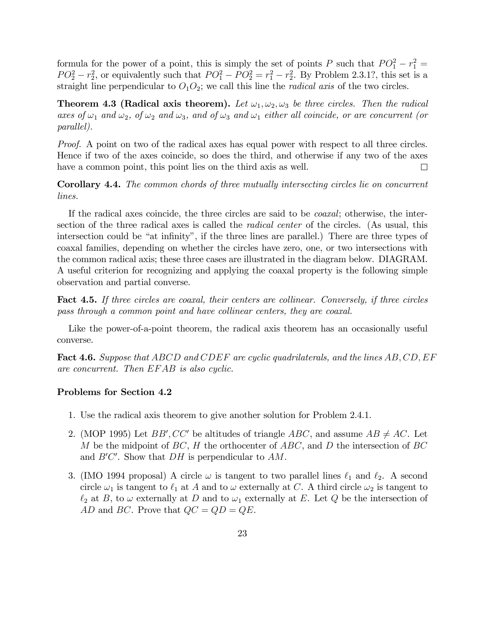formula for the power of a point, this is simply the set of points P such that  $PO_1^2 - r_1^2 =$  $PO_2^2 - r_2^2$ , or equivalently such that  $PO_1^2 - PO_2^2 = r_1^2 - r_2^2$ . By Problem 2.3.1?, this set is a straight line perpendicular to  $O_1O_2$ ; we call this line the *radical axis* of the two circles.

**Theorem 4.3 (Radical axis theorem).** Let  $\omega_1, \omega_2, \omega_3$  be three circles. Then the radical axes of  $\omega_1$  and  $\omega_2$ , of  $\omega_2$  and  $\omega_3$ , and of  $\omega_3$  and  $\omega_1$  either all coincide, or are concurrent (or parallel).

Proof. A point on two of the radical axes has equal power with respect to all three circles. Hence if two of the axes coincide, so does the third, and otherwise if any two of the axes have a common point, this point lies on the third axis as well.  $\Box$ 

Corollary 4.4. The common chords of three mutually intersecting circles lie on concurrent lines.

If the radical axes coincide, the three circles are said to be coaxal; otherwise, the intersection of the three radical axes is called the *radical center* of the circles. (As usual, this intersection could be "at infinity", if the three lines are parallel.) There are three types of coaxal families, depending on whether the circles have zero, one, or two intersections with the common radical axis; these three cases are illustrated in the diagram below. DIAGRAM. A useful criterion for recognizing and applying the coaxal property is the following simple observation and partial converse.

Fact 4.5. If three circles are coaxal, their centers are collinear. Conversely, if three circles pass through a common point and have collinear centers, they are coaxal.

Like the power-of-a-point theorem, the radical axis theorem has an occasionally useful converse.

**Fact 4.6.** Suppose that ABCD and CDEF are cyclic quadrilaterals, and the lines AB, CD, EF are concurrent. Then EF AB is also cyclic.

#### Problems for Section 4.2

- 1. Use the radical axis theorem to give another solution for Problem 2.4.1.
- 2. (MOP 1995) Let  $BB', CC'$  be altitudes of triangle  $ABC$ , and assume  $AB \neq AC$ . Let M be the midpoint of  $BC$ , H the orthocenter of  $ABC$ , and D the intersection of  $BC$ and  $B'C'$ . Show that  $DH$  is perpendicular to  $AM$ .
- 3. (IMO 1994 proposal) A circle  $\omega$  is tangent to two parallel lines  $\ell_1$  and  $\ell_2$ . A second circle  $\omega_1$  is tangent to  $\ell_1$  at A and to  $\omega$  externally at C. A third circle  $\omega_2$  is tangent to  $\ell_2$  at B, to  $\omega$  externally at D and to  $\omega_1$  externally at E. Let Q be the intersection of AD and BC. Prove that  $QC = QD = QE$ .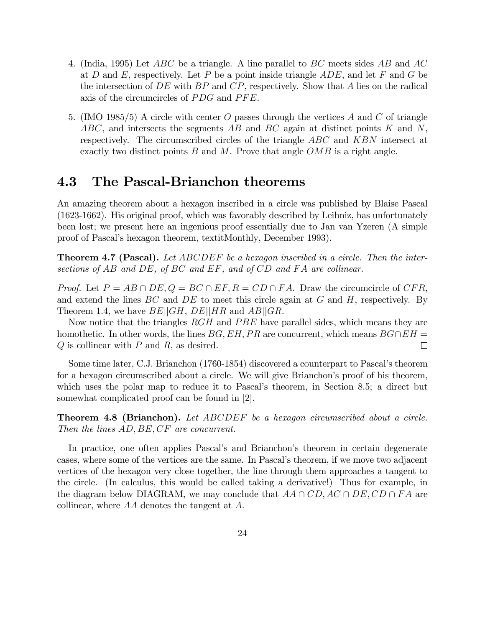- 4. (India, 1995) Let ABC be a triangle. A line parallel to BC meets sides AB and AC at  $D$  and  $E$ , respectively. Let  $P$  be a point inside triangle  $ADE$ , and let  $F$  and  $G$  be the intersection of  $DE$  with  $BP$  and  $CP$ , respectively. Show that A lies on the radical axis of the circumcircles of *PDG* and *PFE*.
- 5. (IMO 1985/5) A circle with center O passes through the vertices A and C of triangle  $ABC$ , and intersects the segments  $AB$  and  $BC$  again at distinct points  $K$  and  $N$ , respectively. The circumscribed circles of the triangle ABC and KBN intersect at exactly two distinct points B and M. Prove that angle  $OMB$  is a right angle.

## 4.3 The Pascal-Brianchon theorems

An amazing theorem about a hexagon inscribed in a circle was published by Blaise Pascal (1623-1662). His original proof, which was favorably described by Leibniz, has unfortunately been lost; we present here an ingenious proof essentially due to Jan van Yzeren (A simple proof of Pascalís hexagon theorem, textitMonthly, December 1993).

**Theorem 4.7 (Pascal).** Let ABCDEF be a hexagon inscribed in a circle. Then the intersections of  $AB$  and  $DE$ , of  $BC$  and  $EF$ , and of  $CD$  and  $FA$  are collinear.

*Proof.* Let  $P = AB \cap DE$ ,  $Q = BC \cap EF$ ,  $R = CD \cap FA$ . Draw the circumcircle of CFR, and extend the lines  $BC$  and  $DE$  to meet this circle again at  $G$  and  $H$ , respectively. By Theorem 1.4, we have  $BE||GH, DE||HR$  and  $AB||GR$ .

Now notice that the triangles  $RGH$  and  $PBE$  have parallel sides, which means they are homothetic. In other words, the lines  $BG, EH, PR$  are concurrent, which means  $BG\cap EH =$ <br>O is collinear with P and R, as desired.  $Q$  is collinear with  $P$  and  $R$ , as desired.

Some time later, C.J. Brianchon (1760-1854) discovered a counterpart to Pascal's theorem for a hexagon circumscribed about a circle. We will give Brianchon's proof of his theorem, which uses the polar map to reduce it to Pascal's theorem, in Section 8.5; a direct but somewhat complicated proof can be found in [2].

Theorem 4.8 (Brianchon). Let ABCDEF be a hexagon circumscribed about a circle. Then the lines AD, BE, CF are concurrent.

In practice, one often applies Pascal's and Brianchon's theorem in certain degenerate cases, where some of the vertices are the same. In Pascalís theorem, if we move two adjacent vertices of the hexagon very close together, the line through them approaches a tangent to the circle. (In calculus, this would be called taking a derivative!) Thus for example, in the diagram below DIAGRAM, we may conclude that  $AA \cap CD$ ,  $AC \cap DE$ ,  $CD \cap FA$  are collinear, where AA denotes the tangent at A.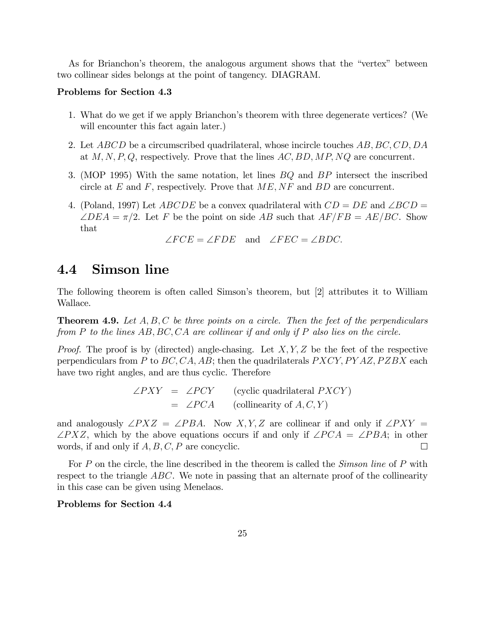As for Brianchon's theorem, the analogous argument shows that the "vertex" between two collinear sides belongs at the point of tangency. DIAGRAM.

#### Problems for Section 4.3

- 1. What do we get if we apply Brianchonís theorem with three degenerate vertices? (We will encounter this fact again later.)
- 2. Let  $ABCD$  be a circumscribed quadrilateral, whose incircle touches  $AB, BC, CD, DA$ at  $M, N, P, Q$ , respectively. Prove that the lines  $AC, BD, MP, NQ$  are concurrent.
- 3. (MOP 1995) With the same notation, let lines BQ and BP intersect the inscribed circle at  $E$  and  $F$ , respectively. Prove that  $ME, NF$  and  $BD$  are concurrent.
- 4. (Poland, 1997) Let ABCDE be a convex quadrilateral with  $CD = DE$  and  $\angle BCD =$  $\angle DEA = \pi/2$ . Let F be the point on side AB such that  $AF/FB = AE/BC$ . Show that

 $\angle FCE = \angle FDE$  and  $\angle FEC = \angle BDC$ .

### 4.4 Simson line

The following theorem is often called Simson's theorem, but [2] attributes it to William Wallace.

**Theorem 4.9.** Let  $A, B, C$  be three points on a circle. Then the feet of the perpendiculars from P to the lines AB; BC; CA are collinear if and only if P also lies on the circle.

*Proof.* The proof is by (directed) angle-chasing. Let  $X, Y, Z$  be the feet of the respective perpendiculars from P to  $BC, CA, AB$ ; then the quadrilaterals  $PXCY, PYAZ, PZBX$  each have two right angles, and are thus cyclic. Therefore

> $\angle PXY = \angle PCY$  (cyclic quadrilateral PXCY)  $= \angle PCA$  (collinearity of A, C, Y)

and analogously  $\angle PXZ = \angle PBA$ . Now X, Y, Z are collinear if and only if  $\angle PXY =$  $\angle P XZ$ , which by the above equations occurs if and only if  $\angle PCA = \angle PBA$ ; in other words, if and only if  $A, B, C, P$  are concyclic.  $\Box$ 

For P on the circle, the line described in the theorem is called the *Simson line* of P with respect to the triangle ABC. We note in passing that an alternate proof of the collinearity in this case can be given using Menelaos.

Problems for Section 4.4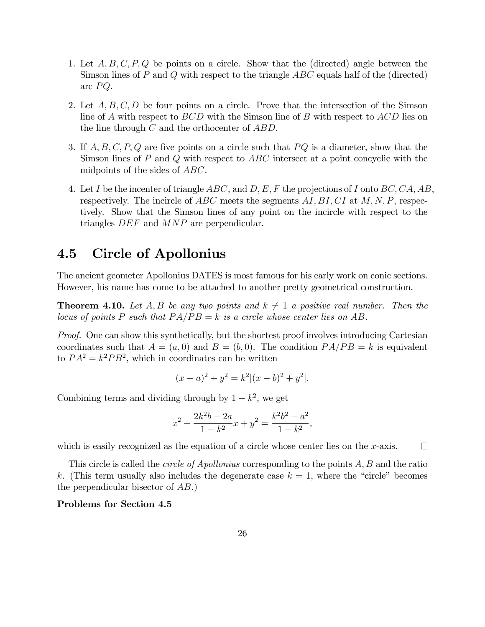- 1. Let  $A, B, C, P, Q$  be points on a circle. Show that the (directed) angle between the Simson lines of P and Q with respect to the triangle  $ABC$  equals half of the (directed) arc  $PQ$ .
- 2. Let  $A, B, C, D$  be four points on a circle. Prove that the intersection of the Simson line of A with respect to  $BCD$  with the Simson line of B with respect to  $ACD$  lies on the line through C and the orthocenter of ABD.
- 3. If  $A, B, C, P, Q$  are five points on a circle such that PQ is a diameter, show that the Simson lines of  $P$  and  $Q$  with respect to  $ABC$  intersect at a point concyclic with the midpoints of the sides of ABC.
- 4. Let I be the incenter of triangle  $ABC$ , and D, E, F the projections of I onto BC,  $CA, AB$ , respectively. The incircle of  $ABC$  meets the segments  $AI, BI, CI$  at  $M, N, P$ , respectively. Show that the Simson lines of any point on the incircle with respect to the triangles DEF and MNP are perpendicular.

## 4.5 Circle of Apollonius

The ancient geometer Apollonius DATES is most famous for his early work on conic sections. However, his name has come to be attached to another pretty geometrical construction.

**Theorem 4.10.** Let A, B be any two points and  $k \neq 1$  a positive real number. Then the locus of points P such that  $PA/PB = k$  is a circle whose center lies on AB.

Proof. One can show this synthetically, but the shortest proof involves introducing Cartesian coordinates such that  $A = (a, 0)$  and  $B = (b, 0)$ . The condition  $PA/PB = k$  is equivalent to  $PA^2 = k^2 P B^2$ , which in coordinates can be written

$$
(x-a)^2 + y^2 = k^2[(x-b)^2 + y^2].
$$

Combining terms and dividing through by  $1 - k^2$ , we get

$$
x^{2} + \frac{2k^{2}b - 2a}{1 - k^{2}}x + y^{2} = \frac{k^{2}b^{2} - a^{2}}{1 - k^{2}},
$$

which is easily recognized as the equation of a circle whose center lies on the  $x$ -axis.  $\Box$ 

This circle is called the *circle of Apollonius* corresponding to the points A, B and the ratio k. (This term usually also includes the degenerate case  $k = 1$ , where the "circle" becomes the perpendicular bisector of AB.)

#### Problems for Section 4.5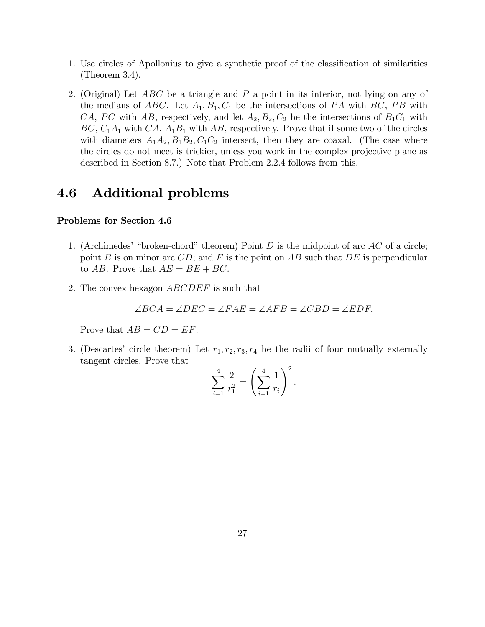- 1. Use circles of Apollonius to give a synthetic proof of the classification of similarities (Theorem 3.4).
- 2. (Original) Let ABC be a triangle and P a point in its interior, not lying on any of the medians of ABC. Let  $A_1, B_1, C_1$  be the intersections of PA with BC, PB with CA, PC with AB, respectively, and let  $A_2, B_2, C_2$  be the intersections of  $B_1C_1$  with  $BC, C_1A_1$  with  $CA, A_1B_1$  with  $AB$ , respectively. Prove that if some two of the circles with diameters  $A_1A_2, B_1B_2, C_1C_2$  intersect, then they are coaxal. (The case where the circles do not meet is trickier, unless you work in the complex projective plane as described in Section 8.7.) Note that Problem 2.2.4 follows from this.

### 4.6 Additional problems

#### Problems for Section 4.6

- 1. (Archimedes' "broken-chord" theorem) Point D is the midpoint of arc  $AC$  of a circle; point B is on minor arc  $CD$ ; and E is the point on AB such that  $DE$  is perpendicular to AB. Prove that  $AE = BE + BC$ .
- 2. The convex hexagon ABCDEF is such that

$$
\angle BCA = \angle DEC = \angle FAE = \angle AFB = \angle CBD = \angle EDF.
$$

Prove that  $AB = CD = EF$ .

3. (Descartes' circle theorem) Let  $r_1, r_2, r_3, r_4$  be the radii of four mutually externally tangent circles. Prove that

$$
\sum_{i=1}^{4} \frac{2}{r_1^2} = \left(\sum_{i=1}^{4} \frac{1}{r_i}\right)^2.
$$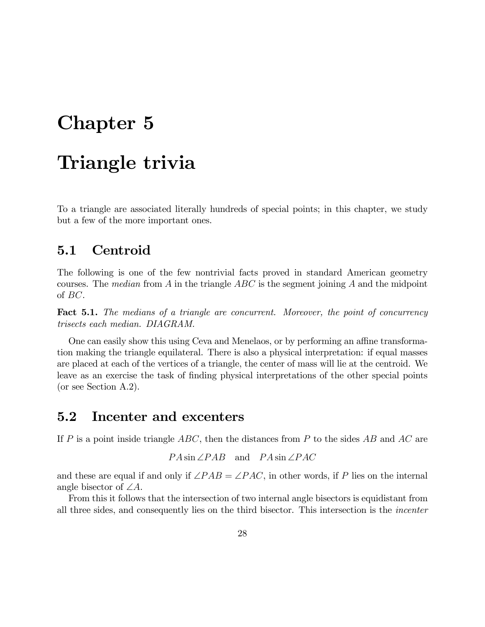## Chapter 5

## Triangle trivia

To a triangle are associated literally hundreds of special points; in this chapter, we study but a few of the more important ones.

## 5.1 Centroid

The following is one of the few nontrivial facts proved in standard American geometry courses. The median from A in the triangle  $ABC$  is the segment joining A and the midpoint of BC.

**Fact 5.1.** The medians of a triangle are concurrent. Moreover, the point of concurrency trisects each median. DIAGRAM.

One can easily show this using Ceva and Menelaos, or by performing an affine transformation making the triangle equilateral. There is also a physical interpretation: if equal masses are placed at each of the vertices of a triangle, the center of mass will lie at the centroid. We leave as an exercise the task of finding physical interpretations of the other special points (or see Section A.2).

## 5.2 Incenter and excenters

If P is a point inside triangle  $ABC$ , then the distances from P to the sides AB and AC are

$$
PA\sin\angle PAB
$$
 and  $PA\sin\angle PAC$ 

and these are equal if and only if  $\angle PAB = \angle PAC$ , in other words, if P lies on the internal angle bisector of  $\angle A$ .

From this it follows that the intersection of two internal angle bisectors is equidistant from all three sides, and consequently lies on the third bisector. This intersection is the incenter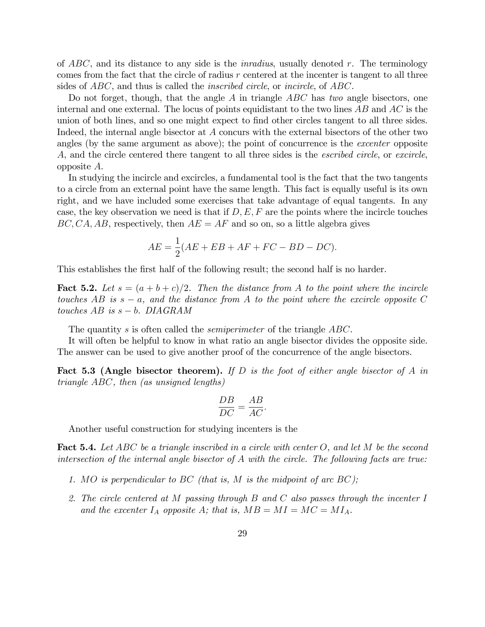of  $ABC$ , and its distance to any side is the *inradius*, usually denoted r. The terminology comes from the fact that the circle of radius  $r$  centered at the incenter is tangent to all three sides of ABC, and thus is called the *inscribed circle*, or *incircle*, of ABC.

Do not forget, though, that the angle A in triangle ABC has two angle bisectors, one internal and one external. The locus of points equidistant to the two lines  $AB$  and  $AC$  is the union of both lines, and so one might expect to find other circles tangent to all three sides. Indeed, the internal angle bisector at A concurs with the external bisectors of the other two angles (by the same argument as above); the point of concurrence is the *excenter* opposite A, and the circle centered there tangent to all three sides is the *escribed circle*, or *excircle*, opposite A.

In studying the incircle and excircles, a fundamental tool is the fact that the two tangents to a circle from an external point have the same length. This fact is equally useful is its own right, and we have included some exercises that take advantage of equal tangents. In any case, the key observation we need is that if  $D, E, F$  are the points where the incircle touches  $BC, CA, AB$ , respectively, then  $AE = AF$  and so on, so a little algebra gives

$$
AE = \frac{1}{2}(AE + EB + AF + FC - BD - DC).
$$

This establishes the first half of the following result; the second half is no harder.

**Fact 5.2.** Let  $s = (a + b + c)/2$ . Then the distance from A to the point where the incircle touches AB is  $s - a$ , and the distance from A to the point where the excircle opposite C touches AB is  $s - b$ . DIAGRAM

The quantity s is often called the *semiperimeter* of the triangle ABC.

It will often be helpful to know in what ratio an angle bisector divides the opposite side. The answer can be used to give another proof of the concurrence of the angle bisectors.

**Fact 5.3 (Angle bisector theorem).** If D is the foot of either angle bisector of A in triangle ABC, then (as unsigned lengths)

$$
\frac{DB}{DC} = \frac{AB}{AC}.
$$

Another useful construction for studying incenters is the

**Fact 5.4.** Let ABC be a triangle inscribed in a circle with center  $O$ , and let M be the second intersection of the internal angle bisector of  $A$  with the circle. The following facts are true:

- 1. MO is perpendicular to BC (that is, M is the midpoint of arc BC);
- 2. The circle centered at M passing through B and C also passes through the incenter I and the excenter  $I_A$  opposite A; that is,  $MB = MI = MC = MI_A$ .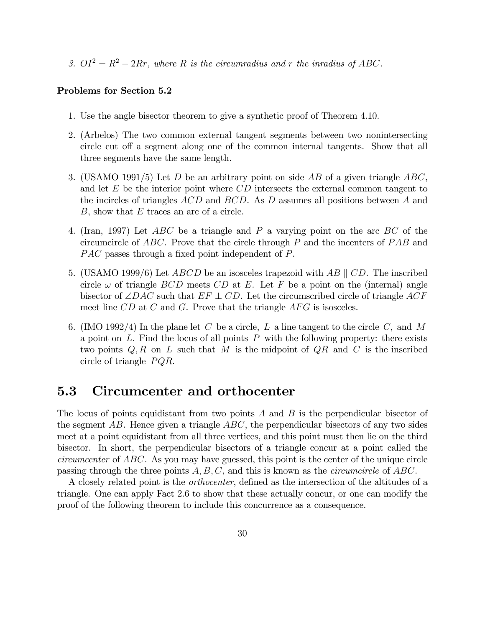3.  $OI^2 = R^2 - 2Rr$ , where R is the circumradius and r the inradius of ABC.

#### Problems for Section 5.2

- 1. Use the angle bisector theorem to give a synthetic proof of Theorem 4.10.
- 2. (Arbelos) The two common external tangent segments between two nonintersecting circle cut off a segment along one of the common internal tangents. Show that all three segments have the same length.
- 3. (USAMO 1991/5) Let D be an arbitrary point on side AB of a given triangle  $ABC$ , and let  $E$  be the interior point where  $CD$  intersects the external common tangent to the incircles of triangles ACD and BCD. As D assumes all positions between A and  $B$ , show that  $E$  traces an arc of a circle.
- 4. (Iran, 1997) Let ABC be a triangle and P a varying point on the arc BC of the circumcircle of  $ABC$ . Prove that the circle through  $P$  and the incenters of  $PAB$  and  $PAC$  passes through a fixed point independent of  $P$ .
- 5. (USAMO 1999/6) Let ABCD be an isosceles trapezoid with AB  $\parallel$  CD. The inscribed circle  $\omega$  of triangle BCD meets CD at E. Let F be a point on the (internal) angle bisector of  $\angle DAC$  such that  $EF \perp CD$ . Let the circumscribed circle of triangle ACF meet line  $CD$  at C and G. Prove that the triangle  $AFG$  is isosceles.
- 6. (IMO 1992/4) In the plane let C be a circle, L a line tangent to the circle C, and M a point on  $L$ . Find the locus of all points  $P$  with the following property: there exists two points  $Q, R$  on L such that M is the midpoint of  $QR$  and C is the inscribed circle of triangle  $PQR$ .

## 5.3 Circumcenter and orthocenter

The locus of points equidistant from two points  $A$  and  $B$  is the perpendicular bisector of the segment  $AB$ . Hence given a triangle  $ABC$ , the perpendicular bisectors of any two sides meet at a point equidistant from all three vertices, and this point must then lie on the third bisector. In short, the perpendicular bisectors of a triangle concur at a point called the circumcenter of ABC. As you may have guessed, this point is the center of the unique circle passing through the three points  $A, B, C$ , and this is known as the *circumcircle* of  $ABC$ .

A closely related point is the *orthocenter*, defined as the intersection of the altitudes of a triangle. One can apply Fact 2.6 to show that these actually concur, or one can modify the proof of the following theorem to include this concurrence as a consequence.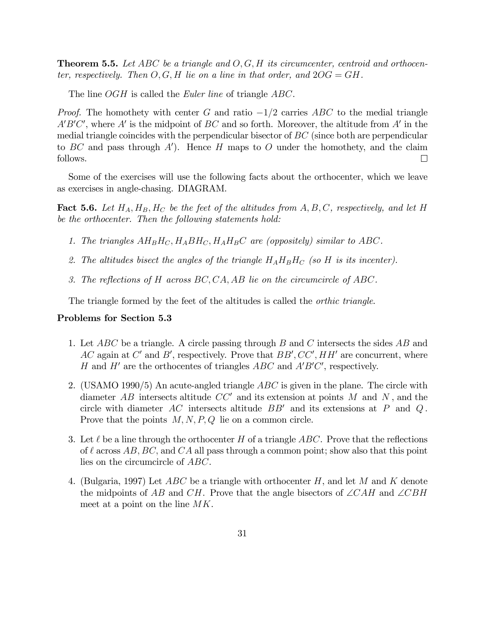**Theorem 5.5.** Let ABC be a triangle and  $O, G, H$  its circumcenter, centroid and orthocenter, respectively. Then  $O, G, H$  lie on a line in that order, and  $2OG = GH$ .

The line *OGH* is called the *Euler line* of triangle *ABC*.

*Proof.* The homothety with center G and ratio  $-1/2$  carries ABC to the medial triangle  $A'B'C'$ , where A' is the midpoint of BC and so forth. Moreover, the altitude from A' in the medial triangle coincides with the perpendicular bisector of BC (since both are perpendicular to  $BC$  and pass through  $A'$ ). Hence H maps to O under the homothety, and the claim follows.  $\Box$ 

Some of the exercises will use the following facts about the orthocenter, which we leave as exercises in angle-chasing. DIAGRAM.

**Fact 5.6.** Let  $H_A$ ,  $H_B$ ,  $H_C$  be the feet of the altitudes from A, B, C, respectively, and let H be the orthocenter. Then the following statements hold:

- 1. The triangles  $AH_BH_C$ ,  $H_ABH_C$ ,  $H_AH_BC$  are (oppositely) similar to ABC.
- 2. The altitudes bisect the angles of the triangle  $H_A H_B H_C$  (so H is its incenter).
- 3. The reflections of H across  $BC, CA, AB$  lie on the circumcircle of ABC.

The triangle formed by the feet of the altitudes is called the orthic triangle.

#### Problems for Section 5.3

- 1. Let  $ABC$  be a triangle. A circle passing through B and C intersects the sides AB and  $AC$  again at  $C'$  and  $B'$ , respectively. Prove that  $BB', CC', HH'$  are concurrent, where H and H' are the orthocentes of triangles ABC and  $A'B'C'$ , respectively.
- 2. (USAMO 1990/5) An acute-angled triangle ABC is given in the plane. The circle with diameter  $AB$  intersects altitude  $CC<sup>o</sup>$  and its extension at points M and N, and the circle with diameter  $AC$  intersects altitude  $BB'$  and its extensions at P and Q. Prove that the points  $M, N, P, Q$  lie on a common circle.
- 3. Let  $\ell$  be a line through the orthocenter H of a triangle ABC. Prove that the reflections of  $\ell$  across AB, BC, and CA all pass through a common point; show also that this point lies on the circumcircle of ABC.
- 4. (Bulgaria, 1997) Let  $ABC$  be a triangle with orthocenter H, and let M and K denote the midpoints of AB and CH. Prove that the angle bisectors of  $\angle CAH$  and  $\angle CBH$ meet at a point on the line MK.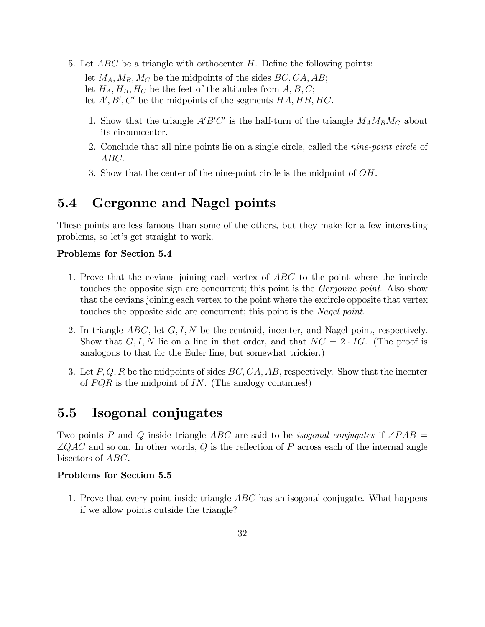- 5. Let  $ABC$  be a triangle with orthocenter H. Define the following points: let  $M_A$ ,  $M_B$ ,  $M_C$  be the midpoints of the sides  $BC, CA, AB$ ; let  $H_A, H_B, H_C$  be the feet of the altitudes from  $A, B, C$ ; let  $A', B', C'$  be the midpoints of the segments  $HA, HB, HC$ .
	- 1. Show that the triangle  $A'B'C'$  is the half-turn of the triangle  $M_A M_B M_C$  about its circumcenter.
	- 2. Conclude that all nine points lie on a single circle, called the *nine-point circle* of ABC.
	- 3. Show that the center of the nine-point circle is the midpoint of OH.

## 5.4 Gergonne and Nagel points

These points are less famous than some of the others, but they make for a few interesting problems, so let's get straight to work.

#### Problems for Section 5.4

- 1. Prove that the cevians joining each vertex of ABC to the point where the incircle touches the opposite sign are concurrent; this point is the Gergonne point. Also show that the cevians joining each vertex to the point where the excircle opposite that vertex touches the opposite side are concurrent; this point is the Nagel point.
- 2. In triangle  $ABC$ , let  $G, I, N$  be the centroid, incenter, and Nagel point, respectively. Show that  $G, I, N$  lie on a line in that order, and that  $NG = 2 \cdot IG$ . (The proof is analogous to that for the Euler line, but somewhat trickier.)
- 3. Let  $P, Q, R$  be the midpoints of sides  $BC, CA, AB$ , respectively. Show that the incenter of  $PQR$  is the midpoint of IN. (The analogy continues!)

### 5.5 Isogonal conjugates

Two points P and Q inside triangle ABC are said to be *isogonal conjugates* if  $\angle PAB$  =  $\angle QAC$  and so on. In other words, Q is the reflection of P across each of the internal angle bisectors of ABC.

#### Problems for Section 5.5

1. Prove that every point inside triangle ABC has an isogonal conjugate. What happens if we allow points outside the triangle?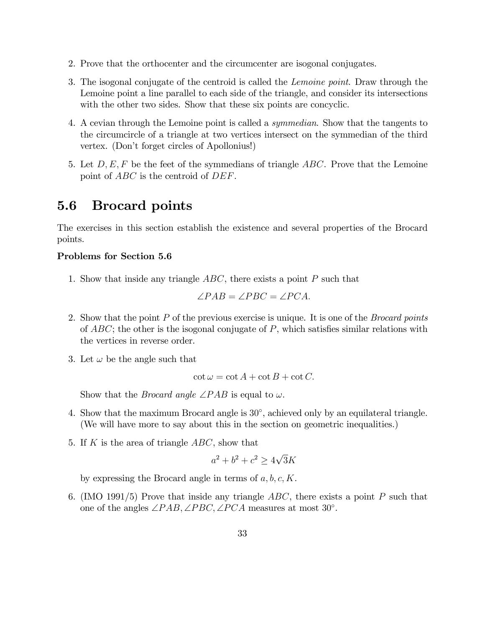- 2. Prove that the orthocenter and the circumcenter are isogonal conjugates.
- 3. The isogonal conjugate of the centroid is called the Lemoine point. Draw through the Lemoine point a line parallel to each side of the triangle, and consider its intersections with the other two sides. Show that these six points are concyclic.
- 4. A cevian through the Lemoine point is called a symmedian. Show that the tangents to the circumcircle of a triangle at two vertices intersect on the symmedian of the third vertex. (Don't forget circles of Apollonius!)
- 5. Let  $D, E, F$  be the feet of the symmedians of triangle  $ABC$ . Prove that the Lemoine point of ABC is the centroid of DEF.

## 5.6 Brocard points

The exercises in this section establish the existence and several properties of the Brocard points.

#### Problems for Section 5.6

1. Show that inside any triangle  $ABC$ , there exists a point  $P$  such that

$$
\angle PAB = \angle PBC = \angle PCA.
$$

- 2. Show that the point P of the previous exercise is unique. It is one of the *Brocard points* of  $ABC$ ; the other is the isogonal conjugate of P, which satisfies similar relations with the vertices in reverse order.
- 3. Let  $\omega$  be the angle such that

$$
\cot \omega = \cot A + \cot B + \cot C.
$$

Show that the *Brocard angle*  $\angle PAB$  is equal to  $\omega$ .

- 4. Show that the maximum Brocard angle is 30 , achieved only by an equilateral triangle. (We will have more to say about this in the section on geometric inequalities.)
- 5. If K is the area of triangle  $ABC$ , show that

$$
a^2 + b^2 + c^2 \ge 4\sqrt{3}K
$$

by expressing the Brocard angle in terms of  $a, b, c, K$ .

6. (IMO 1991/5) Prove that inside any triangle  $ABC$ , there exists a point P such that one of the angles  $\angle PAB, \angle PBC, \angle PCA$  measures at most 30°.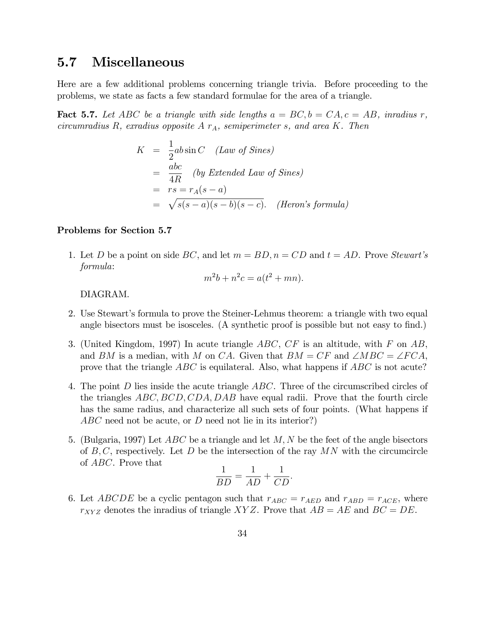## 5.7 Miscellaneous

Here are a few additional problems concerning triangle trivia. Before proceeding to the problems, we state as facts a few standard formulae for the area of a triangle.

**Fact 5.7.** Let ABC be a triangle with side lengths  $a = BC$ ,  $b = CA$ ,  $c = AB$ , inradius r, circumradius R, exradius opposite A  $r_A$ , semiperimeter s, and area K. Then

$$
K = \frac{1}{2}ab\sin C \quad (Law \text{ of Sines})
$$
  
=  $\frac{abc}{4R}$  (by Extended Law of Sines)  
=  $rs = r_A(s - a)$   
=  $\sqrt{s(s - a)(s - b)(s - c)}$ . (Heron's formula)

#### Problems for Section 5.7

1. Let D be a point on side BC, and let  $m = BD, n = CD$  and  $t = AD$ . Prove Stewart's formula:

$$
m^2b + n^2c = a(t^2 + mn).
$$

DIAGRAM.

- 2. Use Stewart's formula to prove the Steiner-Lehmus theorem: a triangle with two equal angle bisectors must be isosceles. (A synthetic proof is possible but not easy to find.)
- 3. (United Kingdom, 1997) In acute triangle ABC,  $CF$  is an altitude, with F on AB, and BM is a median, with M on CA. Given that  $BM = CF$  and  $\angle MBC = \angle FCA$ , prove that the triangle ABC is equilateral. Also, what happens if ABC is not acute?
- 4. The point D lies inside the acute triangle ABC. Three of the circumscribed circles of the triangles ABC; BCD; CDA; DAB have equal radii. Prove that the fourth circle has the same radius, and characterize all such sets of four points. (What happens if ABC need not be acute, or D need not lie in its interior?)
- 5. (Bulgaria, 1997) Let  $ABC$  be a triangle and let  $M, N$  be the feet of the angle bisectors of  $B, C$ , respectively. Let D be the intersection of the ray  $MN$  with the circumcircle of ABC. Prove that

$$
\frac{1}{BD} = \frac{1}{AD} + \frac{1}{CD}.
$$

6. Let *ABCDE* be a cyclic pentagon such that  $r_{ABC} = r_{AED}$  and  $r_{ABD} = r_{ACE}$ , where  $r_{XYZ}$  denotes the inradius of triangle XYZ. Prove that  $AB = AE$  and  $BC = DE$ .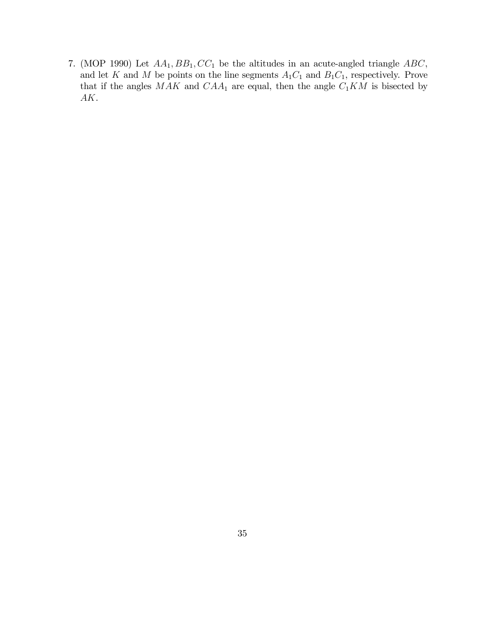7. (MOP 1990) Let  $AA_1, BB_1, CC_1$  be the altitudes in an acute-angled triangle  $ABC$ , and let K and M be points on the line segments  $A_1C_1$  and  $B_1C_1$ , respectively. Prove that if the angles  $MAK$  and  $CAA_1$  are equal, then the angle  $C_1KM$  is bisected by AK.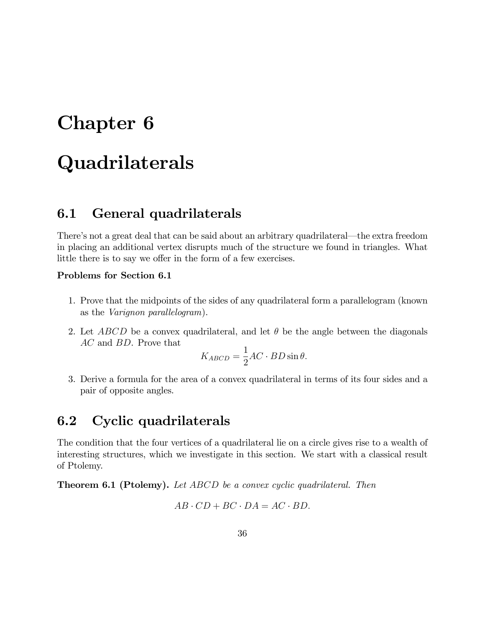# Chapter 6

# Quadrilaterals

## 6.1 General quadrilaterals

There's not a great deal that can be said about an arbitrary quadrilateral—the extra freedom in placing an additional vertex disrupts much of the structure we found in triangles. What little there is to say we offer in the form of a few exercises.

#### Problems for Section 6.1

- 1. Prove that the midpoints of the sides of any quadrilateral form a parallelogram (known as the Varignon parallelogram).
- 2. Let ABCD be a convex quadrilateral, and let  $\theta$  be the angle between the diagonals AC and BD. Prove that

$$
K_{ABCD} = \frac{1}{2}AC \cdot BD \sin \theta.
$$

3. Derive a formula for the area of a convex quadrilateral in terms of its four sides and a pair of opposite angles.

## 6.2 Cyclic quadrilaterals

The condition that the four vertices of a quadrilateral lie on a circle gives rise to a wealth of interesting structures, which we investigate in this section. We start with a classical result of Ptolemy.

Theorem 6.1 (Ptolemy). Let ABCD be a convex cyclic quadrilateral. Then

$$
AB \cdot CD + BC \cdot DA = AC \cdot BD.
$$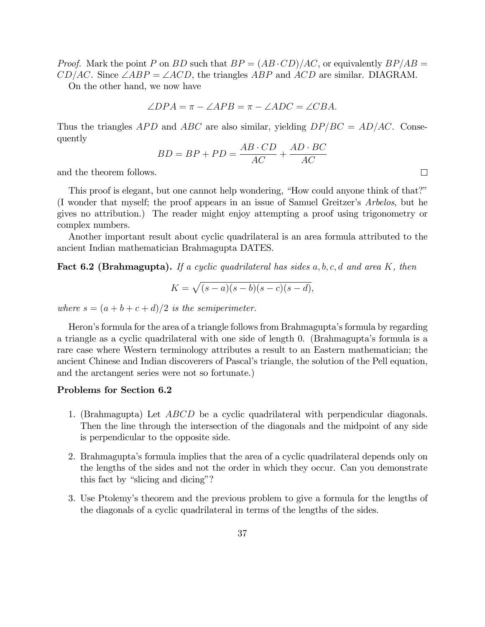*Proof.* Mark the point P on BD such that  $BP = (AB \cdot CD)/AC$ , or equivalently  $BP/AB =$  $CD/AC$ . Since  $\angle ABP = \angle ACD$ , the triangles ABP and ACD are similar. DIAGRAM.

On the other hand, we now have

$$
\angle DPA = \pi - \angle APB = \pi - \angle ADC = \angle CBA.
$$

Thus the triangles APD and ABC are also similar, yielding  $DP/BC = AD/AC$ . Consequently

$$
BD = BP + PD = \frac{AB \cdot CD}{AC} + \frac{AD \cdot BC}{AC}
$$

and the theorem follows.

This proof is elegant, but one cannot help wondering, "How could anyone think of that?" (I wonder that myself; the proof appears in an issue of Samuel Greitzerís Arbelos, but he gives no attribution.) The reader might enjoy attempting a proof using trigonometry or complex numbers.

Another important result about cyclic quadrilateral is an area formula attributed to the ancient Indian mathematician Brahmagupta DATES.

**Fact 6.2 (Brahmagupta).** If a cyclic quadrilateral has sides a, b, c, d and area K, then

$$
K = \sqrt{(s-a)(s-b)(s-c)(s-d)},
$$

where  $s = (a + b + c + d)/2$  is the semiperimeter.

Heronís formula for the area of a triangle follows from Brahmaguptaís formula by regarding a triangle as a cyclic quadrilateral with one side of length 0. (Brahmaguptaís formula is a rare case where Western terminology attributes a result to an Eastern mathematician; the ancient Chinese and Indian discoverers of Pascal's triangle, the solution of the Pell equation, and the arctangent series were not so fortunate.)

#### Problems for Section 6.2

- 1. (Brahmagupta) Let ABCD be a cyclic quadrilateral with perpendicular diagonals. Then the line through the intersection of the diagonals and the midpoint of any side is perpendicular to the opposite side.
- 2. Brahmaguptaís formula implies that the area of a cyclic quadrilateral depends only on the lengths of the sides and not the order in which they occur. Can you demonstrate this fact by "slicing and dicing"?
- 3. Use Ptolemyís theorem and the previous problem to give a formula for the lengths of the diagonals of a cyclic quadrilateral in terms of the lengths of the sides.

 $\Box$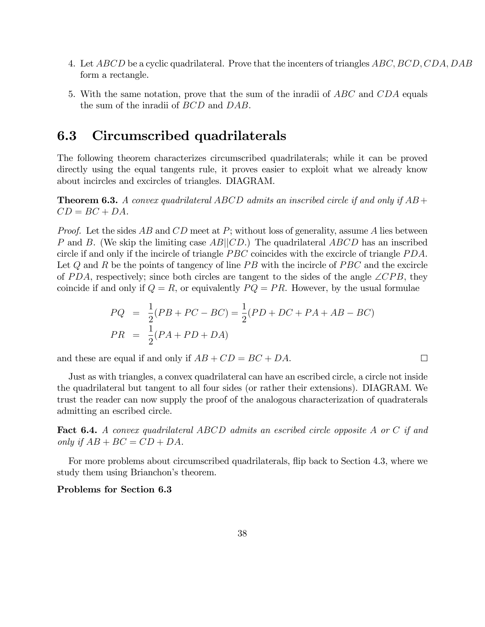- 4. Let ABCD be a cyclic quadrilateral. Prove that the incenters of triangles ABC, BCD, CDA, DAB form a rectangle.
- 5. With the same notation, prove that the sum of the inradii of ABC and CDA equals the sum of the inradii of BCD and DAB.

### 6.3 Circumscribed quadrilaterals

The following theorem characterizes circumscribed quadrilaterals; while it can be proved directly using the equal tangents rule, it proves easier to exploit what we already know about incircles and excircles of triangles. DIAGRAM.

**Theorem 6.3.** A convex quadrilateral ABCD admits an inscribed circle if and only if  $AB$  +  $CD = BC + DA$ .

*Proof.* Let the sides  $AB$  and  $CD$  meet at P; without loss of generality, assume A lies between P and B. (We skip the limiting case  $AB||CD$ .) The quadrilateral ABCD has an inscribed circle if and only if the incircle of triangle  $PBC$  coincides with the excircle of triangle  $PDA$ . Let  $Q$  and  $R$  be the points of tangency of line  $PB$  with the incircle of  $PBC$  and the excircle of PDA, respectively; since both circles are tangent to the sides of the angle  $\angle CPB$ , they coincide if and only if  $Q = R$ , or equivalently  $PQ = PR$ . However, by the usual formulae

$$
PQ = \frac{1}{2}(PB + PC - BC) = \frac{1}{2}(PD + DC + PA + AB - BC)
$$
  
\n
$$
PR = \frac{1}{2}(PA + PD + DA)
$$

 $\Box$ 

and these are equal if and only if  $AB + CD = BC + DA$ .

Just as with triangles, a convex quadrilateral can have an escribed circle, a circle not inside the quadrilateral but tangent to all four sides (or rather their extensions). DIAGRAM. We trust the reader can now supply the proof of the analogous characterization of quadraterals admitting an escribed circle.

Fact 6.4. A convex quadrilateral ABCD admits an escribed circle opposite A or C if and only if  $AB + BC = CD + DA$ .

For more problems about circumscribed quadrilaterals, flip back to Section 4.3, where we study them using Brianchon's theorem.

#### Problems for Section 6.3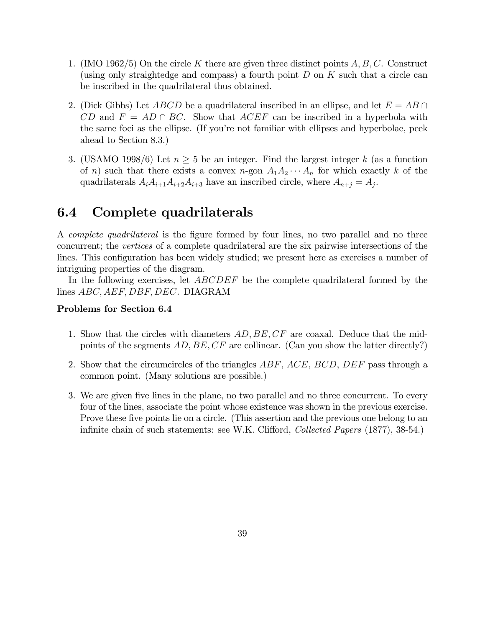- 1. (IMO 1962/5) On the circle K there are given three distinct points  $A, B, C$ . Construct (using only straightedge and compass) a fourth point  $D$  on  $K$  such that a circle can be inscribed in the quadrilateral thus obtained.
- 2. (Dick Gibbs) Let  $ABCD$  be a quadrilateral inscribed in an ellipse, and let  $E = AB \cap$ CD and  $F = AD \cap BC$ . Show that  $ACEF$  can be inscribed in a hyperbola with the same foci as the ellipse. (If youíre not familiar with ellipses and hyperbolae, peek ahead to Section 8.3.)
- 3. (USAMO 1998/6) Let  $n \geq 5$  be an integer. Find the largest integer k (as a function of n) such that there exists a convex n-gon  $A_1A_2 \cdots A_n$  for which exactly k of the quadrilaterals  $A_i A_{i+1} A_{i+2} A_{i+3}$  have an inscribed circle, where  $A_{n+j} = A_j$ .

## 6.4 Complete quadrilaterals

A *complete quadrilateral* is the figure formed by four lines, no two parallel and no three concurrent; the vertices of a complete quadrilateral are the six pairwise intersections of the lines. This configuration has been widely studied; we present here as exercises a number of intriguing properties of the diagram.

In the following exercises, let *ABCDEF* be the complete quadrilateral formed by the lines ABC; AEF; DBF; DEC. DIAGRAM

#### Problems for Section 6.4

- 1. Show that the circles with diameters AD; BE; CF are coaxal. Deduce that the midpoints of the segments  $AD, BE, CF$  are collinear. (Can you show the latter directly?)
- 2. Show that the circumcircles of the triangles ABF, ACE, BCD, DEF pass through a common point. (Many solutions are possible.)
- 3. We are given five lines in the plane, no two parallel and no three concurrent. To every four of the lines, associate the point whose existence was shown in the previous exercise. Prove these five points lie on a circle. (This assertion and the previous one belong to an infinite chain of such statements: see W.K. Clifford, *Collected Papers* (1877), 38-54.)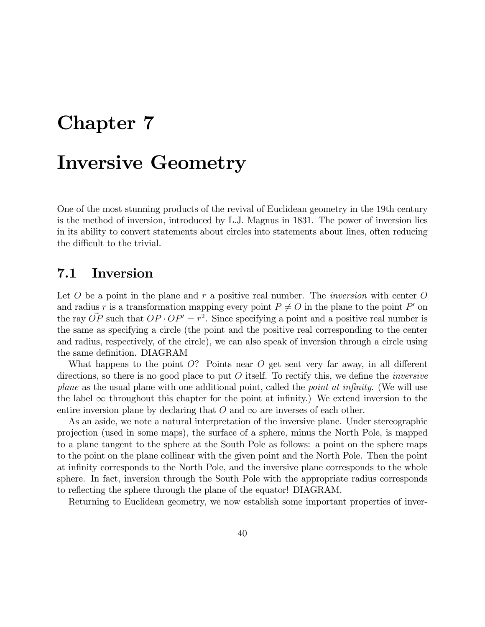# Chapter 7

# Inversive Geometry

One of the most stunning products of the revival of Euclidean geometry in the 19th century is the method of inversion, introduced by L.J. Magnus in 1831. The power of inversion lies in its ability to convert statements about circles into statements about lines, often reducing the difficult to the trivial.

### 7.1 Inversion

Let  $O$  be a point in the plane and  $r$  a positive real number. The *inversion* with center  $O$ and radius r is a transformation mapping every point  $P \neq O$  in the plane to the point P' on the ray  $\overrightarrow{OP}$  such that  $\overrightarrow{OP} \cdot \overrightarrow{OP'} = r^2$ . Since specifying a point and a positive real number is the same as specifying a circle (the point and the positive real corresponding to the center and radius, respectively, of the circle), we can also speak of inversion through a circle using the same definition. DIAGRAM

What happens to the point  $O$ ? Points near  $O$  get sent very far away, in all different directions, so there is no good place to put  $O$  itself. To rectify this, we define the *inversive plane* as the usual plane with one additional point, called the *point at infinity*. (We will use the label  $\infty$  throughout this chapter for the point at infinity.) We extend inversion to the entire inversion plane by declaring that O and  $\infty$  are inverses of each other.

As an aside, we note a natural interpretation of the inversive plane. Under stereographic projection (used in some maps), the surface of a sphere, minus the North Pole, is mapped to a plane tangent to the sphere at the South Pole as follows: a point on the sphere maps to the point on the plane collinear with the given point and the North Pole. Then the point at infinity corresponds to the North Pole, and the inversive plane corresponds to the whole sphere. In fact, inversion through the South Pole with the appropriate radius corresponds to reflecting the sphere through the plane of the equator! DIAGRAM.

Returning to Euclidean geometry, we now establish some important properties of inver-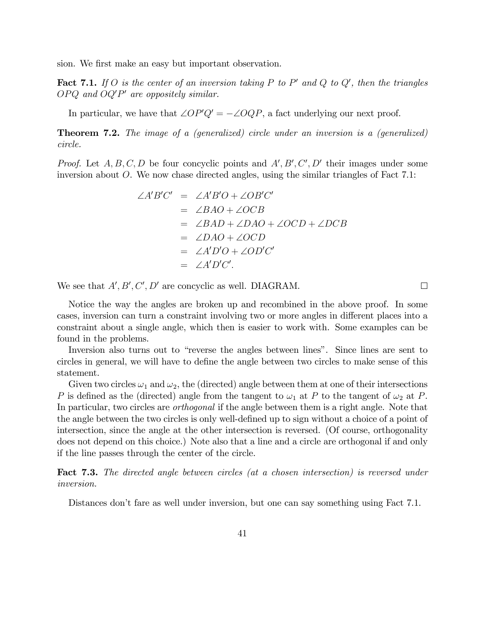sion. We first make an easy but important observation.

**Fact 7.1.** If O is the center of an inversion taking P to P' and Q to Q', then the triangles  $OPQ$  and  $OQ'P'$  are oppositely similar.

In particular, we have that  $\angle OP'Q' = -\angle OQP$ , a fact underlying our next proof.

Theorem 7.2. The image of a (generalized) circle under an inversion is a (generalized) circle.

*Proof.* Let  $A, B, C, D$  be four concyclic points and  $A', B', C', D'$  their images under some inversion about  $O$ . We now chase directed angles, using the similar triangles of Fact 7.1:

$$
\angle A'B'C' = \angle A'B'O + \angle OB'C'
$$
  
=  $\angle BAO + \angle OCB$   
=  $\angle BAD + \angle DAO + \angle OCD + \angle DCB$   
=  $\angle DAO + \angle OCD$   
=  $\angle A'D'O + \angle OD'C'$   
=  $\angle A'D'C'$ .

We see that  $A', B', C', D'$  are concyclic as well. DIAGRAM.

Notice the way the angles are broken up and recombined in the above proof. In some cases, inversion can turn a constraint involving two or more angles in different places into a constraint about a single angle, which then is easier to work with. Some examples can be found in the problems.

 $\Box$ 

Inversion also turns out to "reverse the angles between lines". Since lines are sent to circles in general, we will have to define the angle between two circles to make sense of this statement.

Given two circles  $\omega_1$  and  $\omega_2$ , the (directed) angle between them at one of their intersections P is defined as the (directed) angle from the tangent to  $\omega_1$  at P to the tangent of  $\omega_2$  at P. In particular, two circles are *orthogonal* if the angle between them is a right angle. Note that the angle between the two circles is only well-defined up to sign without a choice of a point of intersection, since the angle at the other intersection is reversed. (Of course, orthogonality does not depend on this choice.) Note also that a line and a circle are orthogonal if and only if the line passes through the center of the circle.

**Fact 7.3.** The directed angle between circles (at a chosen intersection) is reversed under inversion.

Distances don't fare as well under inversion, but one can say something using Fact 7.1.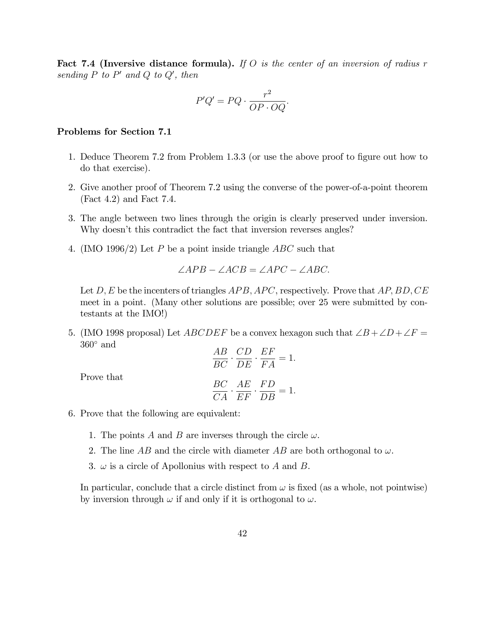Fact 7.4 (Inversive distance formula). If O is the center of an inversion of radius  $r$ sending  $P$  to  $P'$  and  $Q$  to  $Q'$ , then

$$
P'Q' = PQ \cdot \frac{r^2}{OP \cdot OQ}.
$$

#### Problems for Section 7.1

- 1. Deduce Theorem 7.2 from Problem 1.3.3 (or use the above proof to Ögure out how to do that exercise).
- 2. Give another proof of Theorem 7.2 using the converse of the power-of-a-point theorem (Fact 4.2) and Fact 7.4.
- 3. The angle between two lines through the origin is clearly preserved under inversion. Why doesn't this contradict the fact that inversion reverses angles?
- 4. (IMO 1996/2) Let P be a point inside triangle  $ABC$  such that

$$
\angle APB - \angle ACB = \angle APC - \angle ABC.
$$

Let D, E be the incenters of triangles  $APB$ ,  $APC$ , respectively. Prove that  $AP$ ,  $BD$ ,  $CE$ meet in a point. (Many other solutions are possible; over 25 were submitted by contestants at the IMO!)

5. (IMO 1998 proposal) Let *ABCDEF* be a convex hexagon such that  $\angle B + \angle D + \angle F =$  $360^{\circ}$  and AB  $\sim$   $\sim$ 

$$
\frac{AB}{BC} \cdot \frac{CD}{DE} \cdot \frac{EF}{FA} = 1.
$$

$$
\frac{BC}{CA} \cdot \frac{AE}{EF} \cdot \frac{FD}{DB} = 1.
$$

6. Prove that the following are equivalent:

Prove that

- 1. The points A and B are inverses through the circle  $\omega$ .
- 2. The line AB and the circle with diameter AB are both orthogonal to  $\omega$ .
- 3.  $\omega$  is a circle of Apollonius with respect to A and B.

In particular, conclude that a circle distinct from  $\omega$  is fixed (as a whole, not pointwise) by inversion through  $\omega$  if and only if it is orthogonal to  $\omega$ .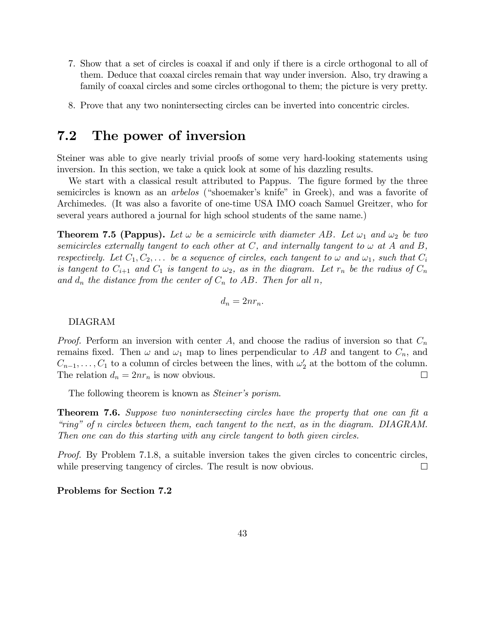- 7. Show that a set of circles is coaxal if and only if there is a circle orthogonal to all of them. Deduce that coaxal circles remain that way under inversion. Also, try drawing a family of coaxal circles and some circles orthogonal to them; the picture is very pretty.
- 8. Prove that any two nonintersecting circles can be inverted into concentric circles.

### 7.2 The power of inversion

Steiner was able to give nearly trivial proofs of some very hard-looking statements using inversion. In this section, we take a quick look at some of his dazzling results.

We start with a classical result attributed to Pappus. The figure formed by the three semicircles is known as an *arbelos* ("shoemaker's knife" in Greek), and was a favorite of Archimedes. (It was also a favorite of one-time USA IMO coach Samuel Greitzer, who for several years authored a journal for high school students of the same name.)

**Theorem 7.5 (Pappus).** Let  $\omega$  be a semicircle with diameter AB. Let  $\omega_1$  and  $\omega_2$  be two semicircles externally tangent to each other at C, and internally tangent to  $\omega$  at A and B, respectively. Let  $C_1, C_2, \ldots$  be a sequence of circles, each tangent to  $\omega$  and  $\omega_1$ , such that  $C_i$ is tangent to  $C_{i+1}$  and  $C_1$  is tangent to  $\omega_2$ , as in the diagram. Let  $r_n$  be the radius of  $C_n$ and  $d_n$  the distance from the center of  $C_n$  to AB. Then for all n,

$$
d_n = 2nr_n.
$$

#### DIAGRAM

*Proof.* Perform an inversion with center A, and choose the radius of inversion so that  $C_n$ remains fixed. Then  $\omega$  and  $\omega_1$  map to lines perpendicular to AB and tangent to  $C_n$ , and  $C_{n-1}, \ldots, C_1$  to a column of circles between the lines, with  $\omega'_2$  at the bottom of the column. The relation  $d_n = 2nr_n$  is now obvious.  $\Box$ 

The following theorem is known as *Steiner's porism*.

**Theorem 7.6.** Suppose two nonintersecting circles have the property that one can fit a ìringî of n circles between them, each tangent to the next, as in the diagram. DIAGRAM. Then one can do this starting with any circle tangent to both given circles.

Proof. By Problem 7.1.8, a suitable inversion takes the given circles to concentric circles, while preserving tangency of circles. The result is now obvious.  $\Box$ 

#### Problems for Section 7.2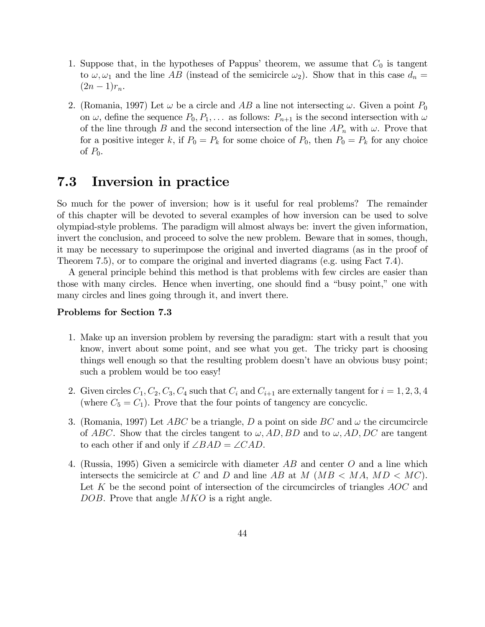- 1. Suppose that, in the hypotheses of Pappus' theorem, we assume that  $C_0$  is tangent to  $\omega, \omega_1$  and the line AB (instead of the semicircle  $\omega_2$ ). Show that in this case  $d_n =$  $(2n - 1)r_n$ .
- 2. (Romania, 1997) Let  $\omega$  be a circle and AB a line not intersecting  $\omega$ . Given a point  $P_0$ on  $\omega$ , define the sequence  $P_0, P_1, \ldots$  as follows:  $P_{n+1}$  is the second intersection with  $\omega$ of the line through B and the second intersection of the line  $AP_n$  with  $\omega$ . Prove that for a positive integer k, if  $P_0 = P_k$  for some choice of  $P_0$ , then  $P_0 = P_k$  for any choice of  $P_0$ .

## 7.3 Inversion in practice

So much for the power of inversion; how is it useful for real problems? The remainder of this chapter will be devoted to several examples of how inversion can be used to solve olympiad-style problems. The paradigm will almost always be: invert the given information, invert the conclusion, and proceed to solve the new problem. Beware that in somes, though, it may be necessary to superimpose the original and inverted diagrams (as in the proof of Theorem 7.5), or to compare the original and inverted diagrams (e.g. using Fact 7.4).

A general principle behind this method is that problems with few circles are easier than those with many circles. Hence when inverting, one should find a "busy point," one with many circles and lines going through it, and invert there.

#### Problems for Section 7.3

- 1. Make up an inversion problem by reversing the paradigm: start with a result that you know, invert about some point, and see what you get. The tricky part is choosing things well enough so that the resulting problem doesn't have an obvious busy point; such a problem would be too easy!
- 2. Given circles  $C_1, C_2, C_3, C_4$  such that  $C_i$  and  $C_{i+1}$  are externally tangent for  $i = 1, 2, 3, 4$ (where  $C_5 = C_1$ ). Prove that the four points of tangency are concyclic.
- 3. (Romania, 1997) Let  $ABC$  be a triangle, D a point on side  $BC$  and  $\omega$  the circumcircle of ABC. Show that the circles tangent to  $\omega$ , AD, BD and to  $\omega$ , AD, DC are tangent to each other if and only if  $\angle BAD = \angle CAD$ .
- 4. (Russia, 1995) Given a semicircle with diameter AB and center O and a line which intersects the semicircle at C and D and line AB at M ( $MB < MA$ ,  $MD < MC$ ). Let K be the second point of intersection of the circumcircles of triangles AOC and DOB. Prove that angle MKO is a right angle.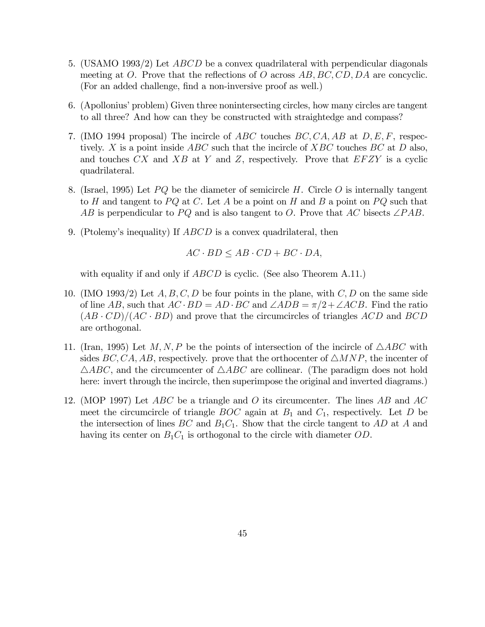- 5. (USAMO 1993/2) Let ABCD be a convex quadrilateral with perpendicular diagonals meeting at O. Prove that the reflections of O across  $AB, BC, CD, DA$  are concyclic. (For an added challenge, find a non-inversive proof as well.)
- 6. (Apollonius' problem) Given three nonintersecting circles, how many circles are tangent to all three? And how can they be constructed with straightedge and compass?
- 7. (IMO 1994 proposal) The incircle of ABC touches  $BC, CA, AB$  at  $D, E, F$ , respectively. X is a point inside  $ABC$  such that the incircle of  $XBC$  touches  $BC$  at D also, and touches  $CX$  and  $XB$  at Y and Z, respectively. Prove that  $EFZY$  is a cyclic quadrilateral.
- 8. (Israel, 1995) Let  $PQ$  be the diameter of semicircle H. Circle O is internally tangent to H and tangent to  $PQ$  at C. Let A be a point on H and B a point on  $PQ$  such that AB is perpendicular to PQ and is also tangent to O. Prove that AC bisects  $\angle PAB$ .
- 9. (Ptolemyís inequality) If ABCD is a convex quadrilateral, then

$$
AC \cdot BD \le AB \cdot CD + BC \cdot DA,
$$

with equality if and only if *ABCD* is cyclic. (See also Theorem A.11.)

- 10. (IMO 1993/2) Let  $A, B, C, D$  be four points in the plane, with  $C, D$  on the same side of line AB, such that  $AC \cdot BD = AD \cdot BC$  and  $\angle ADB = \pi/2 + \angle ACB$ . Find the ratio  $(AB \cdot CD)/(AC \cdot BD)$  and prove that the circumcircles of triangles ACD and BCD are orthogonal.
- 11. (Iran, 1995) Let M, N, P be the points of intersection of the incircle of  $\triangle ABC$  with sides BC, CA, AB, respectively. prove that the orthocenter of  $\triangle MNP$ , the incenter of  $\triangle ABC$ , and the circumcenter of  $\triangle ABC$  are collinear. (The paradigm does not hold here: invert through the incircle, then superimpose the original and inverted diagrams.)
- 12. (MOP 1997) Let  $ABC$  be a triangle and O its circumcenter. The lines AB and AC meet the circumcircle of triangle  $BOC$  again at  $B_1$  and  $C_1$ , respectively. Let D be the intersection of lines  $BC$  and  $B_1C_1$ . Show that the circle tangent to  $AD$  at A and having its center on  $B_1C_1$  is orthogonal to the circle with diameter OD.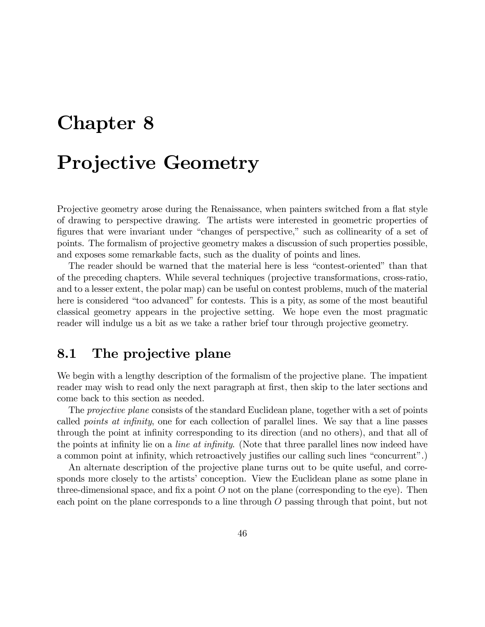# Chapter 8

# Projective Geometry

Projective geometry arose during the Renaissance, when painters switched from a flat style of drawing to perspective drawing. The artists were interested in geometric properties of figures that were invariant under "changes of perspective," such as collinearity of a set of points. The formalism of projective geometry makes a discussion of such properties possible, and exposes some remarkable facts, such as the duality of points and lines.

The reader should be warned that the material here is less "contest-oriented" than that of the preceding chapters. While several techniques (projective transformations, cross-ratio, and to a lesser extent, the polar map) can be useful on contest problems, much of the material here is considered "too advanced" for contests. This is a pity, as some of the most beautiful classical geometry appears in the projective setting. We hope even the most pragmatic reader will indulge us a bit as we take a rather brief tour through projective geometry.

## 8.1 The projective plane

We begin with a lengthy description of the formalism of the projective plane. The impatient reader may wish to read only the next paragraph at first, then skip to the later sections and come back to this section as needed.

The *projective plane* consists of the standard Euclidean plane, together with a set of points called *points at infinity*, one for each collection of parallel lines. We say that a line passes through the point at infinity corresponding to its direction (and no others), and that all of the points at infinity lie on a *line at infinity*. (Note that three parallel lines now indeed have a common point at infinity, which retroactively justifies our calling such lines "concurrent".)

An alternate description of the projective plane turns out to be quite useful, and corresponds more closely to the artists' conception. View the Euclidean plane as some plane in three-dimensional space, and fix a point  $O$  not on the plane (corresponding to the eye). Then each point on the plane corresponds to a line through O passing through that point, but not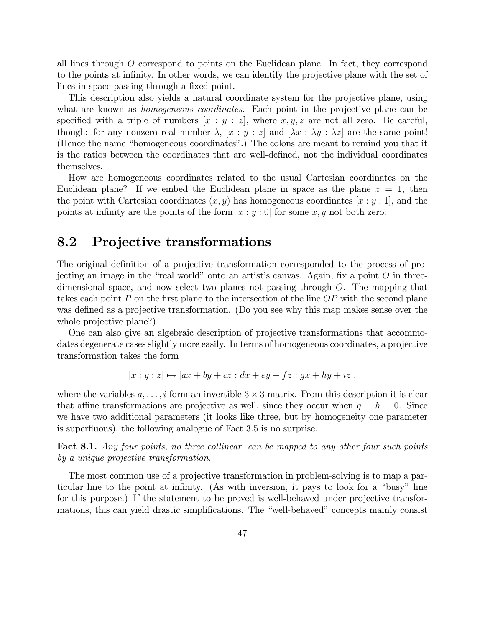all lines through  $O$  correspond to points on the Euclidean plane. In fact, they correspond to the points at infinity. In other words, we can identify the projective plane with the set of lines in space passing through a fixed point.

This description also yields a natural coordinate system for the projective plane, using what are known as *homogeneous coordinates*. Each point in the projective plane can be specified with a triple of numbers  $[x : y : z]$ , where  $x, y, z$  are not all zero. Be careful, though: for any nonzero real number  $\lambda$ ,  $[x : y : z]$  and  $[\lambda x : \lambda y : \lambda z]$  are the same point! (Hence the name "homogeneous coordinates".) The colons are meant to remind you that it is the ratios between the coordinates that are well-defined, not the individual coordinates themselves.

How are homogeneous coordinates related to the usual Cartesian coordinates on the Euclidean plane? If we embed the Euclidean plane in space as the plane  $z = 1$ , then the point with Cartesian coordinates  $(x, y)$  has homogeneous coordinates  $[x : y : 1]$ , and the points at infinity are the points of the form  $x : y : 0$  for some x, y not both zero.

## 8.2 Projective transformations

The original definition of a projective transformation corresponded to the process of projecting an image in the "real world" onto an artist's canvas. Again, fix a point  $O$  in threedimensional space, and now select two planes not passing through O. The mapping that takes each point P on the first plane to the intersection of the line  $OP$  with the second plane was defined as a projective transformation. (Do you see why this map makes sense over the whole projective plane?)

One can also give an algebraic description of projective transformations that accommodates degenerate cases slightly more easily. In terms of homogeneous coordinates, a projective transformation takes the form

$$
[x:y:z] \mapsto [ax+by+cz:dx+ey+fz:gx+hy+iz],
$$

where the variables  $a, \ldots, i$  form an invertible  $3 \times 3$  matrix. From this description it is clear that affine transformations are projective as well, since they occur when  $g = h = 0$ . Since we have two additional parameters (it looks like three, but by homogeneity one parameter is superfluous), the following analogue of Fact 3.5 is no surprise.

**Fact 8.1.** Any four points, no three collinear, can be mapped to any other four such points by a unique projective transformation.

The most common use of a projective transformation in problem-solving is to map a particular line to the point at infinity. (As with inversion, it pays to look for a "busy" line for this purpose.) If the statement to be proved is well-behaved under projective transformations, this can yield drastic simplifications. The "well-behaved" concepts mainly consist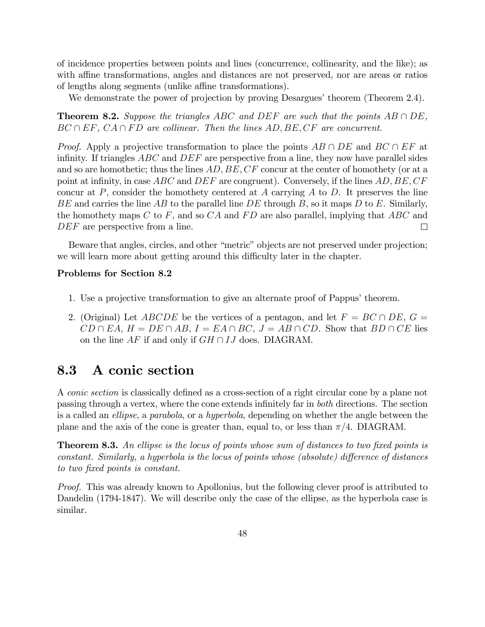of incidence properties between points and lines (concurrence, collinearity, and the like); as with affine transformations, angles and distances are not preserved, nor are areas or ratios of lengths along segments (unlike affine transformations).

We demonstrate the power of projection by proving Desargues' theorem (Theorem 2.4).

**Theorem 8.2.** Suppose the triangles ABC and DEF are such that the points AB  $\cap$  DE,  $BC \cap EF$ ,  $CA \cap FD$  are collinear. Then the lines  $AD, BE, CF$  are concurrent.

*Proof.* Apply a projective transformation to place the points  $AB \cap DE$  and  $BC \cap EF$  at infinity. If triangles  $ABC$  and  $DEF$  are perspective from a line, they now have parallel sides and so are homothetic; thus the lines  $AD, BE, CF$  concur at the center of homothety (or at a point at infinity, in case ABC and DEF are congruent). Conversely, if the lines  $AD, BE, CF$ concur at  $P$ , consider the homothety centered at  $A$  carrying  $A$  to  $D$ . It preserves the line BE and carries the line AB to the parallel line  $DE$  through B, so it maps D to E. Similarly, the homothety maps C to F, and so  $CA$  and  $FD$  are also parallel, implying that ABC and DEF are perspective from a line.  $\Box$ 

Beware that angles, circles, and other "metric" objects are not preserved under projection; we will learn more about getting around this difficulty later in the chapter.

#### Problems for Section 8.2

- 1. Use a projective transformation to give an alternate proof of Pappus' theorem.
- 2. (Original) Let ABCDE be the vertices of a pentagon, and let  $F = BC \cap DE$ ,  $G =$  $CD \cap EA, H = DE \cap AB, I = EA \cap BC, J = AB \cap CD$ . Show that  $BD \cap CE$  lies on the line  $AF$  if and only if  $GH \cap IJ$  does. DIAGRAM.

### 8.3 A conic section

A *conic section* is classically defined as a cross-section of a right circular cone by a plane not passing through a vertex, where the cone extends infinitely far in *both* directions. The section is a called an ellipse, a parabola, or a hyperbola, depending on whether the angle between the plane and the axis of the cone is greater than, equal to, or less than  $\pi/4$ . DIAGRAM.

Theorem 8.3. An ellipse is the locus of points whose sum of distances to two fixed points is  $constant.$  Similarly, a hyperbola is the locus of points whose (absolute) difference of distances to two fixed points is constant.

Proof. This was already known to Apollonius, but the following clever proof is attributed to Dandelin (1794-1847). We will describe only the case of the ellipse, as the hyperbola case is similar.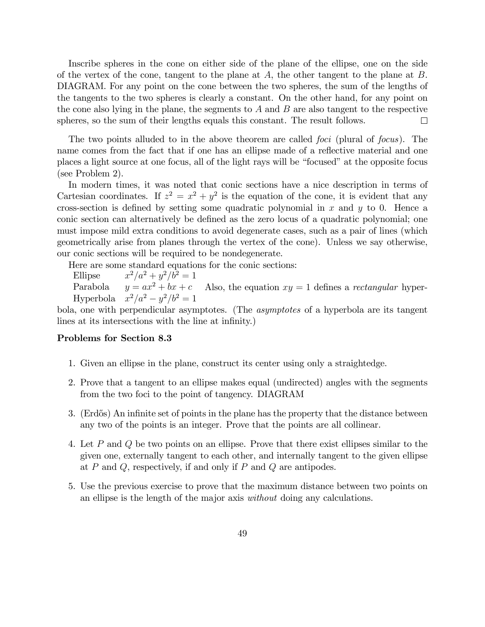Inscribe spheres in the cone on either side of the plane of the ellipse, one on the side of the vertex of the cone, tangent to the plane at A, the other tangent to the plane at  $B$ . DIAGRAM. For any point on the cone between the two spheres, the sum of the lengths of the tangents to the two spheres is clearly a constant. On the other hand, for any point on the cone also lying in the plane, the segments to  $A$  and  $B$  are also tangent to the respective spheres, so the sum of their lengths equals this constant. The result follows.  $\Box$ 

The two points alluded to in the above theorem are called foci (plural of focus). The name comes from the fact that if one has an ellipse made of a reflective material and one places a light source at one focus, all of the light rays will be "focused" at the opposite focus (see Problem 2).

In modern times, it was noted that conic sections have a nice description in terms of Cartesian coordinates. If  $z^2 = x^2 + y^2$  is the equation of the cone, it is evident that any cross-section is defined by setting some quadratic polynomial in  $x$  and  $y$  to 0. Hence a conic section can alternatively be defined as the zero locus of a quadratic polynomial; one must impose mild extra conditions to avoid degenerate cases, such as a pair of lines (which geometrically arise from planes through the vertex of the cone). Unless we say otherwise, our conic sections will be required to be nondegenerate.

Here are some standard equations for the conic sections:

Ellipse  $\frac{2}{a^2 + y^2/b^2} = 1$ 

Parabola  $y = ax^2 + bx + c$ Hyperbola  $x^2/a^2 - y^2/b^2 = 1$ Also, the equation  $xy = 1$  defines a *rectangular* hyper-

bola, one with perpendicular asymptotes. (The asymptotes of a hyperbola are its tangent lines at its intersections with the line at infinity.)

#### Problems for Section 8.3

- 1. Given an ellipse in the plane, construct its center using only a straightedge.
- 2. Prove that a tangent to an ellipse makes equal (undirected) angles with the segments from the two foci to the point of tangency. DIAGRAM
- 3. (Erdős) An infinite set of points in the plane has the property that the distance between any two of the points is an integer. Prove that the points are all collinear.
- 4. Let P and Q be two points on an ellipse. Prove that there exist ellipses similar to the given one, externally tangent to each other, and internally tangent to the given ellipse at  $P$  and  $Q$ , respectively, if and only if  $P$  and  $Q$  are antipodes.
- 5. Use the previous exercise to prove that the maximum distance between two points on an ellipse is the length of the major axis without doing any calculations.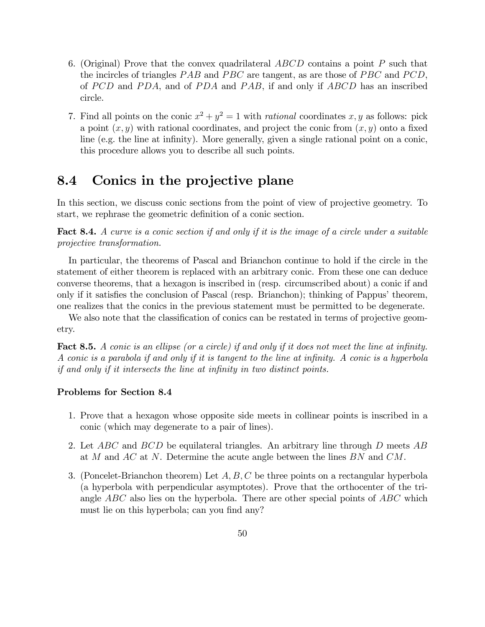- 6. (Original) Prove that the convex quadrilateral ABCD contains a point P such that the incircles of triangles  $PAB$  and  $PBC$  are tangent, as are those of  $PBC$  and  $PCD$ . of  $PCD$  and  $PDA$ , and of  $PDA$  and  $PAB$ , if and only if  $ABCD$  has an inscribed circle.
- 7. Find all points on the conic  $x^2 + y^2 = 1$  with *rational* coordinates x, y as follows: pick a point  $(x, y)$  with rational coordinates, and project the conic from  $(x, y)$  onto a fixed line (e.g. the line at infinity). More generally, given a single rational point on a conic, this procedure allows you to describe all such points.

## 8.4 Conics in the projective plane

In this section, we discuss conic sections from the point of view of projective geometry. To start, we rephrase the geometric definition of a conic section.

Fact 8.4. A curve is a conic section if and only if it is the image of a circle under a suitable projective transformation.

In particular, the theorems of Pascal and Brianchon continue to hold if the circle in the statement of either theorem is replaced with an arbitrary conic. From these one can deduce converse theorems, that a hexagon is inscribed in (resp. circumscribed about) a conic if and only if it satisfies the conclusion of Pascal (resp. Brianchon); thinking of Pappus' theorem, one realizes that the conics in the previous statement must be permitted to be degenerate.

We also note that the classification of conics can be restated in terms of projective geometry.

**Fact 8.5.** A conic is an ellipse (or a circle) if and only if it does not meet the line at infinity. A conic is a parabola if and only if it is tangent to the line at infinity. A conic is a hyperbola if and only if it intersects the line at infinity in two distinct points.

#### Problems for Section 8.4

- 1. Prove that a hexagon whose opposite side meets in collinear points is inscribed in a conic (which may degenerate to a pair of lines).
- 2. Let  $ABC$  and  $BCD$  be equilateral triangles. An arbitrary line through D meets  $AB$ at M and AC at N. Determine the acute angle between the lines  $BN$  and  $CM$ .
- 3. (Poncelet-Brianchon theorem) Let  $A, B, C$  be three points on a rectangular hyperbola (a hyperbola with perpendicular asymptotes). Prove that the orthocenter of the triangle ABC also lies on the hyperbola. There are other special points of ABC which must lie on this hyperbola; can you find any?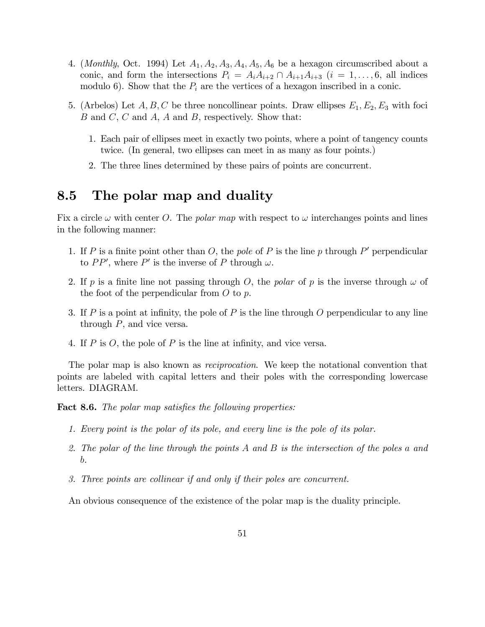- 4. (*Monthly*, Oct. 1994) Let  $A_1, A_2, A_3, A_4, A_5, A_6$  be a hexagon circumscribed about a conic, and form the intersections  $P_i = A_i A_{i+2} \cap A_{i+1} A_{i+3}$   $(i = 1, ..., 6,$  all indices modulo 6). Show that the  $P_i$  are the vertices of a hexagon inscribed in a conic.
- 5. (Arbelos) Let  $A, B, C$  be three noncollinear points. Draw ellipses  $E_1, E_2, E_3$  with foci  $B$  and  $C$ ,  $C$  and  $A$ ,  $A$  and  $B$ , respectively. Show that:
	- 1. Each pair of ellipses meet in exactly two points, where a point of tangency counts twice. (In general, two ellipses can meet in as many as four points.)
	- 2. The three lines determined by these pairs of points are concurrent.

### 8.5 The polar map and duality

Fix a circle  $\omega$  with center O. The polar map with respect to  $\omega$  interchanges points and lines in the following manner:

- 1. If P is a finite point other than O, the pole of P is the line p through P' perpendicular to  $PP'$ , where  $P'$  is the inverse of P through  $\omega$ .
- 2. If p is a finite line not passing through O, the polar of p is the inverse through  $\omega$  of the foot of the perpendicular from  $O$  to  $p$ .
- 3. If P is a point at infinity, the pole of P is the line through O perpendicular to any line through P, and vice versa.
- 4. If  $P$  is  $O$ , the pole of  $P$  is the line at infinity, and vice versa.

The polar map is also known as reciprocation. We keep the notational convention that points are labeled with capital letters and their poles with the corresponding lowercase letters. DIAGRAM.

**Fact 8.6.** The polar map satisfies the following properties:

- 1. Every point is the polar of its pole, and every line is the pole of its polar.
- 2. The polar of the line through the points A and B is the intersection of the poles a and b.
- 3. Three points are collinear if and only if their poles are concurrent.

An obvious consequence of the existence of the polar map is the duality principle.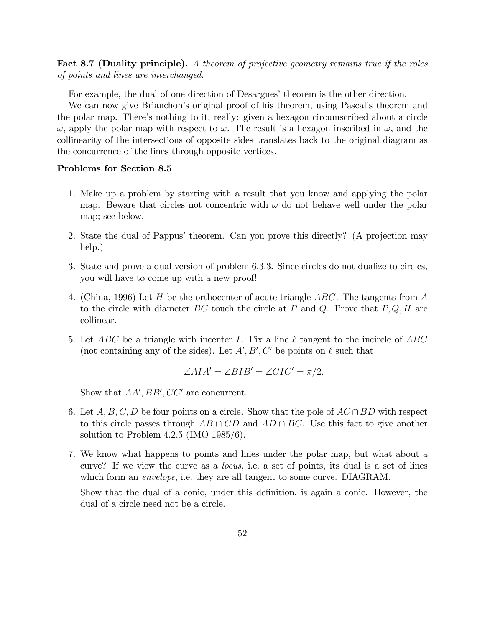Fact 8.7 (Duality principle). A theorem of projective geometry remains true if the roles of points and lines are interchanged.

For example, the dual of one direction of Desargues' theorem is the other direction.

We can now give Brianchon's original proof of his theorem, using Pascal's theorem and the polar map. There's nothing to it, really: given a hexagon circumscribed about a circle  $\omega$ , apply the polar map with respect to  $\omega$ . The result is a hexagon inscribed in  $\omega$ , and the collinearity of the intersections of opposite sides translates back to the original diagram as the concurrence of the lines through opposite vertices.

#### Problems for Section 8.5

- 1. Make up a problem by starting with a result that you know and applying the polar map. Beware that circles not concentric with  $\omega$  do not behave well under the polar map; see below.
- 2. State the dual of Pappus' theorem. Can you prove this directly? (A projection may help.)
- 3. State and prove a dual version of problem 6.3.3. Since circles do not dualize to circles, you will have to come up with a new proof!
- 4. (China, 1996) Let H be the orthocenter of acute triangle ABC. The tangents from A to the circle with diameter  $BC$  touch the circle at P and Q. Prove that  $P, Q, H$  are collinear.
- 5. Let ABC be a triangle with incenter I. Fix a line  $\ell$  tangent to the incircle of ABC (not containing any of the sides). Let  $A', B', C'$  be points on  $\ell$  such that

$$
\angle AIA' = \angle BIB' = \angle CIC' = \pi/2.
$$

Show that  $AA', BB', CC'$  are concurrent.

- 6. Let  $A, B, C, D$  be four points on a circle. Show that the pole of  $AC \cap BD$  with respect to this circle passes through  $AB \cap CD$  and  $AD \cap BC$ . Use this fact to give another solution to Problem 4.2.5 (IMO 1985/6).
- 7. We know what happens to points and lines under the polar map, but what about a curve? If we view the curve as a locus, i.e. a set of points, its dual is a set of lines which form an *envelope*, i.e. they are all tangent to some curve. DIAGRAM.

Show that the dual of a conic, under this definition, is again a conic. However, the dual of a circle need not be a circle.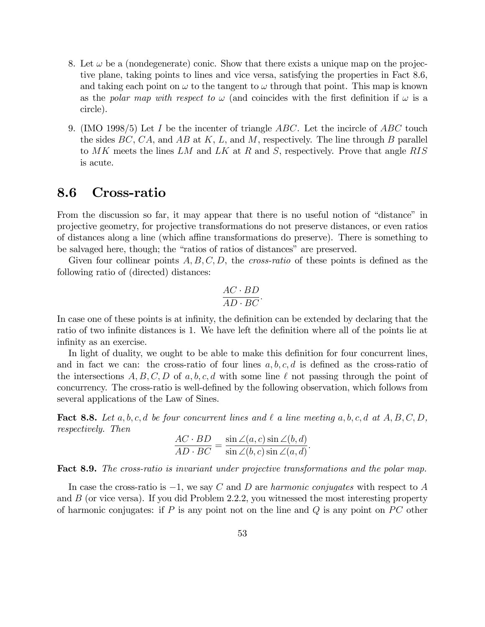- 8. Let  $\omega$  be a (nondegenerate) conic. Show that there exists a unique map on the projective plane, taking points to lines and vice versa, satisfying the properties in Fact 8.6, and taking each point on  $\omega$  to the tangent to  $\omega$  through that point. This map is known as the polar map with respect to  $\omega$  (and coincides with the first definition if  $\omega$  is a circle).
- 9. (IMO 1998/5) Let I be the incenter of triangle  $ABC$ . Let the incircle of  $ABC$  touch the sides  $BC, CA$ , and  $AB$  at K, L, and M, respectively. The line through B parallel to MK meets the lines LM and LK at R and S, respectively. Prove that angle RIS is acute.

### 8.6 Cross-ratio

From the discussion so far, it may appear that there is no useful notion of "distance" in projective geometry, for projective transformations do not preserve distances, or even ratios of distances along a line (which affine transformations do preserve). There is something to be salvaged here, though; the "ratios of ratios of distances" are preserved.

Given four collinear points  $A, B, C, D$ , the *cross-ratio* of these points is defined as the following ratio of (directed) distances:

$$
\frac{AC \cdot BD}{AD \cdot BC}.
$$

In case one of these points is at infinity, the definition can be extended by declaring that the ratio of two infinite distances is 1. We have left the definition where all of the points lie at infinity as an exercise.

In light of duality, we ought to be able to make this definition for four concurrent lines, and in fact we can: the cross-ratio of four lines  $a, b, c, d$  is defined as the cross-ratio of the intersections  $A, B, C, D$  of a, b, c, d with some line  $\ell$  not passing through the point of concurrency. The cross-ratio is well-defined by the following observation, which follows from several applications of the Law of Sines.

**Fact 8.8.** Let a, b, c, d be four concurrent lines and  $\ell$  a line meeting a, b, c, d at  $A, B, C, D$ , respectively. Then

$$
\frac{AC \cdot BD}{AD \cdot BC} = \frac{\sin \angle(a, c) \sin \angle(b, d)}{\sin \angle(b, c) \sin \angle(a, d)}.
$$

Fact 8.9. The cross-ratio is invariant under projective transformations and the polar map.

In case the cross-ratio is  $-1$ , we say C and D are harmonic conjugates with respect to A and  $B$  (or vice versa). If you did Problem 2.2.2, you witnessed the most interesting property of harmonic conjugates: if  $P$  is any point not on the line and  $Q$  is any point on  $PC$  other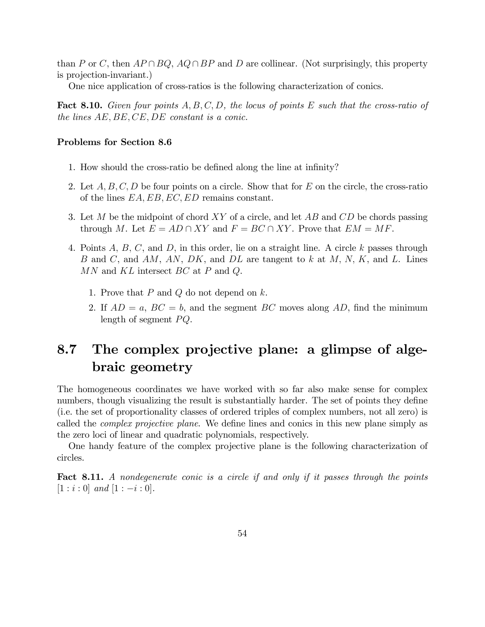than P or C, then  $AP \cap BQ$ ,  $AQ \cap BP$  and D are collinear. (Not surprisingly, this property is projection-invariant.)

One nice application of cross-ratios is the following characterization of conics.

**Fact 8.10.** Given four points  $A, B, C, D$ , the locus of points E such that the cross-ratio of the lines  $AE, BE, CE, DE constant is a conic.$ 

#### Problems for Section 8.6

- 1. How should the cross-ratio be defined along the line at infinity?
- 2. Let  $A, B, C, D$  be four points on a circle. Show that for E on the circle, the cross-ratio of the lines  $EA, EB, EC, ED$  remains constant.
- 3. Let M be the midpoint of chord  $XY$  of a circle, and let  $AB$  and  $CD$  be chords passing through M. Let  $E = AD \cap XY$  and  $F = BC \cap XY$ . Prove that  $EM = MF$ .
- 4. Points  $A, B, C$ , and  $D$ , in this order, lie on a straight line. A circle k passes through B and C, and AM, AN, DK, and DL are tangent to k at M, N, K, and L. Lines MN and KL intersect BC at P and Q.
	- 1. Prove that  $P$  and  $Q$  do not depend on  $k$ .
	- 2. If  $AD = a$ ,  $BC = b$ , and the segment BC moves along AD, find the minimum length of segment  $PQ$ .

## 8.7 The complex projective plane: a glimpse of algebraic geometry

The homogeneous coordinates we have worked with so far also make sense for complex numbers, though visualizing the result is substantially harder. The set of points they define (i.e. the set of proportionality classes of ordered triples of complex numbers, not all zero) is called the *complex projective plane*. We define lines and conics in this new plane simply as the zero loci of linear and quadratic polynomials, respectively.

One handy feature of the complex projective plane is the following characterization of circles.

**Fact 8.11.** A nondegenerate conic is a circle if and only if it passes through the points  $[1 : i : 0]$  and  $[1 : -i : 0]$ .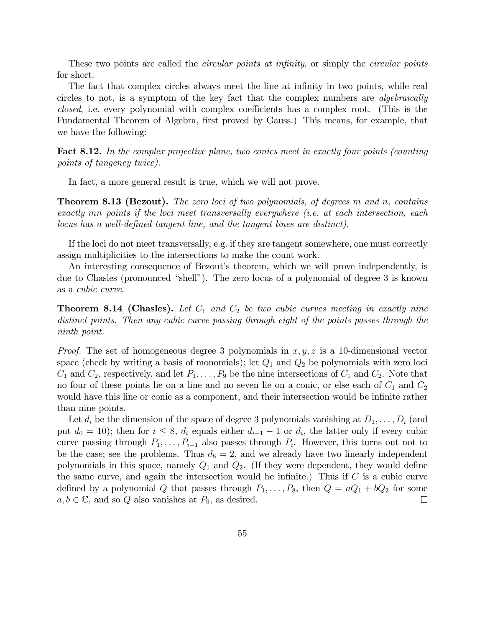These two points are called the *circular points at infinity*, or simply the *circular points* for short.

The fact that complex circles always meet the line at infinity in two points, while real circles to not, is a symptom of the key fact that the complex numbers are algebraically closed, i.e. every polynomial with complex coefficients has a complex root. (This is the Fundamental Theorem of Algebra, first proved by Gauss.) This means, for example, that we have the following:

Fact 8.12. In the complex projective plane, two conics meet in exactly four points (counting points of tangency twice).

In fact, a more general result is true, which we will not prove.

**Theorem 8.13 (Bezout).** The zero loci of two polynomials, of degrees  $m$  and  $n$ , contains exactly mn points if the loci meet transversally everywhere (i.e. at each intersection, each locus has a well-defined tangent line, and the tangent lines are distinct).

If the loci do not meet transversally, e.g. if they are tangent somewhere, one must correctly assign multiplicities to the intersections to make the count work.

An interesting consequence of Bezout's theorem, which we will prove independently, is due to Chasles (pronounced "shell"). The zero locus of a polynomial of degree 3 is known as a cubic curve.

**Theorem 8.14 (Chasles).** Let  $C_1$  and  $C_2$  be two cubic curves meeting in exactly nine distinct points. Then any cubic curve passing through eight of the points passes through the ninth point.

*Proof.* The set of homogeneous degree 3 polynomials in  $x, y, z$  is a 10-dimensional vector space (check by writing a basis of monomials); let  $Q_1$  and  $Q_2$  be polynomials with zero loci  $C_1$  and  $C_2$ , respectively, and let  $P_1, \ldots, P_9$  be the nine intersections of  $C_1$  and  $C_2$ . Note that no four of these points lie on a line and no seven lie on a conic, or else each of  $C_1$  and  $C_2$ would have this line or conic as a component, and their intersection would be infinite rather than nine points.

Let  $d_i$  be the dimension of the space of degree 3 polynomials vanishing at  $D_1, \ldots, D_i$  (and put  $d_0 = 10$ ); then for  $i \leq 8$ ,  $d_i$  equals either  $d_{i-1} - 1$  or  $d_i$ , the latter only if every cubic curve passing through  $P_1, \ldots, P_{i-1}$  also passes through  $P_i$ . However, this turns out not to be the case; see the problems. Thus  $d_8 = 2$ , and we already have two linearly independent polynomials in this space, namely  $Q_1$  and  $Q_2$ . (If they were dependent, they would define the same curve, and again the intersection would be infinite.) Thus if  $C$  is a cubic curve defined by a polynomial Q that passes through  $P_1, \ldots, P_8$ , then  $Q = aQ_1 + bQ_2$  for some  $a, b \in \mathbb{C}$ , and so Q also vanishes at  $P_9$ , as desired.  $\Box$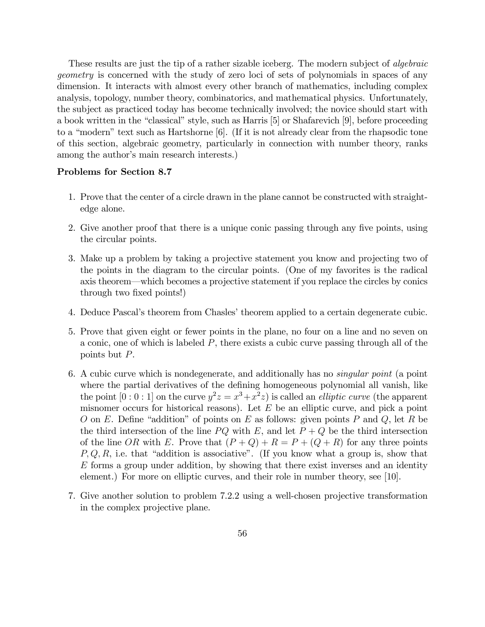These results are just the tip of a rather sizable iceberg. The modern subject of *algebraic* geometry is concerned with the study of zero loci of sets of polynomials in spaces of any dimension. It interacts with almost every other branch of mathematics, including complex analysis, topology, number theory, combinatorics, and mathematical physics. Unfortunately, the subject as practiced today has become technically involved; the novice should start with a book written in the "classical" style, such as Harris  $[5]$  or Shafarevich  $[9]$ , before proceeding to a "modern" text such as Hartshorne  $[6]$ . (If it is not already clear from the rhapsodic tone of this section, algebraic geometry, particularly in connection with number theory, ranks among the author's main research interests.)

#### Problems for Section 8.7

- 1. Prove that the center of a circle drawn in the plane cannot be constructed with straightedge alone.
- 2. Give another proof that there is a unique conic passing through any five points, using the circular points.
- 3. Make up a problem by taking a projective statement you know and projecting two of the points in the diagram to the circular points. (One of my favorites is the radical axis theorem—which becomes a projective statement if you replace the circles by conics through two fixed points!)
- 4. Deduce Pascal's theorem from Chasles' theorem applied to a certain degenerate cubic.
- 5. Prove that given eight or fewer points in the plane, no four on a line and no seven on a conic, one of which is labeled P, there exists a cubic curve passing through all of the points but P.
- 6. A cubic curve which is nondegenerate, and additionally has no singular point (a point where the partial derivatives of the defining homogeneous polynomial all vanish, like the point  $[0:0:1]$  on the curve  $y^2z = x^3 + x^2z$  is called an *elliptic curve* (the apparent misnomer occurs for historical reasons). Let  $E$  be an elliptic curve, and pick a point O on E. Define "addition" of points on E as follows: given points P and Q, let R be the third intersection of the line  $PQ$  with E, and let  $P + Q$  be the third intersection of the line OR with E. Prove that  $(P+Q)+R=P+(Q+R)$  for any three points  $P, Q, R$ , i.e. that "addition is associative". (If you know what a group is, show that E forms a group under addition, by showing that there exist inverses and an identity element.) For more on elliptic curves, and their role in number theory, see [10].
- 7. Give another solution to problem 7.2.2 using a well-chosen projective transformation in the complex projective plane.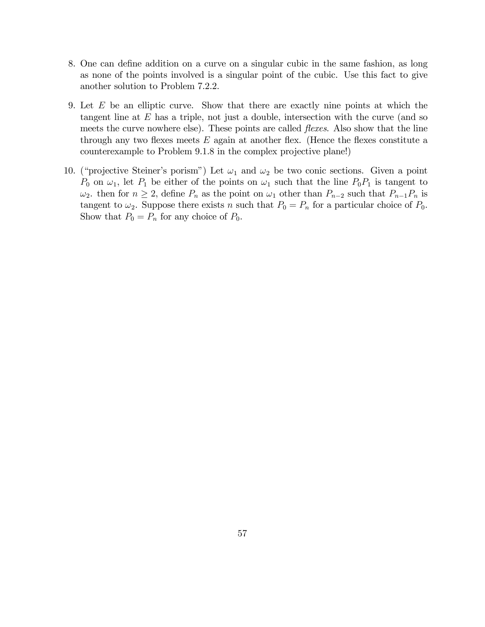- 8. One can define addition on a curve on a singular cubic in the same fashion, as long as none of the points involved is a singular point of the cubic. Use this fact to give another solution to Problem 7.2.2.
- 9. Let E be an elliptic curve. Show that there are exactly nine points at which the tangent line at  $E$  has a triple, not just a double, intersection with the curve (and so meets the curve nowhere else). These points are called  $\text{flexes.}$  Also show that the line through any two flexes meets  $E$  again at another flex. (Hence the flexes constitute a counterexample to Problem 9.1.8 in the complex projective plane!)
- 10. ("projective Steiner's porism") Let  $\omega_1$  and  $\omega_2$  be two conic sections. Given a point  $P_0$  on  $\omega_1$ , let  $P_1$  be either of the points on  $\omega_1$  such that the line  $P_0P_1$  is tangent to  $\omega_2$ , then for  $n \geq 2$ , define  $P_n$  as the point on  $\omega_1$  other than  $P_{n-2}$  such that  $P_{n-1}P_n$  is tangent to  $\omega_2$ . Suppose there exists n such that  $P_0 = P_n$  for a particular choice of  $P_0$ . Show that  $P_0 = P_n$  for any choice of  $P_0$ .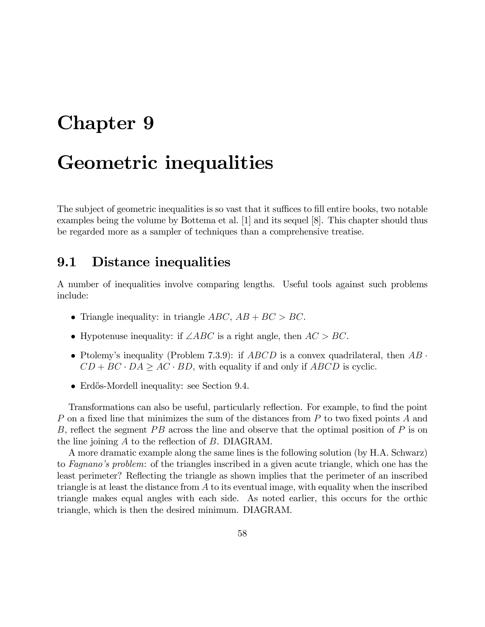# Chapter 9

# Geometric inequalities

The subject of geometric inequalities is so vast that it suffices to fill entire books, two notable examples being the volume by Bottema et al. [1] and its sequel [8]. This chapter should thus be regarded more as a sampler of techniques than a comprehensive treatise.

## 9.1 Distance inequalities

A number of inequalities involve comparing lengths. Useful tools against such problems include:

- Triangle inequality: in triangle  $ABC$ ,  $AB + BC > BC$ .
- Hypotenuse inequality: if  $\angle ABC$  is a right angle, then  $AC > BC$ .
- Ptolemy's inequality (Problem 7.3.9): if  $ABCD$  is a convex quadrilateral, then  $AB$ .  $CD + BC \cdot DA \ge AC \cdot BD$ , with equality if and only if ABCD is cyclic.
- Erdős-Mordell inequality: see Section 9.4.

Transformations can also be useful, particularly reflection. For example, to find the point P on a fixed line that minimizes the sum of the distances from P to two fixed points A and B, reflect the segment  $PB$  across the line and observe that the optimal position of P is on the line joining  $A$  to the reflection of  $B$ . DIAGRAM.

A more dramatic example along the same lines is the following solution (by H.A. Schwarz) to Fagnano's problem: of the triangles inscribed in a given acute triangle, which one has the least perimeter? Reflecting the triangle as shown implies that the perimeter of an inscribed triangle is at least the distance from  $A$  to its eventual image, with equality when the inscribed triangle makes equal angles with each side. As noted earlier, this occurs for the orthic triangle, which is then the desired minimum. DIAGRAM.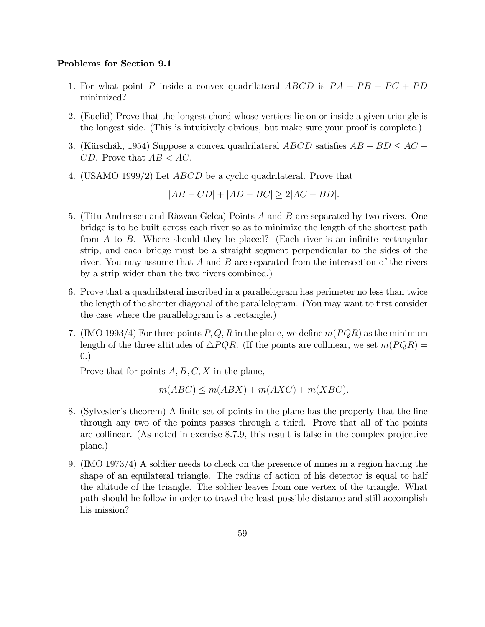#### Problems for Section 9.1

- 1. For what point P inside a convex quadrilateral  $ABCD$  is  $PA + PB + PC + PD$ minimized?
- 2. (Euclid) Prove that the longest chord whose vertices lie on or inside a given triangle is the longest side. (This is intuitively obvious, but make sure your proof is complete.)
- 3. (Kürschák, 1954) Suppose a convex quadrilateral  $ABCD$  satisfies  $AB + BD \le AC +$ CD. Prove that  $AB < AC$ .
- 4. (USAMO 1999/2) Let ABCD be a cyclic quadrilateral. Prove that

$$
|AB - CD| + |AD - BC| \ge 2|AC - BD|.
$$

- 5. (Titu Andreescu and Răzvan Gelca) Points  $A$  and  $B$  are separated by two rivers. One bridge is to be built across each river so as to minimize the length of the shortest path from  $A$  to  $B$ . Where should they be placed? (Each river is an infinite rectangular strip, and each bridge must be a straight segment perpendicular to the sides of the river. You may assume that  $A$  and  $B$  are separated from the intersection of the rivers by a strip wider than the two rivers combined.)
- 6. Prove that a quadrilateral inscribed in a parallelogram has perimeter no less than twice the length of the shorter diagonal of the parallelogram. (You may want to first consider the case where the parallelogram is a rectangle.)
- 7. (IMO 1993/4) For three points  $P, Q, R$  in the plane, we define  $m(PQR)$  as the minimum length of the three altitudes of  $\triangle PQR$ . (If the points are collinear, we set  $m(PQR)$ ) 0.)

Prove that for points  $A, B, C, X$  in the plane,

 $m(ABC) \leq m(ABX) + m(AXC) + m(XBC).$ 

- 8. (Sylvester's theorem) A finite set of points in the plane has the property that the line through any two of the points passes through a third. Prove that all of the points are collinear. (As noted in exercise 8.7.9, this result is false in the complex projective plane.)
- 9. (IMO 1973/4) A soldier needs to check on the presence of mines in a region having the shape of an equilateral triangle. The radius of action of his detector is equal to half the altitude of the triangle. The soldier leaves from one vertex of the triangle. What path should he follow in order to travel the least possible distance and still accomplish his mission?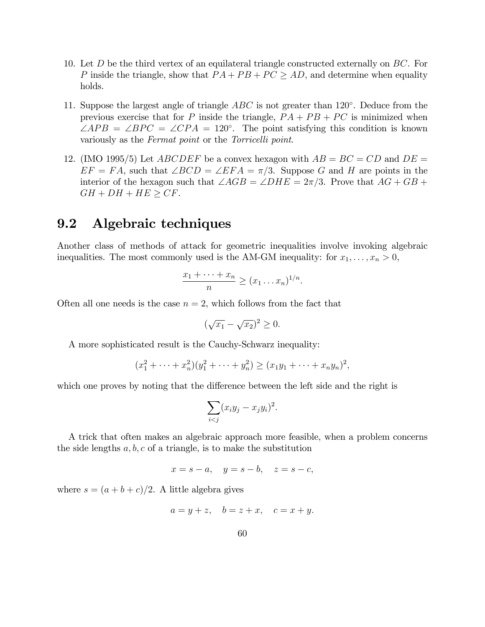- 10. Let  $D$  be the third vertex of an equilateral triangle constructed externally on  $BC$ . For P inside the triangle, show that  $PA + PB + PC \ge AD$ , and determine when equality holds.
- 11. Suppose the largest angle of triangle  $ABC$  is not greater than  $120^{\circ}$ . Deduce from the previous exercise that for P inside the triangle,  $PA + PB + PC$  is minimized when  $\angle APB = \angle BPC = \angle CPA = 120^{\circ}$ . The point satisfying this condition is known variously as the Fermat point or the Torricelli point.
- 12. (IMO 1995/5) Let  $ABCDEF$  be a convex hexagon with  $AB = BC = CD$  and  $DE =$  $EF = FA$ , such that  $\angle BCD = \angle EFA = \pi/3$ . Suppose G and H are points in the interior of the hexagon such that  $\angle AGB = \angle DHE = 2\pi/3$ . Prove that  $AG + GB +$  $GH + DH + HE \geq CF.$

## 9.2 Algebraic techniques

Another class of methods of attack for geometric inequalities involve invoking algebraic inequalities. The most commonly used is the AM-GM inequality: for  $x_1, \ldots, x_n > 0$ ,

$$
\frac{x_1 + \dots + x_n}{n} \ge (x_1 \dots x_n)^{1/n}.
$$

Often all one needs is the case  $n = 2$ , which follows from the fact that

$$
(\sqrt{x_1} - \sqrt{x_2})^2 \ge 0.
$$

A more sophisticated result is the Cauchy-Schwarz inequality:

$$
(x_1^2 + \dots + x_n^2)(y_1^2 + \dots + y_n^2) \ge (x_1y_1 + \dots + x_ny_n)^2,
$$

which one proves by noting that the difference between the left side and the right is

$$
\sum_{i < j} (x_i y_j - x_j y_i)^2.
$$

A trick that often makes an algebraic approach more feasible, when a problem concerns the side lengths  $a, b, c$  of a triangle, is to make the substitution

 $x = s - a$ ,  $y = s - b$ ,  $z = s - c$ ,

where  $s = (a + b + c)/2$ . A little algebra gives

$$
a = y + z, \quad b = z + x, \quad c = x + y.
$$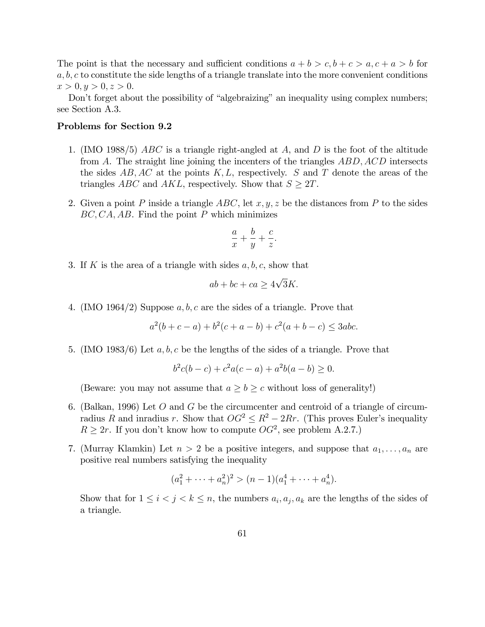The point is that the necessary and sufficient conditions  $a + b > c, b + c > a, c + a > b$  for  $a, b, c$  to constitute the side lengths of a triangle translate into the more convenient conditions  $x > 0, y > 0, z > 0.$ 

Don't forget about the possibility of "algebraizing" an inequality using complex numbers; see Section A.3.

#### Problems for Section 9.2

- 1. (IMO 1988/5) ABC is a triangle right-angled at A, and D is the foot of the altitude from A. The straight line joining the incenters of the triangles ABD; ACD intersects the sides  $AB, AC$  at the points  $K, L$ , respectively. S and T denote the areas of the triangles ABC and AKL, respectively. Show that  $S \geq 2T$ .
- 2. Given a point P inside a triangle  $ABC$ , let x, y, z be the distances from P to the sides  $BC, CA, AB$ . Find the point P which minimizes

$$
\frac{a}{x} + \frac{b}{y} + \frac{c}{z}.
$$

3. If K is the area of a triangle with sides  $a, b, c$ , show that

$$
ab + bc + ca \ge 4\sqrt{3}K.
$$

4. (IMO 1964/2) Suppose  $a, b, c$  are the sides of a triangle. Prove that

$$
a^{2}(b+c-a) + b^{2}(c+a-b) + c^{2}(a+b-c) \leq 3abc.
$$

5. (IMO 1983/6) Let a, b, c be the lengths of the sides of a triangle. Prove that

$$
b2c(b - c) + c2a(c - a) + a2b(a - b) \ge 0.
$$

(Beware: you may not assume that  $a \ge b \ge c$  without loss of generality!)

- 6. (Balkan, 1996) Let  $O$  and  $G$  be the circumcenter and centroid of a triangle of circumradius R and inradius r. Show that  $OG^2 \leq R^2 - 2Rr$ . (This proves Euler's inequality  $R \ge 2r$ . If you don't know how to compute  $OG^2$ , see problem A.2.7.)
- 7. (Murray Klamkin) Let  $n > 2$  be a positive integers, and suppose that  $a_1, \ldots, a_n$  are positive real numbers satisfying the inequality

$$
(a_1^2 + \dots + a_n^2)^2 > (n-1)(a_1^4 + \dots + a_n^4).
$$

Show that for  $1 \leq i < j < k \leq n$ , the numbers  $a_i, a_j, a_k$  are the lengths of the sides of a triangle.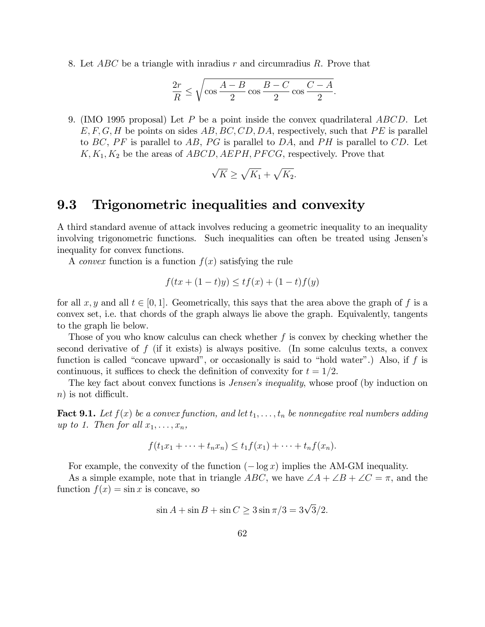8. Let  $ABC$  be a triangle with inradius r and circumradius R. Prove that

$$
\frac{2r}{R} \le \sqrt{\cos \frac{A-B}{2} \cos \frac{B-C}{2} \cos \frac{C-A}{2}}.
$$

9. (IMO 1995 proposal) Let P be a point inside the convex quadrilateral  $ABCD$ . Let  $E, F, G, H$  be points on sides AB, BC, CD, DA, respectively, such that PE is parallel to  $BC$ ,  $PF$  is parallel to  $AB$ ,  $PG$  is parallel to  $DA$ , and  $PH$  is parallel to  $CD$ . Let  $K, K_1, K_2$  be the areas of  $ABCD, AEPH, PFCG$ , respectively. Prove that

$$
\sqrt{K} \ge \sqrt{K_1} + \sqrt{K_2}.
$$

### 9.3 Trigonometric inequalities and convexity

A third standard avenue of attack involves reducing a geometric inequality to an inequality involving trigonometric functions. Such inequalities can often be treated using Jensenís inequality for convex functions.

A *convex* function is a function  $f(x)$  satisfying the rule

$$
f(tx + (1-t)y) \le tf(x) + (1-t)f(y)
$$

for all  $x, y$  and all  $t \in [0, 1]$ . Geometrically, this says that the area above the graph of f is a convex set, i.e. that chords of the graph always lie above the graph. Equivalently, tangents to the graph lie below.

Those of you who know calculus can check whether f is convex by checking whether the second derivative of f (if it exists) is always positive. (In some calculus texts, a convex function is called "concave upward", or occasionally is said to "hold water".) Also, if f is continuous, it suffices to check the definition of convexity for  $t = 1/2$ .

The key fact about convex functions is *Jensen's inequality*, whose proof (by induction on  $n)$  is not difficult.

**Fact 9.1.** Let  $f(x)$  be a convex function, and let  $t_1, \ldots, t_n$  be nonnegative real numbers adding up to 1. Then for all  $x_1, \ldots, x_n$ ,

$$
f(t_1x_1+\cdots+t_nx_n)\leq t_1f(x_1)+\cdots+t_nf(x_n).
$$

For example, the convexity of the function  $(-\log x)$  implies the AM-GM inequality.

As a simple example, note that in triangle ABC, we have  $\angle A + \angle B + \angle C = \pi$ , and the function  $f(x) = \sin x$  is concave, so

$$
\sin A + \sin B + \sin C \ge 3\sin \pi/3 = 3\sqrt{3}/2.
$$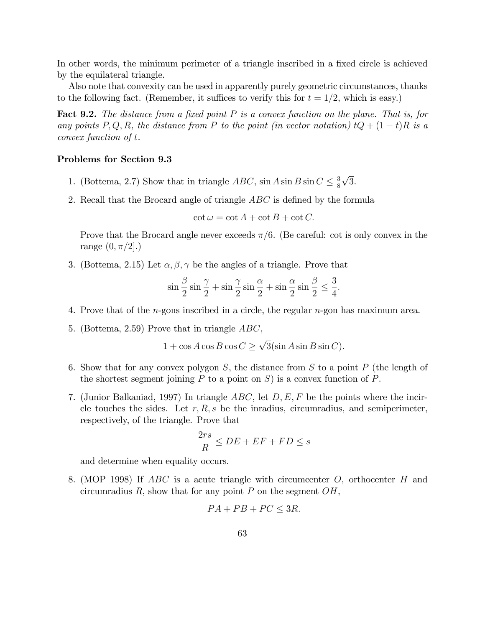In other words, the minimum perimeter of a triangle inscribed in a fixed circle is achieved by the equilateral triangle.

Also note that convexity can be used in apparently purely geometric circumstances, thanks to the following fact. (Remember, it suffices to verify this for  $t = 1/2$ , which is easy.)

**Fact 9.2.** The distance from a fixed point  $P$  is a convex function on the plane. That is, for any points P, Q, R, the distance from P to the point (in vector notation)  $tQ + (1-t)R$  is a convex function of t.

#### Problems for Section 9.3

- 1. (Bottema, 2.7) Show that in triangle *ABC*,  $\sin A \sin B \sin C \le \frac{3}{8}$ 8  $\sqrt{3}$ .
- 2. Recall that the Brocard angle of triangle  $ABC$  is defined by the formula

$$
\cot \omega = \cot A + \cot B + \cot C.
$$

Prove that the Brocard angle never exceeds  $\pi/6$ . (Be careful: cot is only convex in the range  $(0, \pi/2]$ .)

3. (Bottema, 2.15) Let  $\alpha, \beta, \gamma$  be the angles of a triangle. Prove that

$$
\sin\frac{\beta}{2}\sin\frac{\gamma}{2} + \sin\frac{\gamma}{2}\sin\frac{\alpha}{2} + \sin\frac{\alpha}{2}\sin\frac{\beta}{2} \le \frac{3}{4}.
$$

- 4. Prove that of the n-gons inscribed in a circle, the regular n-gon has maximum area.
- 5. (Bottema, 2.59) Prove that in triangle ABC,

 $1 + \cos A \cos B \cos C \ge \sqrt{3}(\sin A \sin B \sin C).$ 

- 6. Show that for any convex polygon S, the distance from S to a point P (the length of the shortest segment joining  $P$  to a point on  $S$ ) is a convex function of  $P$ .
- 7. (Junior Balkaniad, 1997) In triangle  $ABC$ , let  $D, E, F$  be the points where the incircle touches the sides. Let  $r, R, s$  be the inradius, circumradius, and semiperimeter, respectively, of the triangle. Prove that

$$
\frac{2rs}{R} \le DE + EF + FD \le s
$$

and determine when equality occurs.

8. (MOP 1998) If  $ABC$  is a acute triangle with circumcenter O, orthocenter H and circumradius  $R$ , show that for any point  $P$  on the segment  $OH$ ,

$$
PA + PB + PC \le 3R.
$$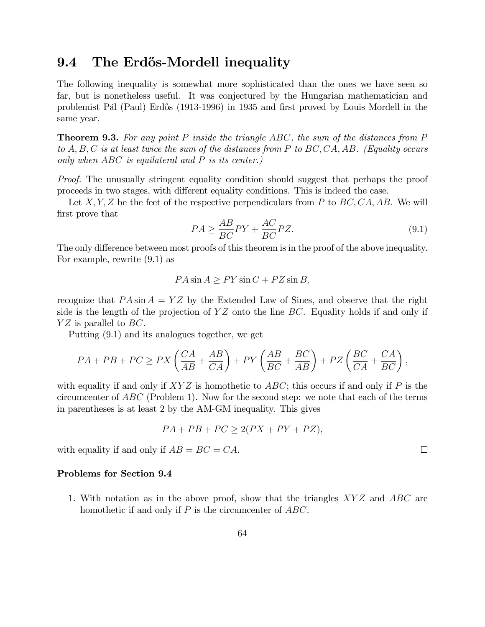### 9.4 The Erdős-Mordell inequality

The following inequality is somewhat more sophisticated than the ones we have seen so far, but is nonetheless useful. It was conjectured by the Hungarian mathematician and problemist Pál (Paul) Erdős (1913-1996) in 1935 and first proved by Louis Mordell in the same year.

**Theorem 9.3.** For any point  $P$  inside the triangle  $ABC$ , the sum of the distances from  $P$ to  $A, B, C$  is at least twice the sum of the distances from P to  $BC, CA, AB$ . (Equality occurs only when ABC is equilateral and P is its center.)

Proof. The unusually stringent equality condition should suggest that perhaps the proof proceeds in two stages, with different equality conditions. This is indeed the case.

Let X, Y, Z be the feet of the respective perpendiculars from P to  $BC, CA, AB$ . We will first prove that

$$
PA \ge \frac{AB}{BC}PY + \frac{AC}{BC}PZ.
$$
\n(9.1)

The only difference between most proofs of this theorem is in the proof of the above inequality. For example, rewrite (9.1) as

 $PA \sin A > PY \sin C + P Z \sin B$ ,

recognize that  $P A \sin A = Y Z$  by the Extended Law of Sines, and observe that the right side is the length of the projection of  $YZ$  onto the line  $BC$ . Equality holds if and only if  $YZ$  is parallel to  $BC$ .

Putting (9.1) and its analogues together, we get

$$
PA + PB + PC \geq PX \left(\frac{CA}{AB} + \frac{AB}{CA}\right) + PY \left(\frac{AB}{BC} + \frac{BC}{AB}\right) + PZ \left(\frac{BC}{CA} + \frac{CA}{BC}\right),
$$

with equality if and only if  $XYZ$  is homothetic to  $ABC$ ; this occurs if and only if P is the circumcenter of ABC (Problem 1). Now for the second step: we note that each of the terms in parentheses is at least 2 by the AM-GM inequality. This gives

$$
PA + PB + PC \ge 2(PX + PY + PZ),
$$

with equality if and only if  $AB = BC = CA$ .

#### Problems for Section 9.4

1. With notation as in the above proof, show that the triangles  $XYZ$  and  $ABC$  are homothetic if and only if P is the circumcenter of ABC.

 $\Box$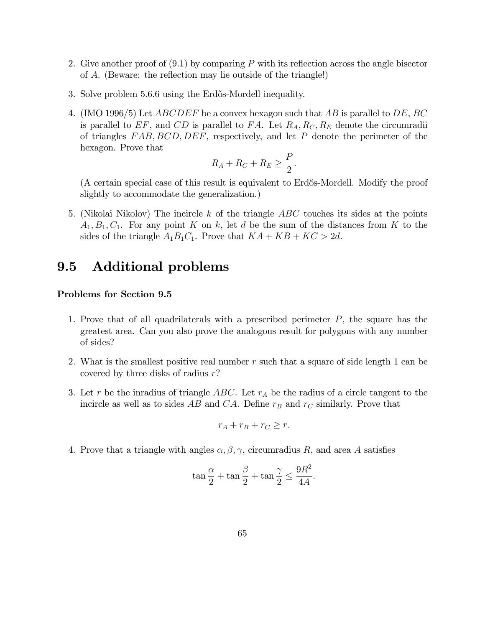- 2. Give another proof of  $(9.1)$  by comparing P with its reflection across the angle bisector of A. (Beware: the reflection may lie outside of the triangle!)
- 3. Solve problem 5.6.6 using the Erdős-Mordell inequality.
- 4. (IMO 1996/5) Let  $ABCDEF$  be a convex hexagon such that AB is parallel to DE, BC is parallel to  $EF$ , and  $CD$  is parallel to  $FA$ . Let  $R_A, R_C, R_E$  denote the circumradii of triangles  $FAB, BCD, DEF$ , respectively, and let P denote the perimeter of the hexagon. Prove that

$$
R_A + R_C + R_E \ge \frac{P}{2}.
$$

(A certain special case of this result is equivalent to Erdős-Mordell. Modify the proof slightly to accommodate the generalization.)

5. (Nikolai Nikolov) The incircle k of the triangle ABC touches its sides at the points  $A_1, B_1, C_1$ . For any point K on k, let d be the sum of the distances from K to the sides of the triangle  $A_1B_1C_1$ . Prove that  $KA + KB + KC > 2d$ .

## 9.5 Additional problems

#### Problems for Section 9.5

- 1. Prove that of all quadrilaterals with a prescribed perimeter P, the square has the greatest area. Can you also prove the analogous result for polygons with any number of sides?
- 2. What is the smallest positive real number r such that a square of side length 1 can be covered by three disks of radius r?
- 3. Let r be the inradius of triangle ABC. Let  $r_A$  be the radius of a circle tangent to the incircle as well as to sides  $AB$  and  $CA$ . Define  $r_B$  and  $r_C$  similarly. Prove that

$$
r_A + r_B + r_C \ge r.
$$

4. Prove that a triangle with angles  $\alpha, \beta, \gamma$ , circumradius R, and area A satisfies

$$
\tan\frac{\alpha}{2} + \tan\frac{\beta}{2} + \tan\frac{\gamma}{2} \le \frac{9R^2}{4A}.
$$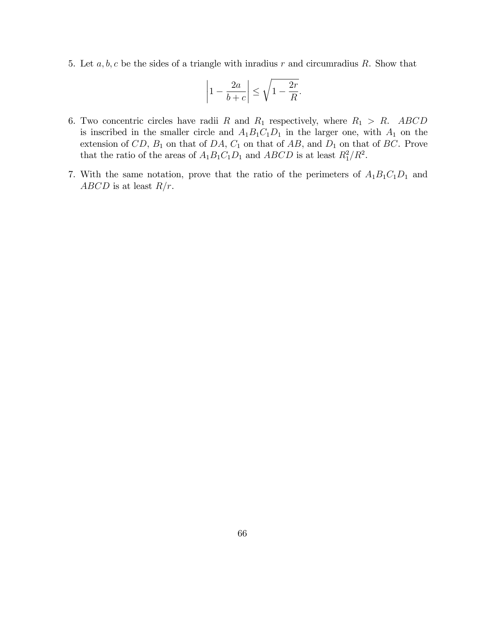5. Let  $a, b, c$  be the sides of a triangle with inradius r and circumradius R. Show that

$$
\left|1 - \frac{2a}{b+c}\right| \le \sqrt{1 - \frac{2r}{R}}.
$$

- 6. Two concentric circles have radii R and  $R_1$  respectively, where  $R_1 > R$ . ABCD is inscribed in the smaller circle and  $A_1B_1C_1D_1$  in the larger one, with  $A_1$  on the extension of  $CD$ ,  $B_1$  on that of  $DA$ ,  $C_1$  on that of  $AB$ , and  $D_1$  on that of  $BC$ . Prove that the ratio of the areas of  $A_1B_1C_1D_1$  and  $ABCD$  is at least  $R_1^2/R^2$ .
- 7. With the same notation, prove that the ratio of the perimeters of  $A_1B_1C_1D_1$  and ABCD is at least  $R/r$ .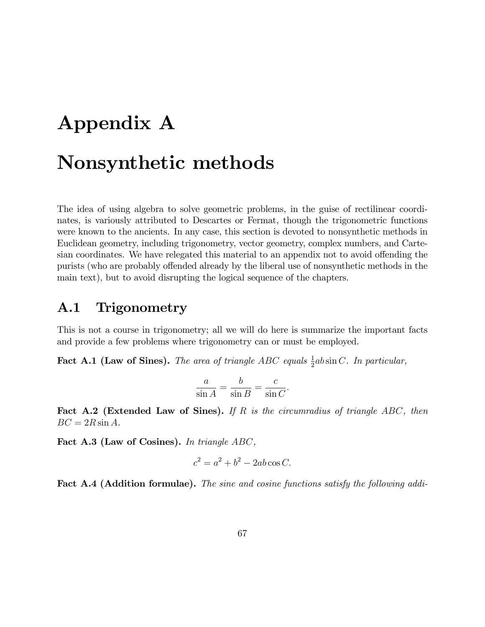# Appendix A

# Nonsynthetic methods

The idea of using algebra to solve geometric problems, in the guise of rectilinear coordinates, is variously attributed to Descartes or Fermat, though the trigonometric functions were known to the ancients. In any case, this section is devoted to nonsynthetic methods in Euclidean geometry, including trigonometry, vector geometry, complex numbers, and Cartesian coordinates. We have relegated this material to an appendix not to avoid offending the purists (who are probably offended already by the liberal use of nonsynthetic methods in the main text), but to avoid disrupting the logical sequence of the chapters.

## A.1 Trigonometry

This is not a course in trigonometry; all we will do here is summarize the important facts and provide a few problems where trigonometry can or must be employed.

**Fact A.1 (Law of Sines).** The area of triangle ABC equals  $\frac{1}{2}ab\sin C$ . In particular,

$$
\frac{a}{\sin A} = \frac{b}{\sin B} = \frac{c}{\sin C}.
$$

Fact A.2 (Extended Law of Sines). If R is the circumradius of triangle ABC, then  $BC = 2R \sin A$ .

Fact A.3 (Law of Cosines). In triangle ABC,

$$
c^2 = a^2 + b^2 - 2ab\cos C.
$$

**Fact A.4 (Addition formulae).** The sine and cosine functions satisfy the following addi-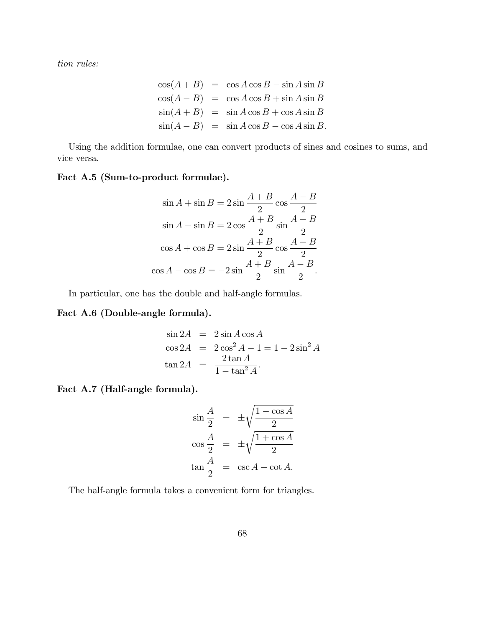tion rules:

$$
\cos(A + B) = \cos A \cos B - \sin A \sin B
$$
  
\n
$$
\cos(A - B) = \cos A \cos B + \sin A \sin B
$$
  
\n
$$
\sin(A + B) = \sin A \cos B + \cos A \sin B
$$
  
\n
$$
\sin(A - B) = \sin A \cos B - \cos A \sin B.
$$

Using the addition formulae, one can convert products of sines and cosines to sums, and vice versa.

### Fact A.5 (Sum-to-product formulae).

$$
\sin A + \sin B = 2\sin\frac{A+B}{2}\cos\frac{A-B}{2}
$$

$$
\sin A - \sin B = 2\cos\frac{A+B}{2}\sin\frac{A-B}{2}
$$

$$
\cos A + \cos B = 2\sin\frac{A+B}{2}\cos\frac{A-B}{2}
$$

$$
\cos A - \cos B = -2\sin\frac{A+B}{2}\sin\frac{A-B}{2}.
$$

In particular, one has the double and half-angle formulas.

### Fact A.6 (Double-angle formula).

$$
\sin 2A = 2 \sin A \cos A \n\cos 2A = 2 \cos^2 A - 1 = 1 - 2 \sin^2 A \n\tan 2A = \frac{2 \tan A}{1 - \tan^2 A}.
$$

Fact A.7 (Half-angle formula).

$$
\sin\frac{A}{2} = \pm\sqrt{\frac{1-\cos A}{2}}
$$

$$
\cos\frac{A}{2} = \pm\sqrt{\frac{1+\cos A}{2}}
$$

$$
\tan\frac{A}{2} = \csc A - \cot A.
$$

The half-angle formula takes a convenient form for triangles.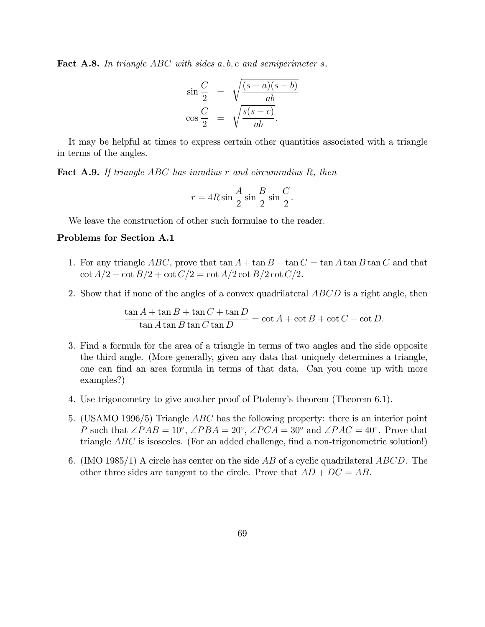**Fact A.8.** In triangle ABC with sides  $a, b, c$  and semiperimeter s,

$$
\sin\frac{C}{2} = \sqrt{\frac{(s-a)(s-b)}{ab}}
$$

$$
\cos\frac{C}{2} = \sqrt{\frac{s(s-c)}{ab}}.
$$

It may be helpful at times to express certain other quantities associated with a triangle in terms of the angles.

**Fact A.9.** If triangle ABC has inradius r and circumradius  $R$ , then

$$
r = 4R\sin\frac{A}{2}\sin\frac{B}{2}\sin\frac{C}{2}.
$$

We leave the construction of other such formulae to the reader.

#### Problems for Section A.1

- 1. For any triangle ABC, prove that  $\tan A + \tan B + \tan C = \tan A \tan B \tan C$  and that  $\cot A/2 + \cot B/2 + \cot C/2 = \cot A/2 \cot B/2 \cot C/2.$
- 2. Show that if none of the angles of a convex quadrilateral ABCD is a right angle, then

$$
\frac{\tan A + \tan B + \tan C + \tan D}{\tan A \tan B \tan C \tan D} = \cot A + \cot B + \cot C + \cot D.
$$

- 3. Find a formula for the area of a triangle in terms of two angles and the side opposite the third angle. (More generally, given any data that uniquely determines a triangle, one can Önd an area formula in terms of that data. Can you come up with more examples?)
- 4. Use trigonometry to give another proof of Ptolemyís theorem (Theorem 6.1).
- 5. (USAMO 1996/5) Triangle ABC has the following property: there is an interior point P such that  $\angle PAB = 10^{\circ}$ ,  $\angle PBA = 20^{\circ}$ ,  $\angle PCA = 30^{\circ}$  and  $\angle PAC = 40^{\circ}$ . Prove that triangle  $ABC$  is isosceles. (For an added challenge, find a non-trigonometric solution!)
- 6. (IMO 1985/1) A circle has center on the side  $AB$  of a cyclic quadrilateral  $ABCD$ . The other three sides are tangent to the circle. Prove that  $AD + DC = AB$ .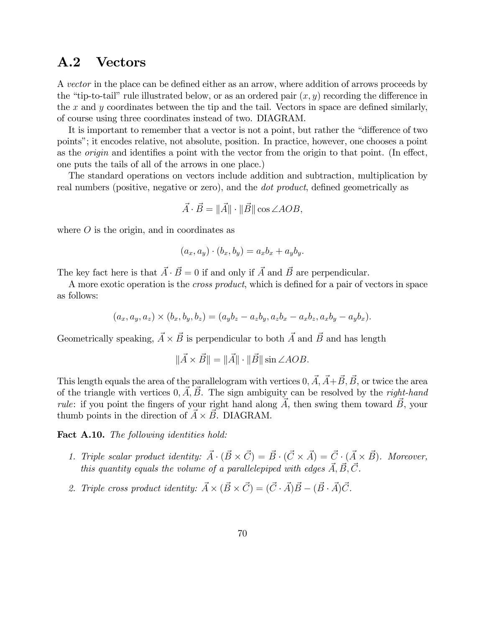## A.2 Vectors

A vector in the place can be defined either as an arrow, where addition of arrows proceeds by the "tip-to-tail" rule illustrated below, or as an ordered pair  $(x, y)$  recording the difference in the  $x$  and  $y$  coordinates between the tip and the tail. Vectors in space are defined similarly, of course using three coordinates instead of two. DIAGRAM.

It is important to remember that a vector is not a point, but rather the "difference of two pointsî; it encodes relative, not absolute, position. In practice, however, one chooses a point as the *origin* and identifies a point with the vector from the origin to that point. (In effect, one puts the tails of all of the arrows in one place.)

The standard operations on vectors include addition and subtraction, multiplication by real numbers (positive, negative or zero), and the *dot product*, defined geometrically as

$$
\vec{A} \cdot \vec{B} = ||\vec{A}|| \cdot ||\vec{B}|| \cos \angle AOB,
$$

where  $O$  is the origin, and in coordinates as

$$
(a_x, a_y) \cdot (b_x, b_y) = a_x b_x + a_y b_y.
$$

The key fact here is that  $\vec{A} \cdot \vec{B} = 0$  if and only if  $\vec{A}$  and  $\vec{B}$  are perpendicular.

A more exotic operation is the *cross product*, which is defined for a pair of vectors in space as follows:

$$
(a_x, a_y, a_z) \times (b_x, b_y, b_z) = (a_y b_z - a_z b_y, a_z b_x - a_x b_z, a_x b_y - a_y b_x).
$$

Geometrically speaking,  $\vec{A} \times \vec{B}$  is perpendicular to both  $\vec{A}$  and  $\vec{B}$  and has length

$$
\|\vec{A} \times \vec{B}\| = \|\vec{A}\| \cdot \|\vec{B}\| \sin \angle AOB.
$$

This length equals the area of the parallelogram with vertices  $0, \vec{A}, \vec{A} + \vec{B}, \vec{B}$ , or twice the area of the triangle with vertices  $0, \overrightarrow{A}, \overrightarrow{B}$ . The sign ambiguity can be resolved by the *right-hand* rule: if you point the fingers of your right hand along  $\vec{A}$ , then swing them toward  $\vec{B}$ , your thumb points in the direction of  $\vec{A} \times \vec{B}$ . DIAGRAM.

Fact A.10. The following identities hold:

- 1. Triple scalar product identity:  $\vec{A} \cdot (\vec{B} \times \vec{C}) = \vec{B} \cdot (\vec{C} \times \vec{A}) = \vec{C} \cdot (\vec{A} \times \vec{B})$ . Moreover, this quantity equals the volume of a parallelepiped with edges  $\vec{A}, \vec{B}, \vec{C}$ .
- 2. Triple cross product identity:  $\vec{A} \times (\vec{B} \times \vec{C}) = (\vec{C} \cdot \vec{A})\vec{B} (\vec{B} \cdot \vec{A})\vec{C}$ .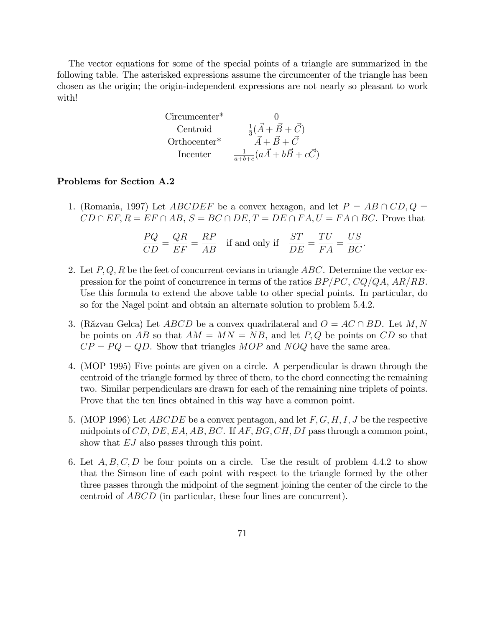The vector equations for some of the special points of a triangle are summarized in the following table. The asterisked expressions assume the circumcenter of the triangle has been chosen as the origin; the origin-independent expressions are not nearly so pleasant to work with!

$$
\begin{array}{ccc}\n\text{Circumcenter} & 0 \\
\text{Centroid} & \frac{1}{3}(\vec{A} + \vec{B} + \vec{C}) \\
\text{Orthocenter} & \vec{A} + \vec{B} + \vec{C} \\
\text{Incenter} & \frac{1}{a+b+c}(a\vec{A} + b\vec{B} + c\vec{C})\n\end{array}
$$

#### Problems for Section A.2

1. (Romania, 1997) Let *ABCDEF* be a convex hexagon, and let  $P = AB \cap CD, Q =$  $CD \cap EF, R = EF \cap AB, S = BC \cap DE, T = DE \cap FA, U = FA \cap BC$ . Prove that

$$
\frac{PQ}{CD} = \frac{QR}{EF} = \frac{RP}{AB}
$$
 if and only if 
$$
\frac{ST}{DE} = \frac{TU}{FA} = \frac{US}{BC}.
$$

- 2. Let  $P, Q, R$  be the feet of concurrent cevians in triangle  $ABC$ . Determine the vector expression for the point of concurrence in terms of the ratios  $BP/PC$ ,  $CQ/QA$ ,  $AR/RB$ . Use this formula to extend the above table to other special points. In particular, do so for the Nagel point and obtain an alternate solution to problem 5.4.2.
- 3. (Răzvan Gelca) Let *ABCD* be a convex quadrilateral and  $O = AC \cap BD$ . Let M, N be points on AB so that  $AM = MN = NB$ , and let P, Q be points on CD so that  $CP = PQ = QD$ . Show that triangles MOP and NOQ have the same area.
- 4. (MOP 1995) Five points are given on a circle. A perpendicular is drawn through the centroid of the triangle formed by three of them, to the chord connecting the remaining two. Similar perpendiculars are drawn for each of the remaining nine triplets of points. Prove that the ten lines obtained in this way have a common point.
- 5. (MOP 1996) Let  $ABCDE$  be a convex pentagon, and let  $F, G, H, I, J$  be the respective midpoints of  $CD, DE, EA, AB, BC$ . If  $AF, BG, CH, DI$  pass through a common point, show that EJ also passes through this point.
- 6. Let  $A, B, C, D$  be four points on a circle. Use the result of problem 4.4.2 to show that the Simson line of each point with respect to the triangle formed by the other three passes through the midpoint of the segment joining the center of the circle to the centroid of ABCD (in particular, these four lines are concurrent).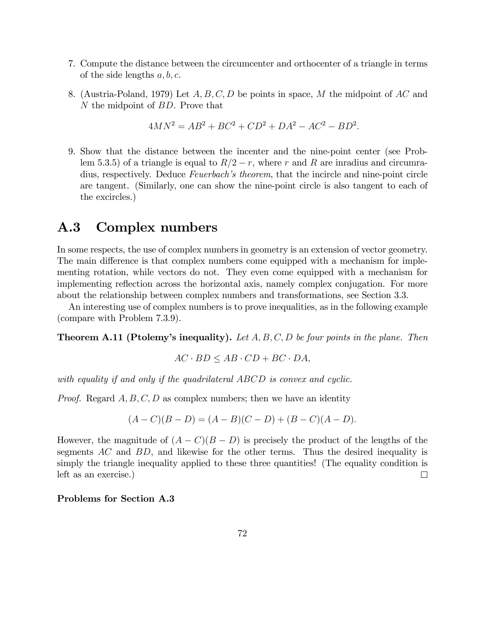- 7. Compute the distance between the circumcenter and orthocenter of a triangle in terms of the side lengths  $a, b, c$ .
- 8. (Austria-Poland, 1979) Let  $A, B, C, D$  be points in space, M the midpoint of AC and N the midpoint of BD. Prove that

$$
4MN^2 = AB^2 + BC^2 + CD^2 + DA^2 - AC^2 - BD^2.
$$

9. Show that the distance between the incenter and the nine-point center (see Problem 5.3.5) of a triangle is equal to  $R/2 - r$ , where r and R are inradius and circumradius, respectively. Deduce Feuerbach's theorem, that the incircle and nine-point circle are tangent. (Similarly, one can show the nine-point circle is also tangent to each of the excircles.)

## A.3 Complex numbers

In some respects, the use of complex numbers in geometry is an extension of vector geometry. The main difference is that complex numbers come equipped with a mechanism for implementing rotation, while vectors do not. They even come equipped with a mechanism for implementing reflection across the horizontal axis, namely complex conjugation. For more about the relationship between complex numbers and transformations, see Section 3.3.

An interesting use of complex numbers is to prove inequalities, as in the following example (compare with Problem 7.3.9).

**Theorem A.11 (Ptolemy's inequality).** Let  $A, B, C, D$  be four points in the plane. Then

$$
AC \cdot BD \le AB \cdot CD + BC \cdot DA,
$$

with equality if and only if the quadrilateral ABCD is convex and cyclic.

*Proof.* Regard  $A, B, C, D$  as complex numbers; then we have an identity

$$
(A-C)(B-D) = (A-B)(C-D) + (B-C)(A-D).
$$

However, the magnitude of  $(A - C)(B - D)$  is precisely the product of the lengths of the segments AC and BD, and likewise for the other terms. Thus the desired inequality is simply the triangle inequality applied to these three quantities! (The equality condition is left as an exercise.)  $\Box$ 

#### Problems for Section A.3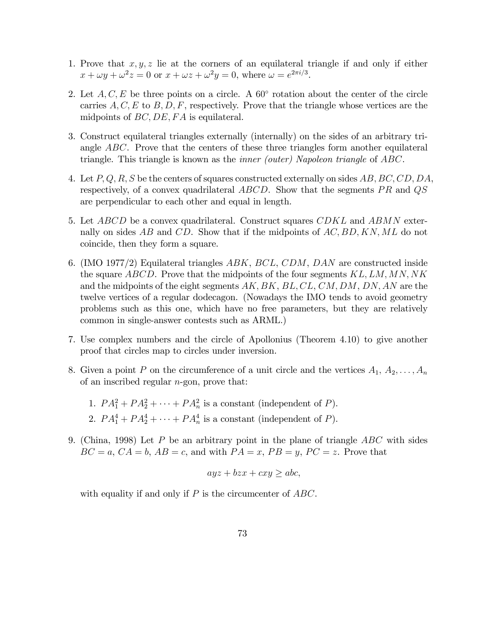- 1. Prove that  $x, y, z$  lie at the corners of an equilateral triangle if and only if either  $x + \omega y + \omega^2 z = 0$  or  $x + \omega z + \omega^2 y = 0$ , where  $\omega = e^{2\pi i/3}$ .
- 2. Let  $A, C, E$  be three points on a circle. A  $60^{\circ}$  rotation about the center of the circle carries  $A, C, E$  to  $B, D, F$ , respectively. Prove that the triangle whose vertices are the midpoints of  $BC, DE, FA$  is equilateral.
- 3. Construct equilateral triangles externally (internally) on the sides of an arbitrary triangle ABC. Prove that the centers of these three triangles form another equilateral triangle. This triangle is known as the inner (outer) Napoleon triangle of ABC.
- 4. Let  $P, Q, R, S$  be the centers of squares constructed externally on sides  $AB, BC, CD, DA$ , respectively, of a convex quadrilateral  $ABCD$ . Show that the segments  $PR$  and  $QS$ are perpendicular to each other and equal in length.
- 5. Let ABCD be a convex quadrilateral. Construct squares CDKL and ABMN externally on sides  $AB$  and  $CD$ . Show that if the midpoints of  $AC, BD, KN, ML$  do not coincide, then they form a square.
- 6. (IMO 1977/2) Equilateral triangles  $ABK$ ,  $BCL$ ,  $CDM$ ,  $DAN$  are constructed inside the square  $ABCD$ . Prove that the midpoints of the four segments  $KL, LM, MN, NK$ and the midpoints of the eight segments  $AK, BK, BL, CL, CM, DM, DN, AN$  are the twelve vertices of a regular dodecagon. (Nowadays the IMO tends to avoid geometry problems such as this one, which have no free parameters, but they are relatively common in single-answer contests such as ARML.)
- 7. Use complex numbers and the circle of Apollonius (Theorem 4.10) to give another proof that circles map to circles under inversion.
- 8. Given a point P on the circumference of a unit circle and the vertices  $A_1, A_2, \ldots, A_n$ of an inscribed regular  $n$ -gon, prove that:
	- 1.  $PA_1^2 + PA_2^2 + \cdots + PA_n^2$  is a constant (independent of P).
	- 2.  $PA_1^4 + PA_2^4 + \cdots + PA_n^4$  is a constant (independent of P).
- 9. (China, 1998) Let P be an arbitrary point in the plane of triangle  $ABC$  with sides  $BC = a, CA = b, AB = c,$  and with  $PA = x, PB = y, PC = z$ . Prove that

$$
ayz + bzx + cxy \ge abc,
$$

with equality if and only if  $P$  is the circumcenter of  $ABC$ .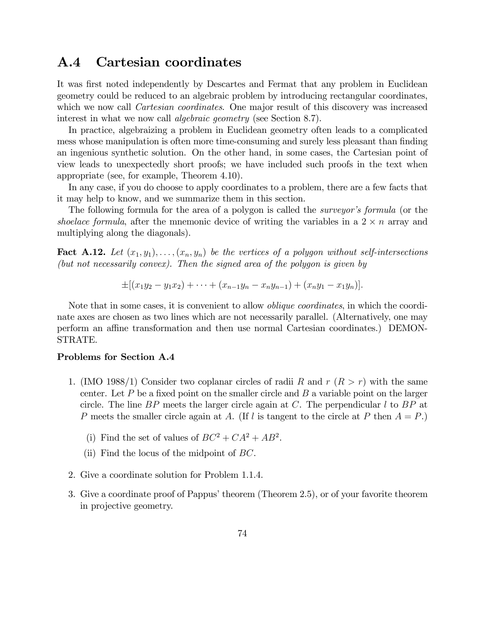### A.4 Cartesian coordinates

It was first noted independently by Descartes and Fermat that any problem in Euclidean geometry could be reduced to an algebraic problem by introducing rectangular coordinates, which we now call *Cartesian coordinates*. One major result of this discovery was increased interest in what we now call *algebraic geometry* (see Section 8.7).

In practice, algebraizing a problem in Euclidean geometry often leads to a complicated mess whose manipulation is often more time-consuming and surely less pleasant than finding an ingenious synthetic solution. On the other hand, in some cases, the Cartesian point of view leads to unexpectedly short proofs; we have included such proofs in the text when appropriate (see, for example, Theorem 4.10).

In any case, if you do choose to apply coordinates to a problem, there are a few facts that it may help to know, and we summarize them in this section.

The following formula for the area of a polygon is called the *surveyor's formula* (or the shoelace formula, after the mnemonic device of writing the variables in a  $2 \times n$  array and multiplying along the diagonals).

**Fact A.12.** Let  $(x_1, y_1), \ldots, (x_n, y_n)$  be the vertices of a polygon without self-intersections (but not necessarily convex). Then the signed area of the polygon is given by

$$
\pm[(x_1y_2-y_1x_2)+\cdots+(x_{n-1}y_n-x_ny_{n-1})+(x_ny_1-x_1y_n)].
$$

Note that in some cases, it is convenient to allow oblique coordinates, in which the coordinate axes are chosen as two lines which are not necessarily parallel. (Alternatively, one may perform an affine transformation and then use normal Cartesian coordinates.) DEMON-STRATE.

#### Problems for Section A.4

- 1. (IMO 1988/1) Consider two coplanar circles of radii R and  $r(R > r)$  with the same center. Let  $P$  be a fixed point on the smaller circle and  $B$  a variable point on the larger circle. The line  $BP$  meets the larger circle again at C. The perpendicular l to  $BP$  at P meets the smaller circle again at A. (If l is tangent to the circle at P then  $A = P$ .)
	- (i) Find the set of values of  $BC^2 + CA^2 + AB^2$ .
	- (ii) Find the locus of the midpoint of  $BC$ .
- 2. Give a coordinate solution for Problem 1.1.4.
- 3. Give a coordinate proof of Pappus' theorem (Theorem 2.5), or of your favorite theorem in projective geometry.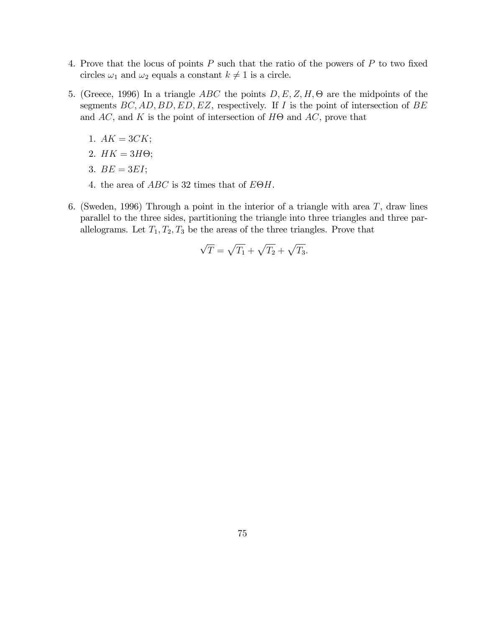- 4. Prove that the locus of points  $P$  such that the ratio of the powers of  $P$  to two fixed circles  $\omega_1$  and  $\omega_2$  equals a constant  $k \neq 1$  is a circle.
- 5. (Greece, 1996) In a triangle  $ABC$  the points  $D, E, Z, H, \Theta$  are the midpoints of the segments  $BC, AD, BD, ED, EZ$ , respectively. If I is the point of intersection of BE and AC, and K is the point of intersection of  $H\Theta$  and AC, prove that
	- 1.  $AK = 3CK$ ;
	- 2.  $HK = 3H\Theta;$
	- 3.  $BE = 3EI;$
	- 4. the area of  $ABC$  is 32 times that of  $E\Theta H$ .
- 6. (Sweden, 1996) Through a point in the interior of a triangle with area  $T$ , draw lines parallel to the three sides, partitioning the triangle into three triangles and three parallelograms. Let  $T_1, T_2, T_3$  be the areas of the three triangles. Prove that

$$
\sqrt{T} = \sqrt{T_1} + \sqrt{T_2} + \sqrt{T_3}.
$$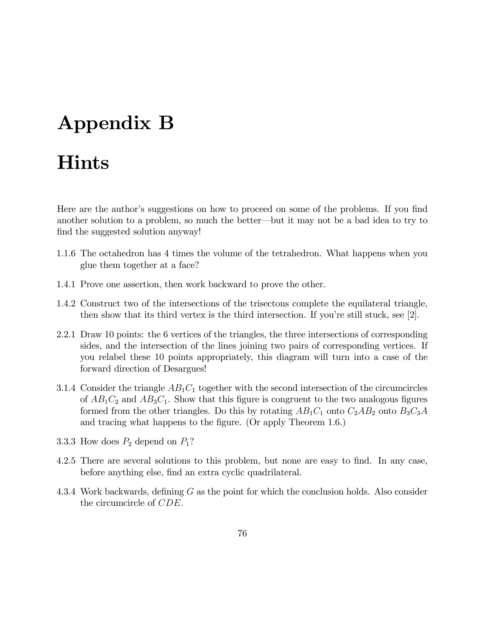# Appendix B

## Hints

Here are the author's suggestions on how to proceed on some of the problems. If you find another solution to a problem, so much the better—but it may not be a bad idea to try to find the suggested solution anyway!

- 1.1.6 The octahedron has 4 times the volume of the tetrahedron. What happens when you glue them together at a face?
- 1.4.1 Prove one assertion, then work backward to prove the other.
- 1.4.2 Construct two of the intersections of the trisectons complete the equilateral triangle, then show that its third vertex is the third intersection. If you're still stuck, see [2].
- 2.2.1 Draw 10 points: the 6 vertices of the triangles, the three intersections of corresponding sides, and the intersection of the lines joining two pairs of corresponding vertices. If you relabel these 10 points appropriately, this diagram will turn into a case of the forward direction of Desargues!
- 3.1.4 Consider the triangle  $AB_1C_1$  together with the second intersection of the circumcircles of  $AB_1C_2$  and  $AB_3C_1$ . Show that this figure is congruent to the two analogous figures formed from the other triangles. Do this by rotating  $AB_1C_1$  onto  $C_2AB_2$  onto  $B_3C_3A$ and tracing what happens to the figure. (Or apply Theorem 1.6.)
- 3.3.3 How does  $P_2$  depend on  $P_1$ ?
- 4.2.5 There are several solutions to this problem, but none are easy to find. In any case, before anything else, find an extra cyclic quadrilateral.
- 4.3.4 Work backwards, defining  $G$  as the point for which the conclusion holds. Also consider the circumcircle of CDE.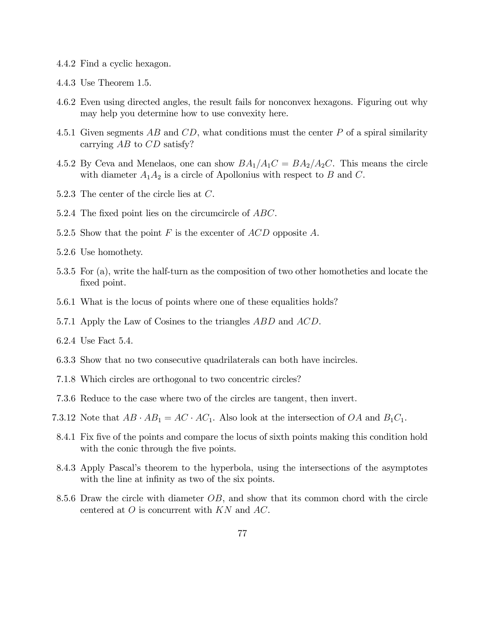- 4.4.2 Find a cyclic hexagon.
- 4.4.3 Use Theorem 1.5.
- 4.6.2 Even using directed angles, the result fails for nonconvex hexagons. Figuring out why may help you determine how to use convexity here.
- 4.5.1 Given segments  $AB$  and  $CD$ , what conditions must the center P of a spiral similarity carrying AB to CD satisfy?
- 4.5.2 By Ceva and Menelaos, one can show  $BA_1/A_1C = BA_2/A_2C$ . This means the circle with diameter  $A_1A_2$  is a circle of Apollonius with respect to B and C.
- 5.2.3 The center of the circle lies at C.
- 5.2.4 The fixed point lies on the circumcircle of ABC.
- 5.2.5 Show that the point F is the excenter of  $ACD$  opposite A.
- 5.2.6 Use homothety.
- 5.3.5 For (a), write the half-turn as the composition of two other homotheties and locate the fixed point.
- 5.6.1 What is the locus of points where one of these equalities holds?
- 5.7.1 Apply the Law of Cosines to the triangles ABD and ACD.
- 6.2.4 Use Fact 5.4.
- 6.3.3 Show that no two consecutive quadrilaterals can both have incircles.
- 7.1.8 Which circles are orthogonal to two concentric circles?
- 7.3.6 Reduce to the case where two of the circles are tangent, then invert.
- 7.3.12 Note that  $AB \cdot AB_1 = AC \cdot AC_1$ . Also look at the intersection of  $OA$  and  $B_1C_1$ .
- 8.4.1 Fix five of the points and compare the locus of sixth points making this condition hold with the conic through the five points.
- 8.4.3 Apply Pascal's theorem to the hyperbola, using the intersections of the asymptotes with the line at infinity as two of the six points.
- 8.5.6 Draw the circle with diameter  $OB$ , and show that its common chord with the circle centered at  $O$  is concurrent with  $KN$  and  $AC$ .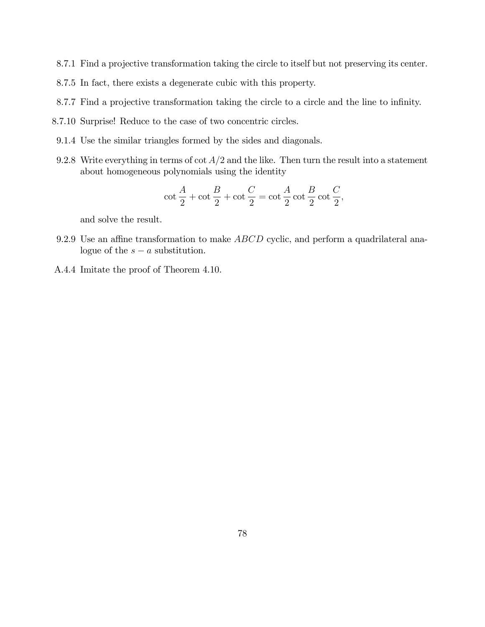- 8.7.1 Find a projective transformation taking the circle to itself but not preserving its center.
- 8.7.5 In fact, there exists a degenerate cubic with this property.
- 8.7.7 Find a projective transformation taking the circle to a circle and the line to infinity.
- 8.7.10 Surprise! Reduce to the case of two concentric circles.
- 9.1.4 Use the similar triangles formed by the sides and diagonals.
- 9.2.8 Write everything in terms of  $\cot A/2$  and the like. Then turn the result into a statement about homogeneous polynomials using the identity

$$
\cot\frac{A}{2} + \cot\frac{B}{2} + \cot\frac{C}{2} = \cot\frac{A}{2}\cot\frac{B}{2}\cot\frac{C}{2},
$$

and solve the result.

- 9.2.9 Use an affine transformation to make  $ABCD$  cyclic, and perform a quadrilateral analogue of the  $s - a$  substitution.
- A.4.4 Imitate the proof of Theorem 4.10.